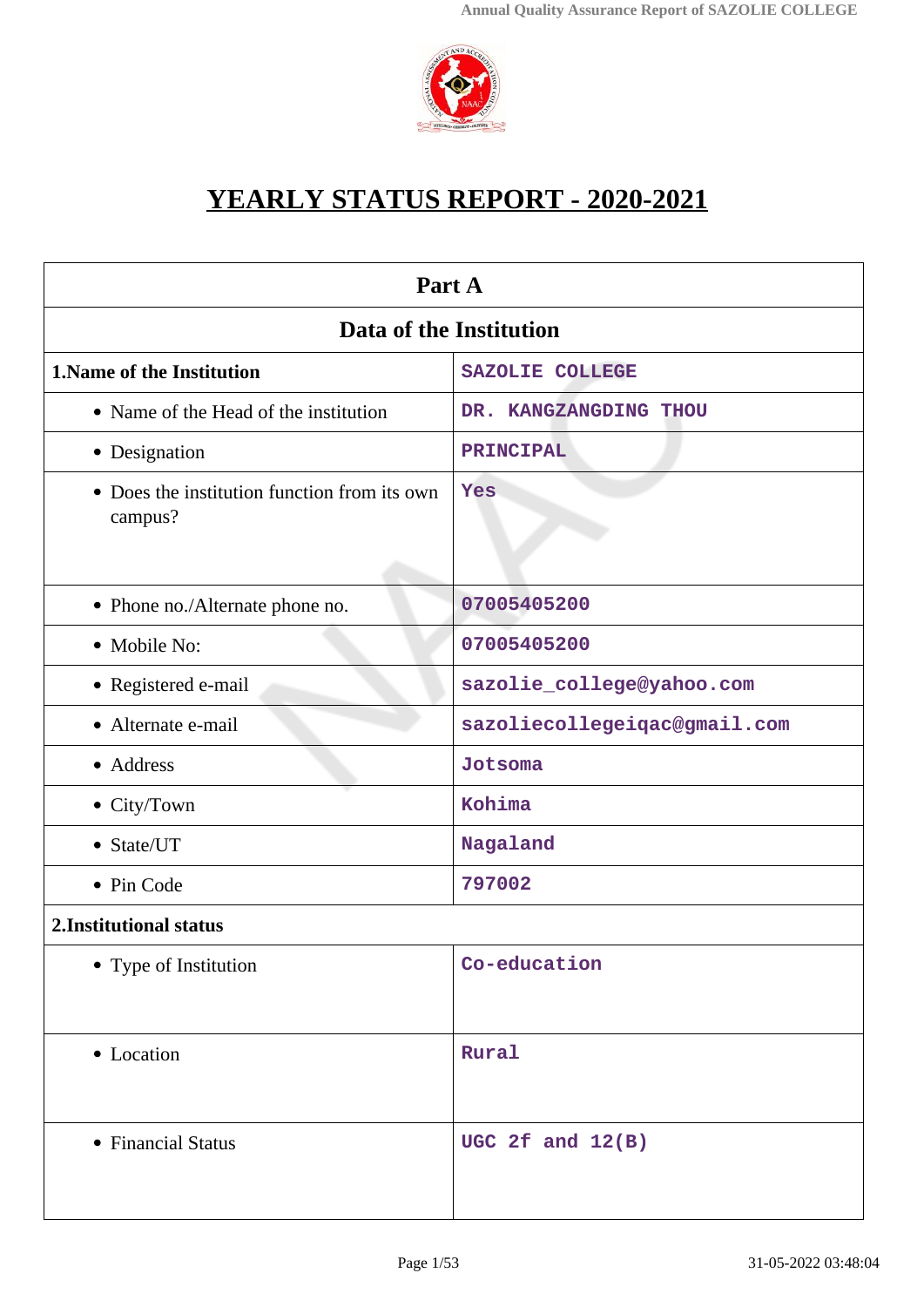

# **YEARLY STATUS REPORT - 2020-2021**

| Part A                                                  |                              |  |
|---------------------------------------------------------|------------------------------|--|
| Data of the Institution                                 |                              |  |
| <b>1. Name of the Institution</b>                       | <b>SAZOLIE COLLEGE</b>       |  |
| • Name of the Head of the institution                   | DR. KANGZANGDING THOU        |  |
| • Designation                                           | PRINCIPAL                    |  |
| • Does the institution function from its own<br>campus? | Yes                          |  |
| • Phone no./Alternate phone no.                         | 07005405200                  |  |
| • Mobile No:                                            | 07005405200                  |  |
| • Registered e-mail                                     | sazolie_college@yahoo.com    |  |
| • Alternate e-mail                                      | sazoliecollegeiqac@gmail.com |  |
| • Address                                               | Jotsoma                      |  |
| • City/Town                                             | Kohima                       |  |
| • State/UT                                              | Nagaland                     |  |
| • Pin Code                                              | 797002                       |  |
| 2. Institutional status                                 |                              |  |
| • Type of Institution                                   | Co-education                 |  |
| • Location                                              | Rural                        |  |
| • Financial Status                                      | UGC 2 $f$ and $12(B)$        |  |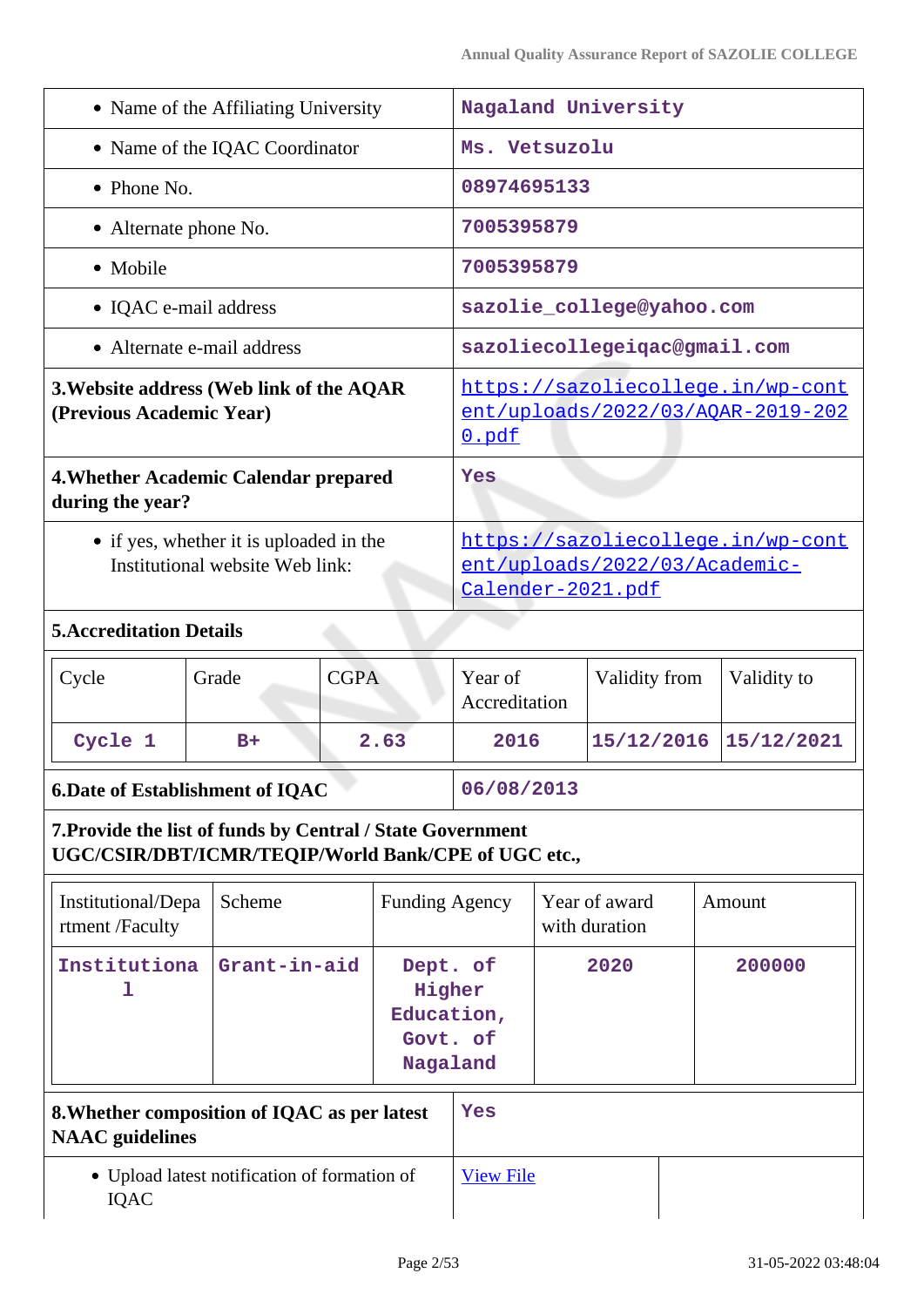| • Name of the Affiliating University                                                                              |                                                                        |                                                                                        |                                                                                                |                                                          | Nagaland University |                                |  |             |
|-------------------------------------------------------------------------------------------------------------------|------------------------------------------------------------------------|----------------------------------------------------------------------------------------|------------------------------------------------------------------------------------------------|----------------------------------------------------------|---------------------|--------------------------------|--|-------------|
| • Name of the IQAC Coordinator                                                                                    |                                                                        |                                                                                        | Ms. Vetsuzolu                                                                                  |                                                          |                     |                                |  |             |
| $\bullet$ Phone No.                                                                                               |                                                                        |                                                                                        | 08974695133                                                                                    |                                                          |                     |                                |  |             |
| • Alternate phone No.                                                                                             |                                                                        |                                                                                        | 7005395879                                                                                     |                                                          |                     |                                |  |             |
| • Mobile                                                                                                          |                                                                        |                                                                                        |                                                                                                | 7005395879                                               |                     |                                |  |             |
| • IQAC e-mail address                                                                                             |                                                                        | sazolie_college@yahoo.com                                                              |                                                                                                |                                                          |                     |                                |  |             |
|                                                                                                                   | • Alternate e-mail address                                             |                                                                                        |                                                                                                | sazoliecollegeiqac@gmail.com                             |                     |                                |  |             |
| 3. Website address (Web link of the AQAR<br>(Previous Academic Year)                                              |                                                                        | https://sazoliecollege.in/wp-cont<br><u>ent/uploads/2022/03/AQAR-2019-202</u><br>0.pdf |                                                                                                |                                                          |                     |                                |  |             |
| 4. Whether Academic Calendar prepared<br>during the year?                                                         |                                                                        |                                                                                        |                                                                                                | Yes                                                      |                     |                                |  |             |
| • if yes, whether it is uploaded in the<br>Institutional website Web link:                                        |                                                                        |                                                                                        | https://sazoliecollege.in/wp-cont<br>ent/uploads/2022/03/Academic-<br><u>Calender-2021.pdf</u> |                                                          |                     |                                |  |             |
| <b>5. Accreditation Details</b>                                                                                   |                                                                        |                                                                                        |                                                                                                |                                                          |                     |                                |  |             |
| Cycle                                                                                                             | Grade                                                                  | <b>CGPA</b>                                                                            |                                                                                                | Year of<br>Accreditation                                 |                     | Validity from                  |  | Validity to |
| Cycle 1                                                                                                           | $B+$                                                                   |                                                                                        | 2.63                                                                                           | 2016                                                     |                     | 15/12/2016                     |  | 15/12/2021  |
| <b>6.Date of Establishment of IQAC</b>                                                                            |                                                                        |                                                                                        |                                                                                                | 06/08/2013                                               |                     |                                |  |             |
| 7. Provide the list of funds by Central / State Government<br>UGC/CSIR/DBT/ICMR/TEQIP/World Bank/CPE of UGC etc., |                                                                        |                                                                                        |                                                                                                |                                                          |                     |                                |  |             |
| Institutional/Depa<br>rtment /Faculty                                                                             | Scheme                                                                 | <b>Funding Agency</b>                                                                  |                                                                                                |                                                          |                     | Year of award<br>with duration |  | Amount      |
| Institutiona<br>ı                                                                                                 |                                                                        | Grant-in-aid                                                                           |                                                                                                | Dept. of<br>Higher<br>Education,<br>Govt. of<br>Nagaland |                     | 2020                           |  | 200000      |
|                                                                                                                   | 8. Whether composition of IQAC as per latest<br><b>NAAC</b> guidelines |                                                                                        |                                                                                                | Yes                                                      |                     |                                |  |             |
| • Upload latest notification of formation of<br><b>IQAC</b>                                                       |                                                                        |                                                                                        | <b>View File</b>                                                                               |                                                          |                     |                                |  |             |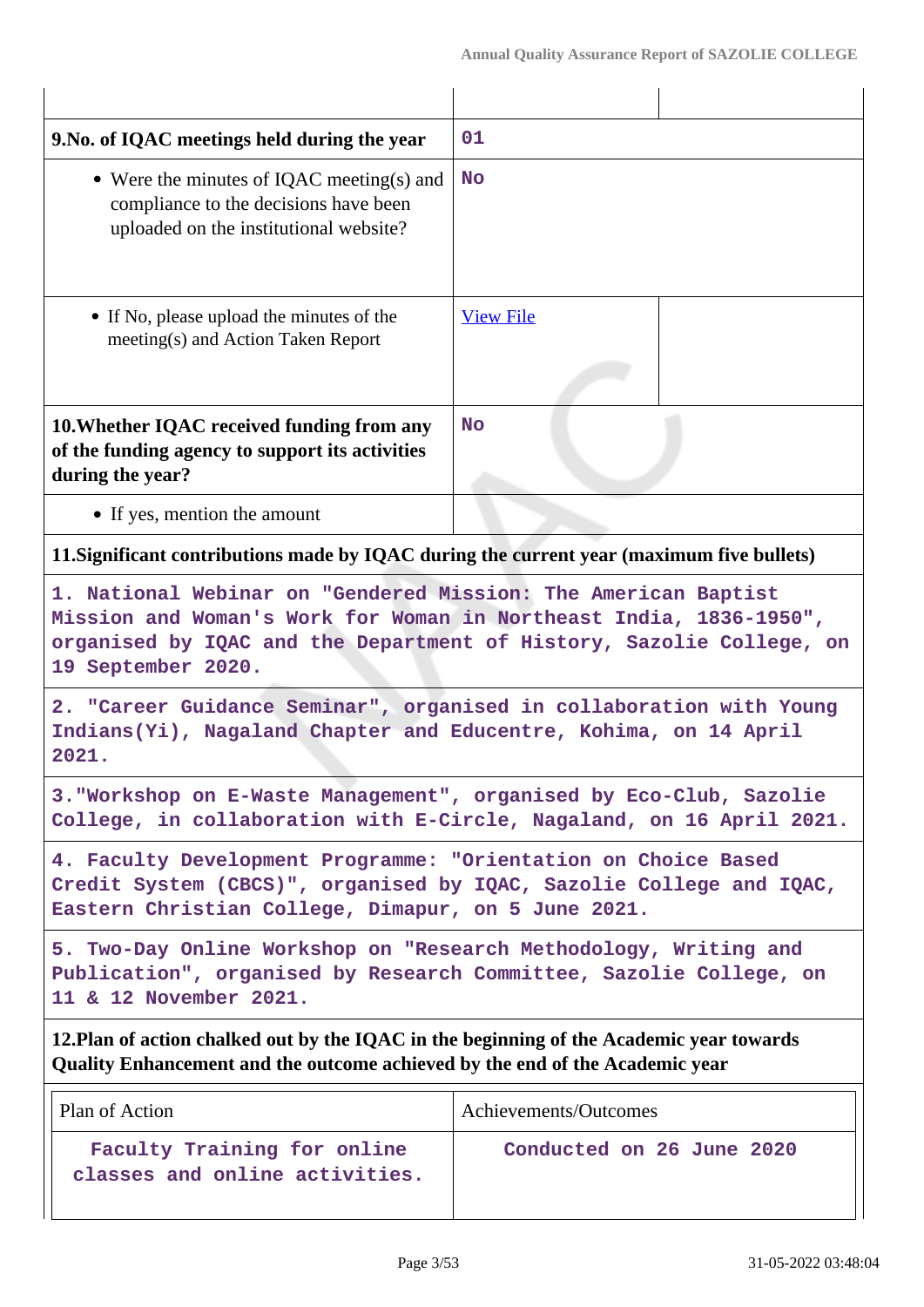| 01                                                                                                                                                                                                                                 |  |  |  |
|------------------------------------------------------------------------------------------------------------------------------------------------------------------------------------------------------------------------------------|--|--|--|
| <b>No</b>                                                                                                                                                                                                                          |  |  |  |
| <b>View File</b>                                                                                                                                                                                                                   |  |  |  |
| <b>No</b>                                                                                                                                                                                                                          |  |  |  |
|                                                                                                                                                                                                                                    |  |  |  |
| 11. Significant contributions made by IQAC during the current year (maximum five bullets)                                                                                                                                          |  |  |  |
| 1. National Webinar on "Gendered Mission: The American Baptist<br>Mission and Woman's Work for Woman in Northeast India, 1836-1950",<br>organised by IQAC and the Department of History, Sazolie College, on<br>19 September 2020. |  |  |  |
| 2. "Career Guidance Seminar", organised in collaboration with Young<br>Indians(Yi), Nagaland Chapter and Educentre, Kohima, on 14 April<br>2021.                                                                                   |  |  |  |
| 3. Workshop on E-Waste Management", organised by Eco-Club, Sazolie<br>College, in collaboration with E-Circle, Nagaland, on 16 April 2021.                                                                                         |  |  |  |
| 4. Faculty Development Programme: "Orientation on Choice Based<br>Credit System (CBCS)", organised by IQAC, Sazolie College and IQAC,<br>Eastern Christian College, Dimapur, on 5 June 2021.                                       |  |  |  |
| 5. Two-Day Online Workshop on "Research Methodology, Writing and<br>Publication", organised by Research Committee, Sazolie College, on<br>11 & 12 November 2021.                                                                   |  |  |  |
| 12. Plan of action chalked out by the IQAC in the beginning of the Academic year towards<br>Quality Enhancement and the outcome achieved by the end of the Academic year                                                           |  |  |  |
| Achievements/Outcomes                                                                                                                                                                                                              |  |  |  |
| Conducted on 26 June 2020                                                                                                                                                                                                          |  |  |  |
|                                                                                                                                                                                                                                    |  |  |  |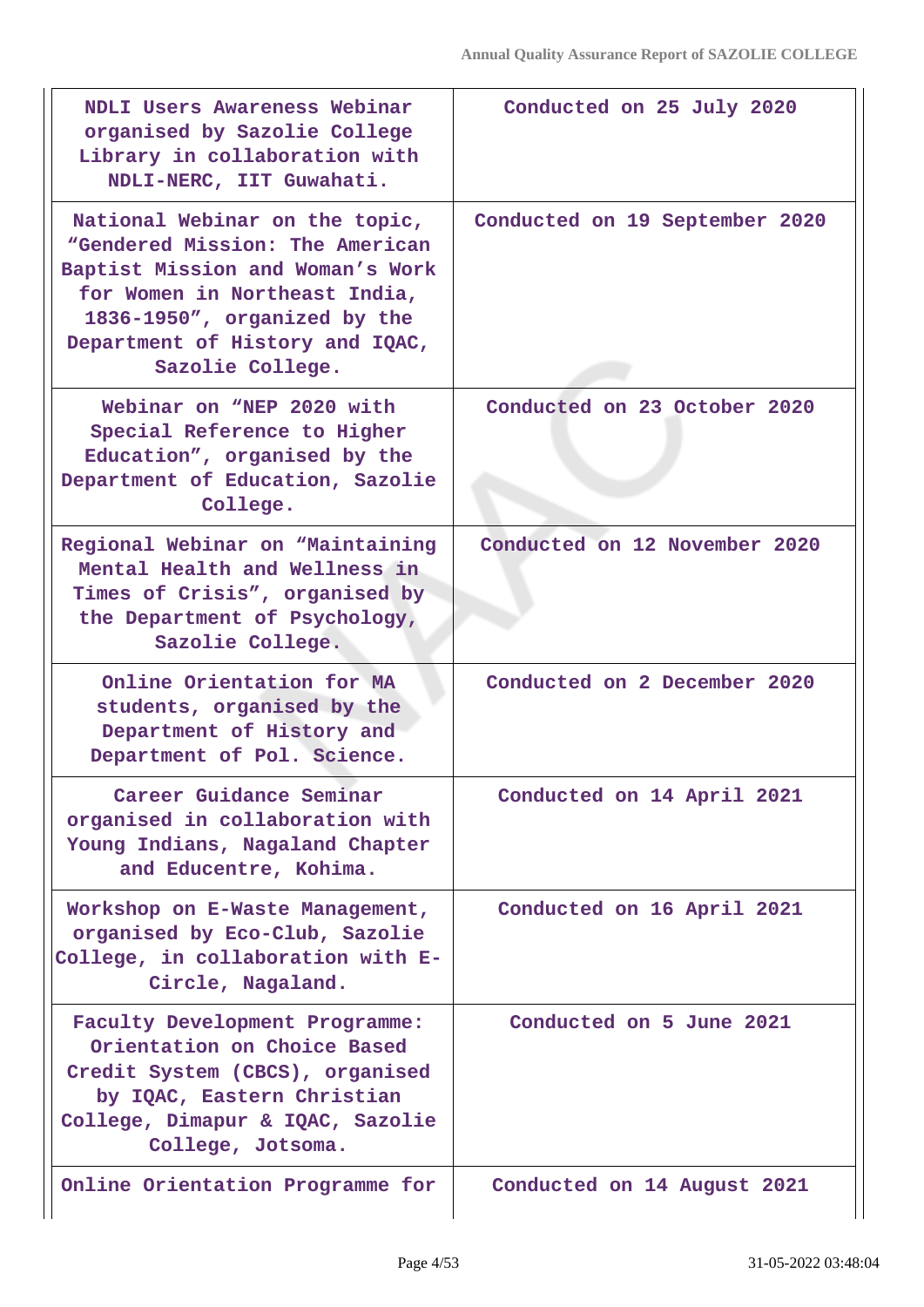| NDLI Users Awareness Webinar<br>organised by Sazolie College<br>Library in collaboration with<br>NDLI-NERC, IIT Guwahati.                                                                                                     | Conducted on 25 July 2020      |
|-------------------------------------------------------------------------------------------------------------------------------------------------------------------------------------------------------------------------------|--------------------------------|
| National Webinar on the topic,<br>"Gendered Mission: The American<br>Baptist Mission and Woman's Work<br>for Women in Northeast India,<br>1836-1950", organized by the<br>Department of History and IQAC,<br>Sazolie College. | Conducted on 19 September 2020 |
| Webinar on "NEP 2020 with<br>Special Reference to Higher<br>Education", organised by the<br>Department of Education, Sazolie<br>College.                                                                                      | Conducted on 23 October 2020   |
| Regional Webinar on "Maintaining<br>Mental Health and Wellness in<br>Times of Crisis", organised by<br>the Department of Psychology,<br>Sazolie College.                                                                      | Conducted on 12 November 2020  |
| Online Orientation for MA<br>students, organised by the<br>Department of History and<br>Department of Pol. Science.                                                                                                           | Conducted on 2 December 2020   |
| Career Guidance Seminar<br>organised in collaboration with<br>Young Indians, Nagaland Chapter<br>and Educentre, Kohima.                                                                                                       | Conducted on 14 April 2021     |
| Workshop on E-Waste Management,<br>organised by Eco-Club, Sazolie<br>College, in collaboration with E-<br>Circle, Nagaland.                                                                                                   | Conducted on 16 April 2021     |
| Faculty Development Programme:<br>Orientation on Choice Based<br>Credit System (CBCS), organised<br>by IQAC, Eastern Christian<br>College, Dimapur & IQAC, Sazolie<br>College, Jotsoma.                                       | Conducted on 5 June 2021       |
| Online Orientation Programme for                                                                                                                                                                                              | Conducted on 14 August 2021    |

 $\mathsf{I}$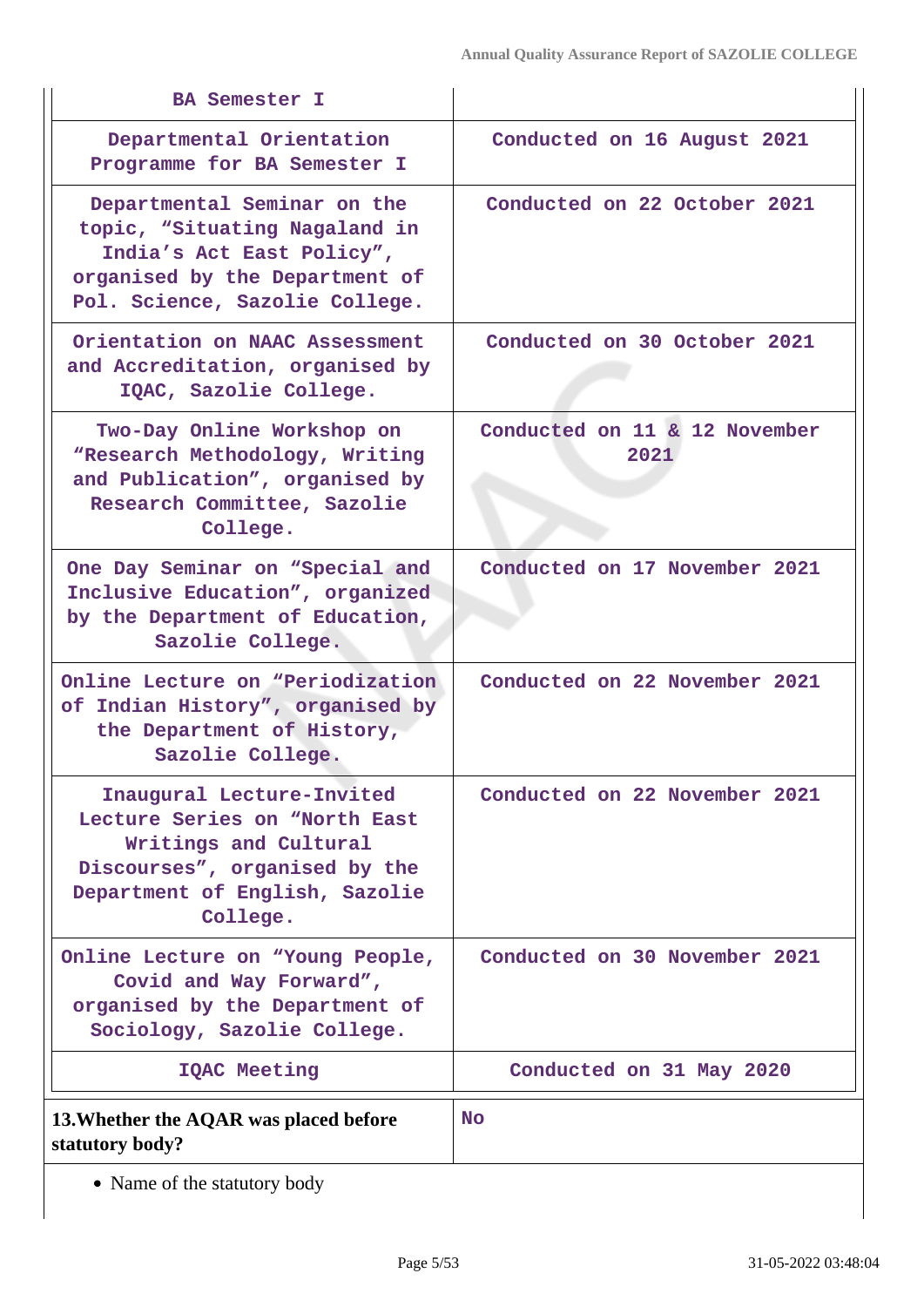| <b>BA Semester I</b>                                                                                                                                               |                                       |
|--------------------------------------------------------------------------------------------------------------------------------------------------------------------|---------------------------------------|
| Departmental Orientation<br>Programme for BA Semester I                                                                                                            | Conducted on 16 August 2021           |
| Departmental Seminar on the<br>topic, "Situating Nagaland in<br>India's Act East Policy",<br>organised by the Department of<br>Pol. Science, Sazolie College.      | Conducted on 22 October 2021          |
| Orientation on NAAC Assessment<br>and Accreditation, organised by<br>IQAC, Sazolie College.                                                                        | Conducted on 30 October 2021          |
| Two-Day Online Workshop on<br>"Research Methodology, Writing<br>and Publication", organised by<br>Research Committee, Sazolie<br>College.                          | Conducted on 11 & 12 November<br>2021 |
| One Day Seminar on "Special and<br>Inclusive Education", organized<br>by the Department of Education,<br>Sazolie College.                                          | Conducted on 17 November 2021         |
| Online Lecture on "Periodization"<br>of Indian History", organised by<br>the Department of History,<br>Sazolie College.                                            | Conducted on 22 November 2021         |
| Inaugural Lecture-Invited<br>Lecture Series on "North East<br>Writings and Cultural<br>Discourses", organised by the<br>Department of English, Sazolie<br>College. | Conducted on 22 November 2021         |
| Online Lecture on "Young People,<br>Covid and Way Forward",<br>organised by the Department of<br>Sociology, Sazolie College.                                       | Conducted on 30 November 2021         |
| <b>IQAC Meeting</b>                                                                                                                                                | Conducted on 31 May 2020              |
| 13. Whether the AQAR was placed before<br>statutory body?                                                                                                          | No.                                   |

• Name of the statutory body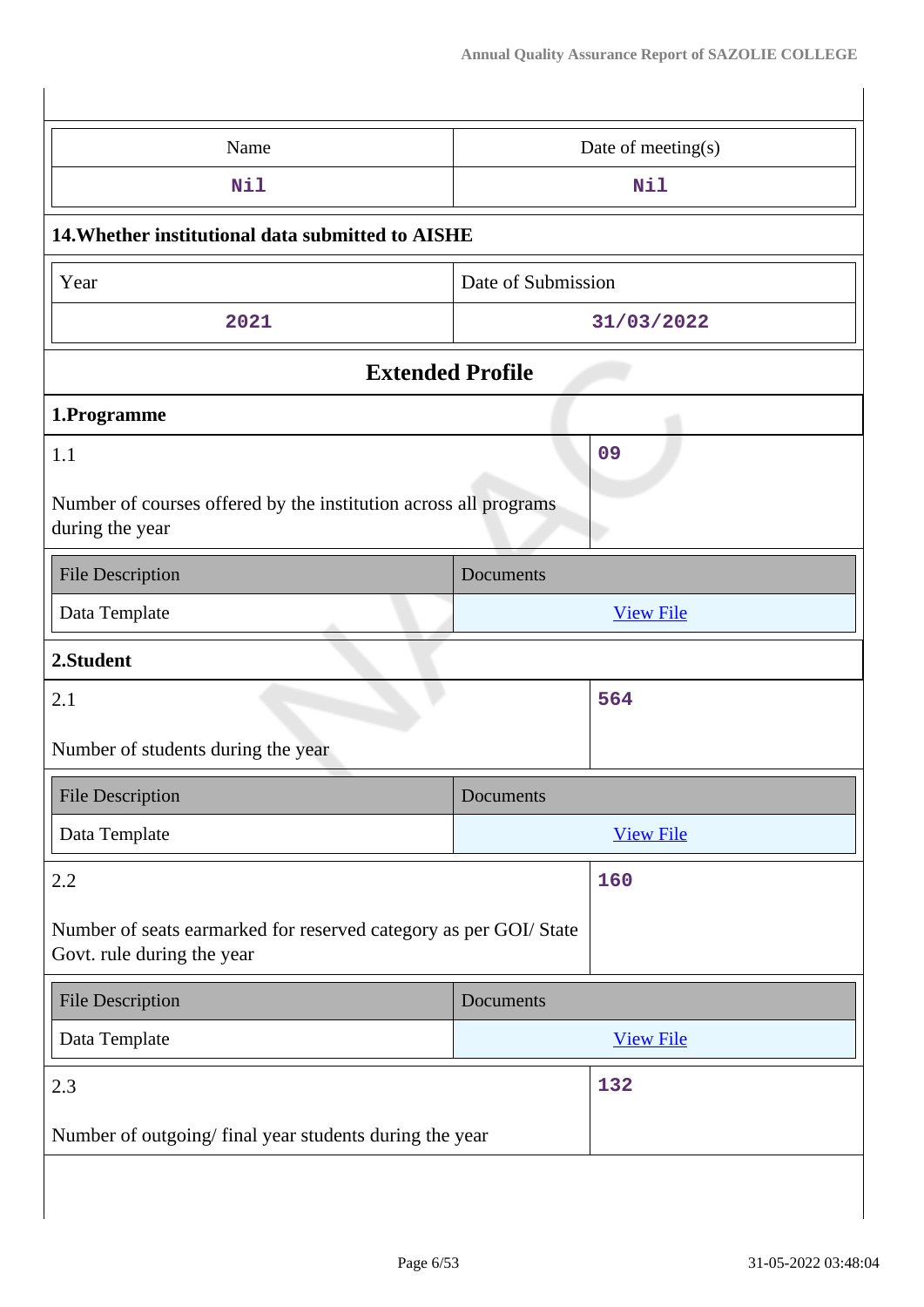| Name                                                                                            | Date of meeting(s) |  |
|-------------------------------------------------------------------------------------------------|--------------------|--|
| Nil                                                                                             | Nil                |  |
| 14. Whether institutional data submitted to AISHE                                               |                    |  |
| Year                                                                                            | Date of Submission |  |
| 2021                                                                                            | 31/03/2022         |  |
| <b>Extended Profile</b>                                                                         |                    |  |
| 1.Programme                                                                                     |                    |  |
| 1.1                                                                                             | 09                 |  |
| Number of courses offered by the institution across all programs<br>during the year             |                    |  |
| <b>File Description</b>                                                                         | Documents          |  |
| Data Template                                                                                   | <b>View File</b>   |  |
|                                                                                                 |                    |  |
| 2.Student                                                                                       |                    |  |
| 2.1                                                                                             | 564                |  |
| Number of students during the year                                                              |                    |  |
| <b>File Description</b>                                                                         | Documents          |  |
| Data Template                                                                                   | <b>View File</b>   |  |
| 2.2                                                                                             | 160                |  |
| Number of seats earmarked for reserved category as per GOI/ State<br>Govt. rule during the year |                    |  |
| <b>File Description</b>                                                                         | Documents          |  |
| Data Template                                                                                   | <b>View File</b>   |  |
| 2.3                                                                                             | 132                |  |
| Number of outgoing/final year students during the year                                          |                    |  |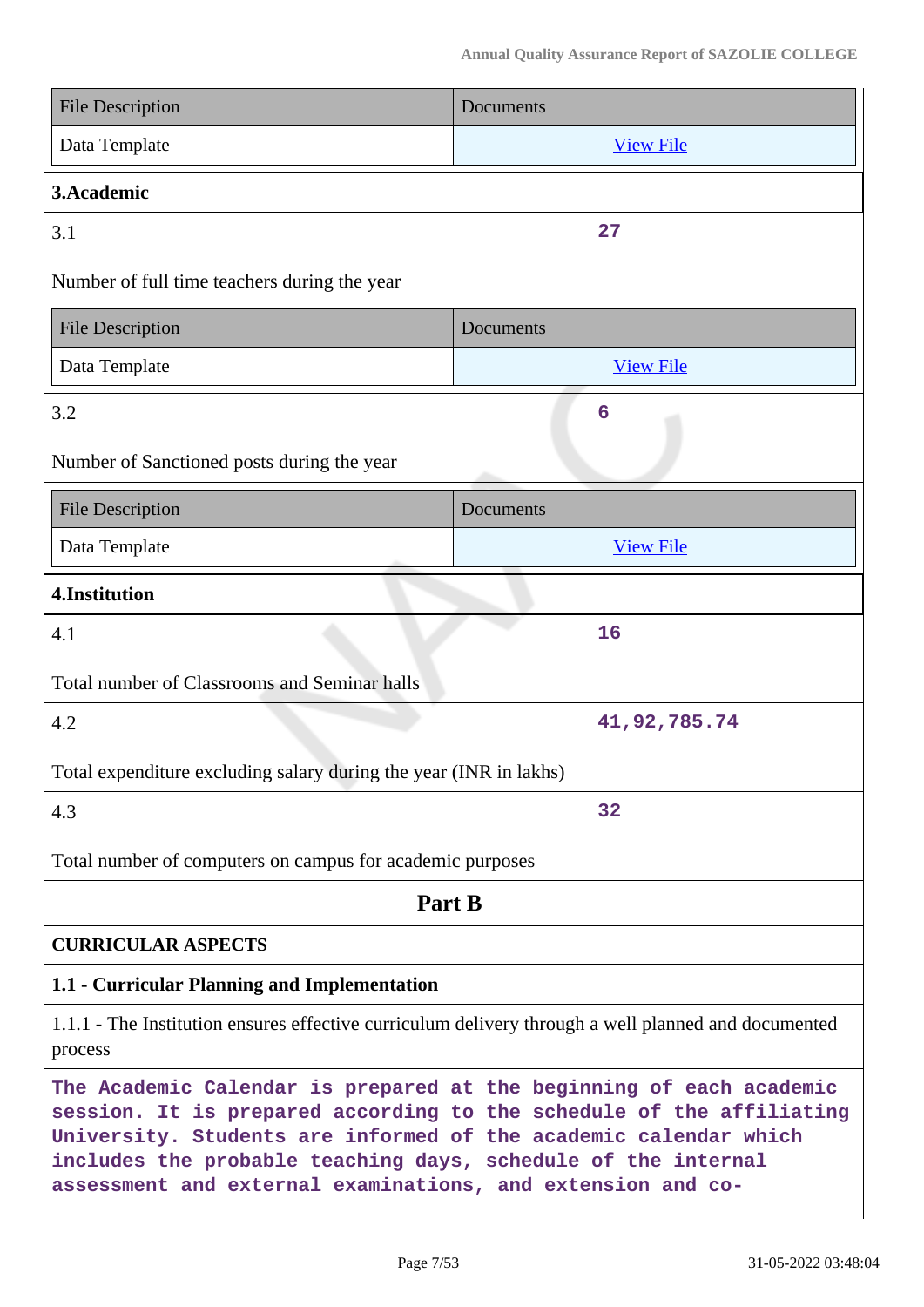| <b>File Description</b>                                                                                                                                                                                                                                                                                                                         | Documents |                  |
|-------------------------------------------------------------------------------------------------------------------------------------------------------------------------------------------------------------------------------------------------------------------------------------------------------------------------------------------------|-----------|------------------|
| Data Template                                                                                                                                                                                                                                                                                                                                   |           | <b>View File</b> |
| 3.Academic                                                                                                                                                                                                                                                                                                                                      |           |                  |
| 3.1                                                                                                                                                                                                                                                                                                                                             |           | 27               |
| Number of full time teachers during the year                                                                                                                                                                                                                                                                                                    |           |                  |
| <b>File Description</b>                                                                                                                                                                                                                                                                                                                         | Documents |                  |
| Data Template                                                                                                                                                                                                                                                                                                                                   |           | <b>View File</b> |
| 3.2                                                                                                                                                                                                                                                                                                                                             |           | 6                |
| Number of Sanctioned posts during the year                                                                                                                                                                                                                                                                                                      |           |                  |
| <b>File Description</b>                                                                                                                                                                                                                                                                                                                         | Documents |                  |
| Data Template                                                                                                                                                                                                                                                                                                                                   |           | <b>View File</b> |
| 4.Institution                                                                                                                                                                                                                                                                                                                                   |           |                  |
| 4.1                                                                                                                                                                                                                                                                                                                                             |           | 16               |
| Total number of Classrooms and Seminar halls                                                                                                                                                                                                                                                                                                    |           |                  |
| 4.2                                                                                                                                                                                                                                                                                                                                             |           | 41,92,785.74     |
| Total expenditure excluding salary during the year (INR in lakhs)                                                                                                                                                                                                                                                                               |           |                  |
| 4.3                                                                                                                                                                                                                                                                                                                                             |           | 32               |
| Total number of computers on campus for academic purposes                                                                                                                                                                                                                                                                                       |           |                  |
| Part B                                                                                                                                                                                                                                                                                                                                          |           |                  |
| <b>CURRICULAR ASPECTS</b>                                                                                                                                                                                                                                                                                                                       |           |                  |
| 1.1 - Curricular Planning and Implementation                                                                                                                                                                                                                                                                                                    |           |                  |
| 1.1.1 - The Institution ensures effective curriculum delivery through a well planned and documented<br>process                                                                                                                                                                                                                                  |           |                  |
| The Academic Calendar is prepared at the beginning of each academic<br>session. It is prepared according to the schedule of the affiliating<br>University. Students are informed of the academic calendar which<br>includes the probable teaching days, schedule of the internal<br>assessment and external examinations, and extension and co- |           |                  |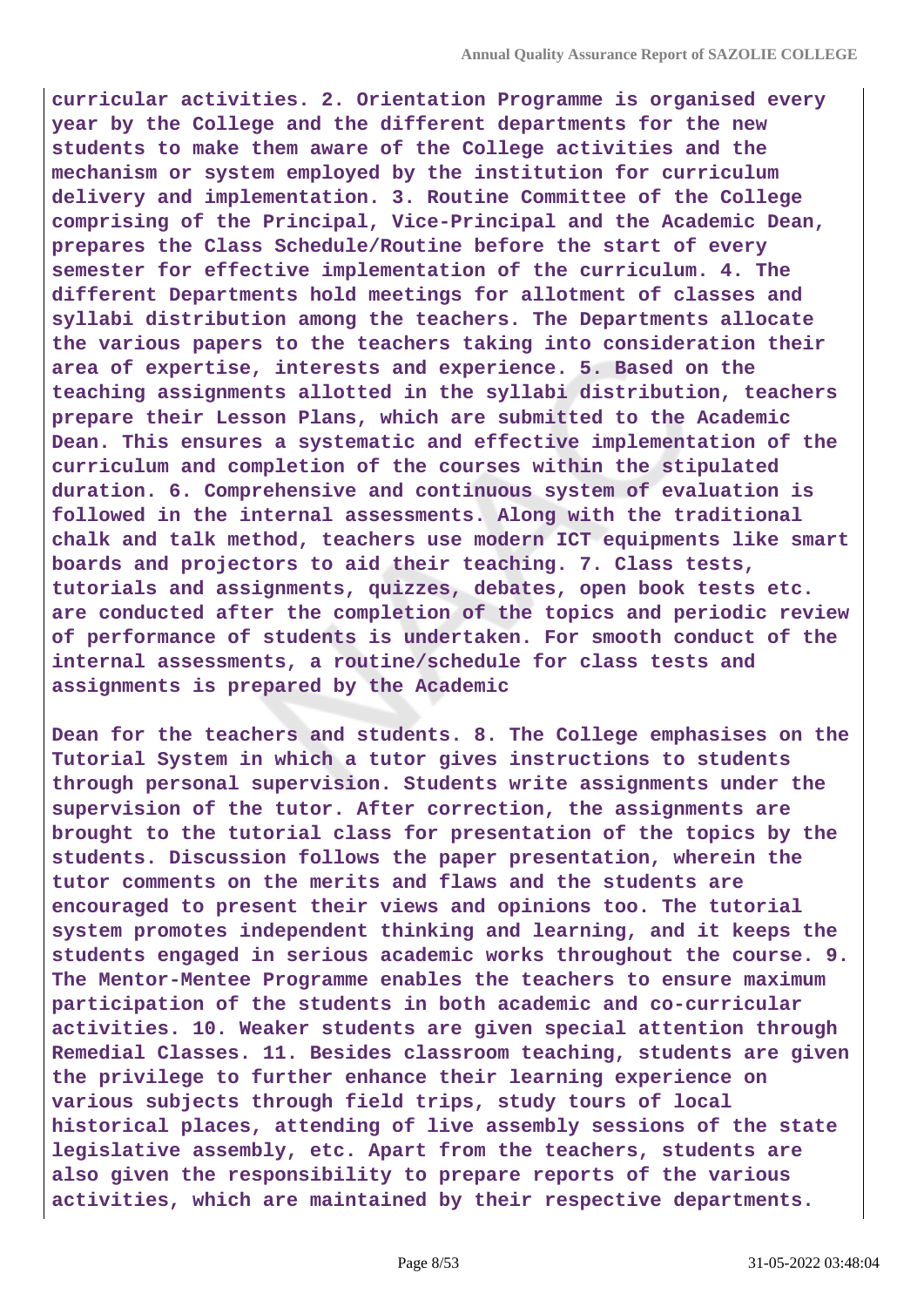**curricular activities. 2. Orientation Programme is organised every year by the College and the different departments for the new students to make them aware of the College activities and the mechanism or system employed by the institution for curriculum delivery and implementation. 3. Routine Committee of the College comprising of the Principal, Vice-Principal and the Academic Dean, prepares the Class Schedule/Routine before the start of every semester for effective implementation of the curriculum. 4. The different Departments hold meetings for allotment of classes and syllabi distribution among the teachers. The Departments allocate the various papers to the teachers taking into consideration their area of expertise, interests and experience. 5. Based on the teaching assignments allotted in the syllabi distribution, teachers prepare their Lesson Plans, which are submitted to the Academic Dean. This ensures a systematic and effective implementation of the curriculum and completion of the courses within the stipulated duration. 6. Comprehensive and continuous system of evaluation is followed in the internal assessments. Along with the traditional chalk and talk method, teachers use modern ICT equipments like smart boards and projectors to aid their teaching. 7. Class tests, tutorials and assignments, quizzes, debates, open book tests etc. are conducted after the completion of the topics and periodic review of performance of students is undertaken. For smooth conduct of the internal assessments, a routine/schedule for class tests and assignments is prepared by the Academic**

**Dean for the teachers and students. 8. The College emphasises on the Tutorial System in which a tutor gives instructions to students through personal supervision. Students write assignments under the supervision of the tutor. After correction, the assignments are brought to the tutorial class for presentation of the topics by the students. Discussion follows the paper presentation, wherein the tutor comments on the merits and flaws and the students are encouraged to present their views and opinions too. The tutorial system promotes independent thinking and learning, and it keeps the students engaged in serious academic works throughout the course. 9. The Mentor-Mentee Programme enables the teachers to ensure maximum participation of the students in both academic and co-curricular activities. 10. Weaker students are given special attention through Remedial Classes. 11. Besides classroom teaching, students are given the privilege to further enhance their learning experience on various subjects through field trips, study tours of local historical places, attending of live assembly sessions of the state legislative assembly, etc. Apart from the teachers, students are also given the responsibility to prepare reports of the various activities, which are maintained by their respective departments.**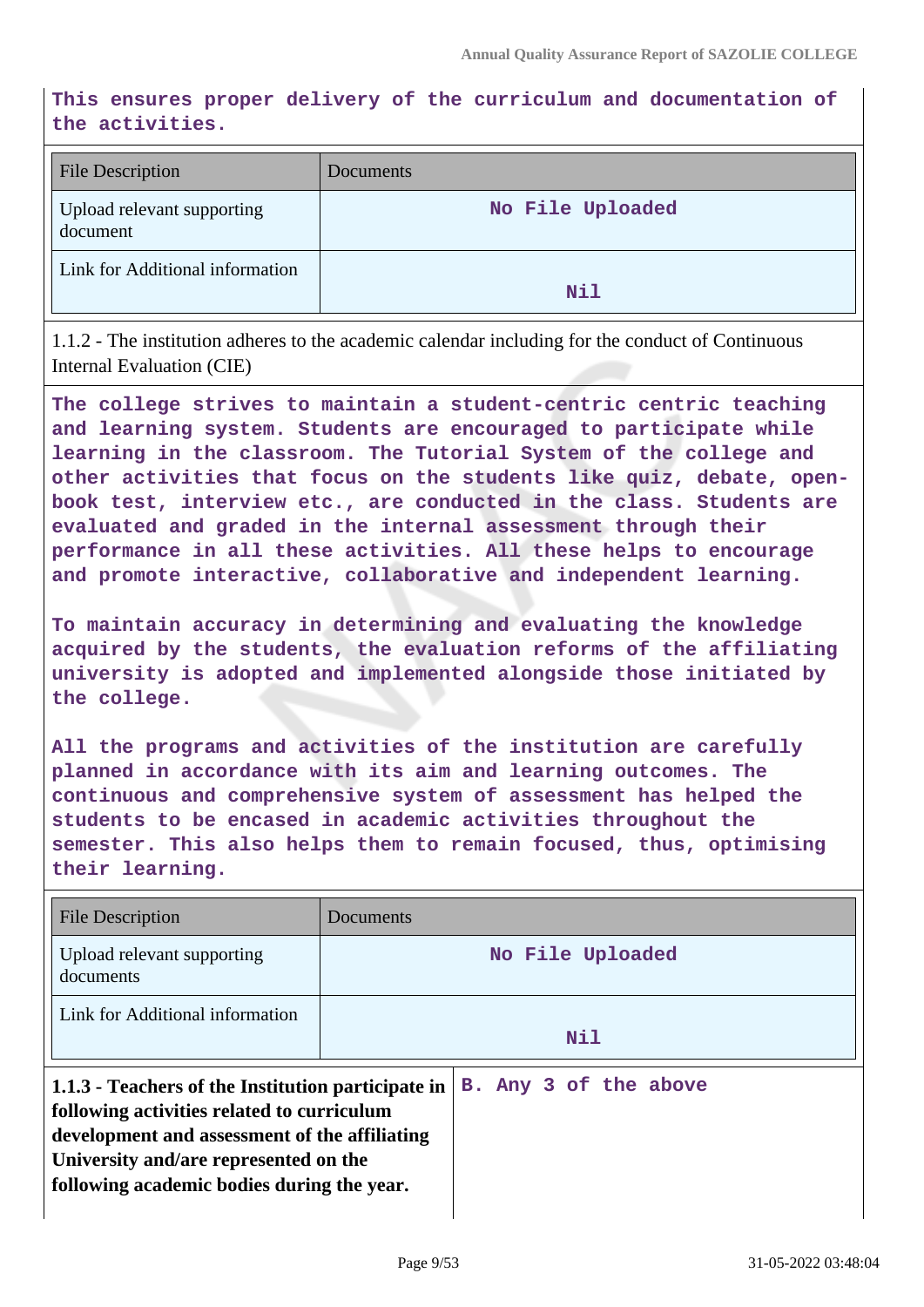**This ensures proper delivery of the curriculum and documentation of the activities.**

| <b>File Description</b>                | Documents        |
|----------------------------------------|------------------|
| Upload relevant supporting<br>document | No File Uploaded |
| Link for Additional information        | Nil              |

1.1.2 - The institution adheres to the academic calendar including for the conduct of Continuous Internal Evaluation (CIE)

**The college strives to maintain a student-centric centric teaching and learning system. Students are encouraged to participate while learning in the classroom. The Tutorial System of the college and other activities that focus on the students like quiz, debate, openbook test, interview etc., are conducted in the class. Students are evaluated and graded in the internal assessment through their performance in all these activities. All these helps to encourage and promote interactive, collaborative and independent learning.**

**To maintain accuracy in determining and evaluating the knowledge acquired by the students, the evaluation reforms of the affiliating university is adopted and implemented alongside those initiated by the college.**

**All the programs and activities of the institution are carefully planned in accordance with its aim and learning outcomes. The continuous and comprehensive system of assessment has helped the students to be encased in academic activities throughout the semester. This also helps them to remain focused, thus, optimising their learning.**

| <b>File Description</b>                                                                                                                                                                                                                  | Documents             |  |
|------------------------------------------------------------------------------------------------------------------------------------------------------------------------------------------------------------------------------------------|-----------------------|--|
| Upload relevant supporting<br>documents                                                                                                                                                                                                  | No File Uploaded      |  |
| Link for Additional information                                                                                                                                                                                                          | Nil                   |  |
| 1.1.3 - Teachers of the Institution participate in<br>following activities related to curriculum<br>development and assessment of the affiliating<br>University and/are represented on the<br>following academic bodies during the year. | B. Any 3 of the above |  |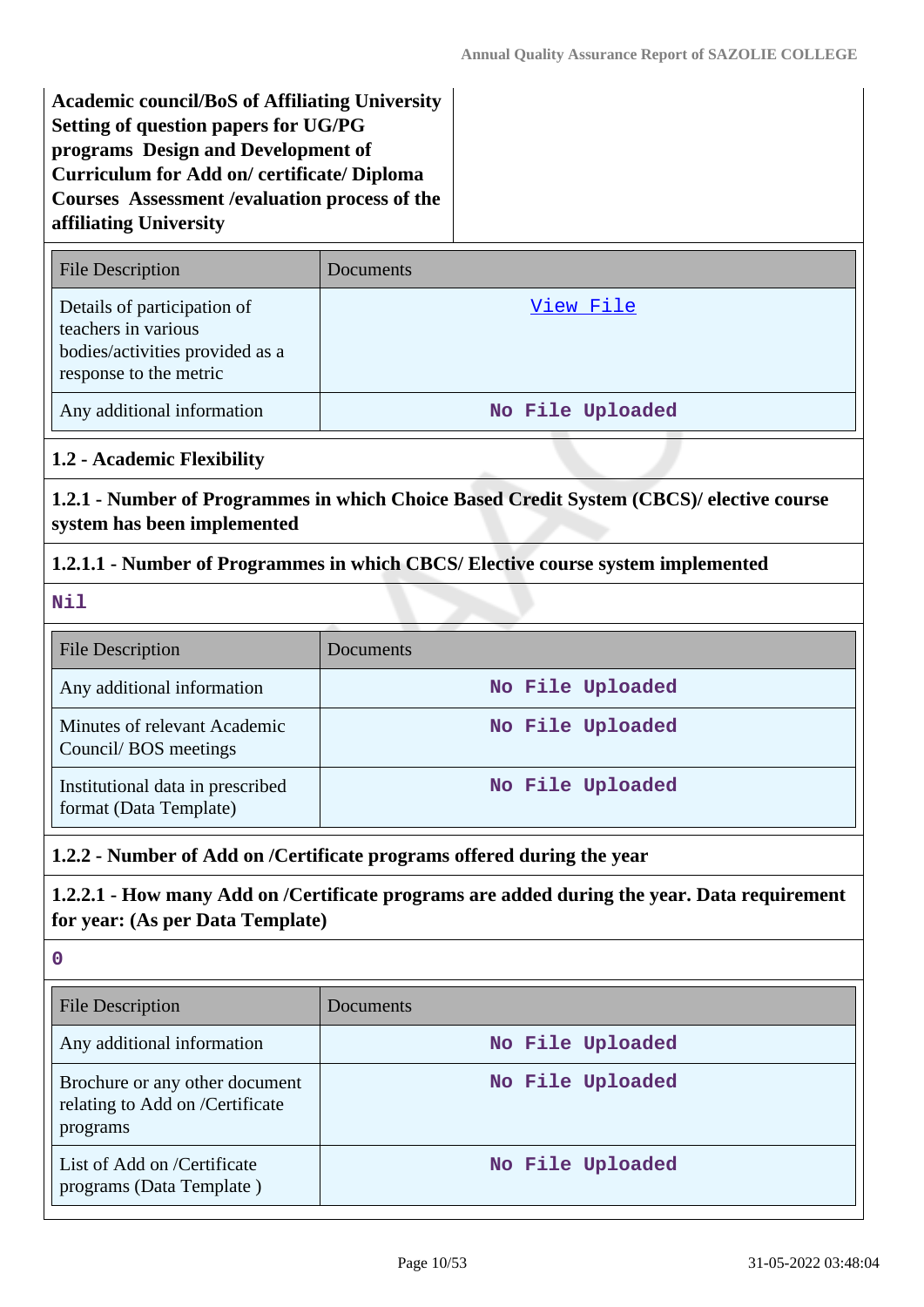**Academic council/BoS of Affiliating University Setting of question papers for UG/PG programs Design and Development of Curriculum for Add on/ certificate/ Diploma Courses Assessment /evaluation process of the affiliating University**

| <b>File Description</b>                                                                                         | Documents         |
|-----------------------------------------------------------------------------------------------------------------|-------------------|
| Details of participation of<br>teachers in various<br>bodies/activities provided as a<br>response to the metric | <u>View Fil</u> e |
| Any additional information                                                                                      | No File Uploaded  |

**1.2 - Academic Flexibility**

**1.2.1 - Number of Programmes in which Choice Based Credit System (CBCS)/ elective course system has been implemented**

## **1.2.1.1 - Number of Programmes in which CBCS/ Elective course system implemented**

**Nil**

| <b>File Description</b>                                    | <b>Documents</b> |
|------------------------------------------------------------|------------------|
| Any additional information                                 | No File Uploaded |
| Minutes of relevant Academic<br>Council/BOS meetings       | No File Uploaded |
| Institutional data in prescribed<br>format (Data Template) | No File Uploaded |

## **1.2.2 - Number of Add on /Certificate programs offered during the year**

# **1.2.2.1 - How many Add on /Certificate programs are added during the year. Data requirement for year: (As per Data Template)**

**0**

| File Description                                                              | Documents        |
|-------------------------------------------------------------------------------|------------------|
| Any additional information                                                    | No File Uploaded |
| Brochure or any other document<br>relating to Add on /Certificate<br>programs | No File Uploaded |
| List of Add on /Certificate<br>programs (Data Template)                       | No File Uploaded |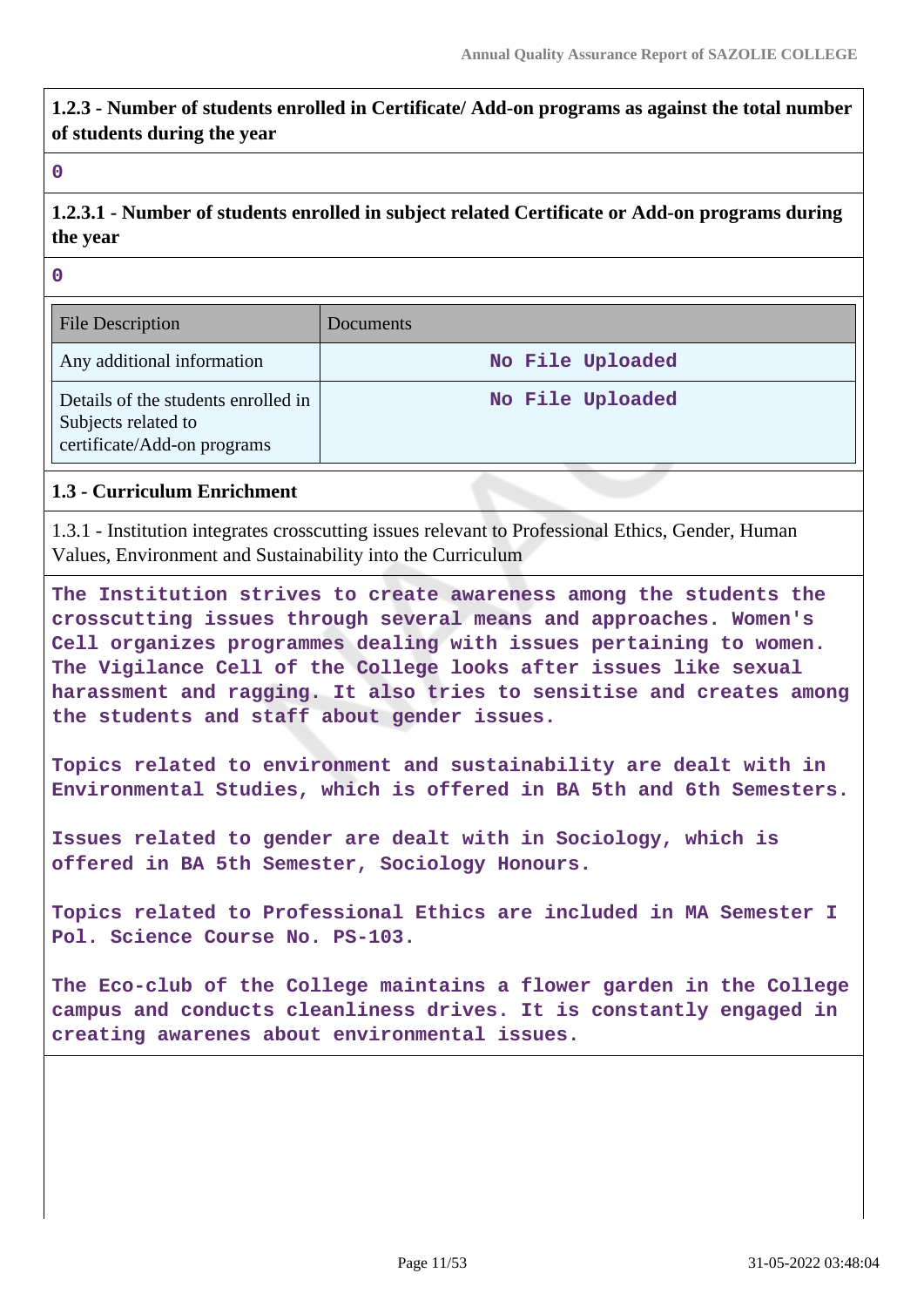**1.2.3 - Number of students enrolled in Certificate/ Add-on programs as against the total number of students during the year**

**0**

# **1.2.3.1 - Number of students enrolled in subject related Certificate or Add-on programs during the year**

**0**

| <b>File Description</b>                                                                   | Documents        |
|-------------------------------------------------------------------------------------------|------------------|
| Any additional information                                                                | No File Uploaded |
| Details of the students enrolled in<br>Subjects related to<br>certificate/Add-on programs | No File Uploaded |

## **1.3 - Curriculum Enrichment**

1.3.1 - Institution integrates crosscutting issues relevant to Professional Ethics, Gender, Human Values, Environment and Sustainability into the Curriculum

**The Institution strives to create awareness among the students the crosscutting issues through several means and approaches. Women's Cell organizes programmes dealing with issues pertaining to women. The Vigilance Cell of the College looks after issues like sexual harassment and ragging. It also tries to sensitise and creates among the students and staff about gender issues.**

**Topics related to environment and sustainability are dealt with in Environmental Studies, which is offered in BA 5th and 6th Semesters.**

**Issues related to gender are dealt with in Sociology, which is offered in BA 5th Semester, Sociology Honours.**

**Topics related to Professional Ethics are included in MA Semester I Pol. Science Course No. PS-103.**

**The Eco-club of the College maintains a flower garden in the College campus and conducts cleanliness drives. It is constantly engaged in creating awarenes about environmental issues.**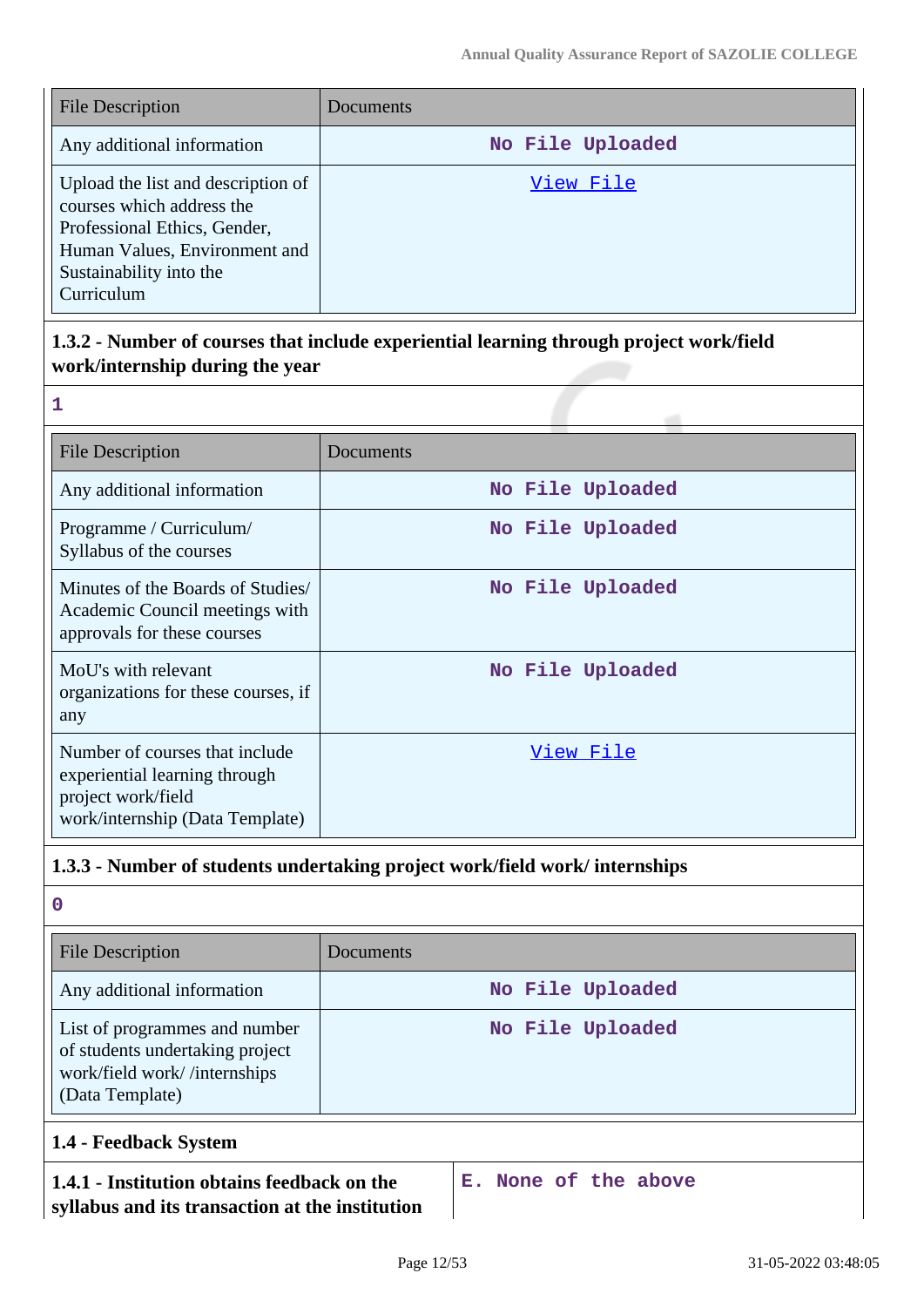| <b>File Description</b>                                                                                                                                                   | <b>Documents</b> |
|---------------------------------------------------------------------------------------------------------------------------------------------------------------------------|------------------|
| Any additional information                                                                                                                                                | No File Uploaded |
| Upload the list and description of<br>courses which address the<br>Professional Ethics, Gender,<br>Human Values, Environment and<br>Sustainability into the<br>Curriculum | View File        |

# **1.3.2 - Number of courses that include experiential learning through project work/field work/internship during the year**

| <b>File Description</b>                                                                                                  | Documents        |
|--------------------------------------------------------------------------------------------------------------------------|------------------|
| Any additional information                                                                                               | No File Uploaded |
| Programme / Curriculum/<br>Syllabus of the courses                                                                       | No File Uploaded |
| Minutes of the Boards of Studies/<br>Academic Council meetings with<br>approvals for these courses                       | No File Uploaded |
| MoU's with relevant<br>organizations for these courses, if<br>any                                                        | No File Uploaded |
| Number of courses that include<br>experiential learning through<br>project work/field<br>work/internship (Data Template) | View File        |

# **1.3.3 - Number of students undertaking project work/field work/ internships**

**0**

**1**

| <b>File Description</b>                                                                                             | Documents        |
|---------------------------------------------------------------------------------------------------------------------|------------------|
| Any additional information                                                                                          | No File Uploaded |
| List of programmes and number<br>of students undertaking project<br>work/field work//internships<br>(Data Template) | No File Uploaded |
| 1.4 - Feedback System                                                                                               |                  |

# **1.4.1 - Institution obtains feedback on the**

**syllabus and its transaction at the institution**

**E. None of the above**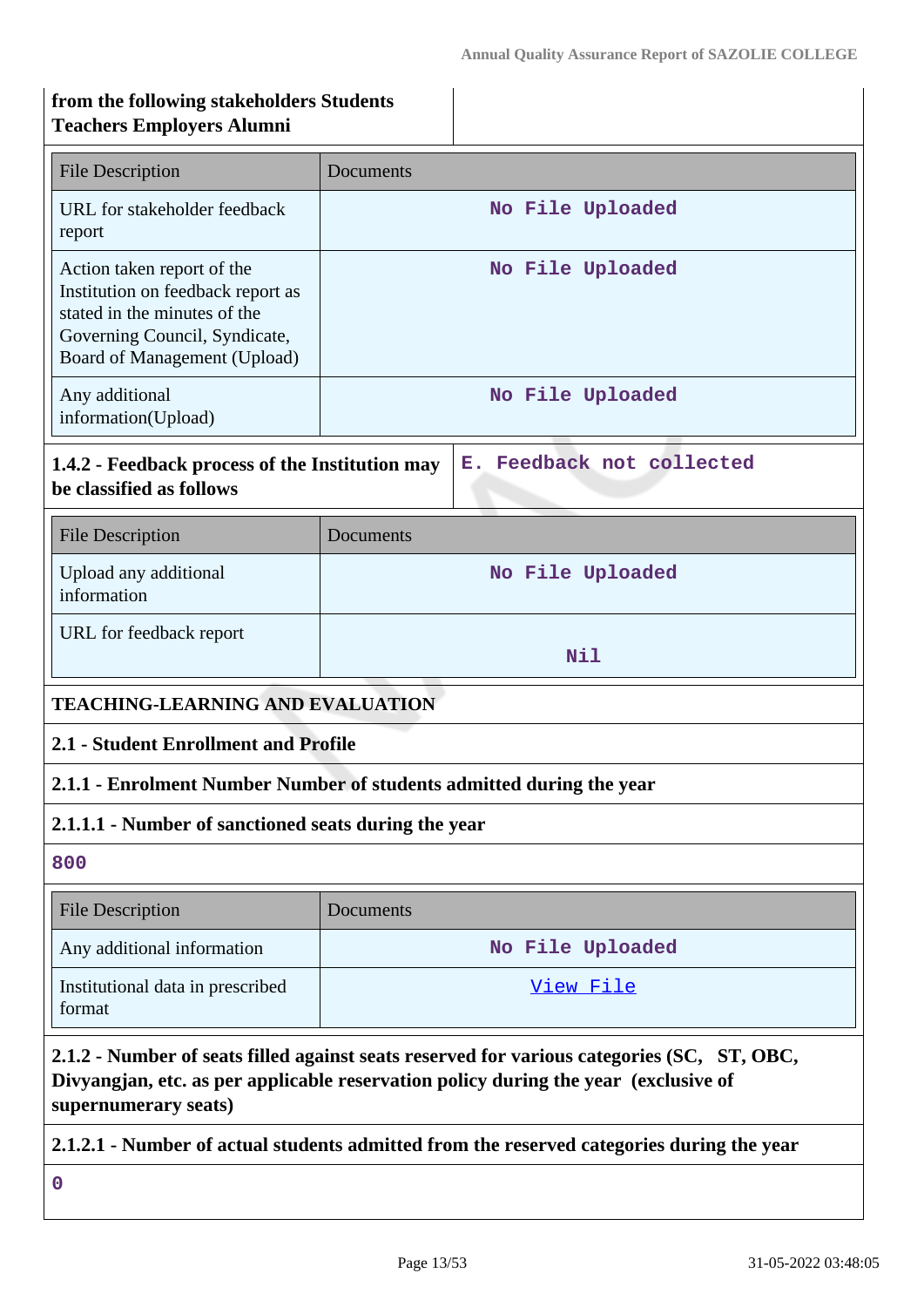# **from the following stakeholders Students Teachers Employers Alumni**

| <b>File Description</b>                                                                                                                                                                                   | Documents                                                            |  |
|-----------------------------------------------------------------------------------------------------------------------------------------------------------------------------------------------------------|----------------------------------------------------------------------|--|
| URL for stakeholder feedback<br>report                                                                                                                                                                    | No File Uploaded                                                     |  |
| Action taken report of the<br>Institution on feedback report as<br>stated in the minutes of the<br>Governing Council, Syndicate,<br>Board of Management (Upload)                                          | No File Uploaded                                                     |  |
| Any additional<br>information(Upload)                                                                                                                                                                     | No File Uploaded                                                     |  |
| 1.4.2 - Feedback process of the Institution may<br>be classified as follows                                                                                                                               | E. Feedback not collected                                            |  |
| <b>File Description</b>                                                                                                                                                                                   | Documents                                                            |  |
| Upload any additional<br>information                                                                                                                                                                      | No File Uploaded                                                     |  |
| URL for feedback report                                                                                                                                                                                   | Nil                                                                  |  |
| <b>TEACHING-LEARNING AND EVALUATION</b>                                                                                                                                                                   |                                                                      |  |
| 2.1 - Student Enrollment and Profile                                                                                                                                                                      |                                                                      |  |
|                                                                                                                                                                                                           | 2.1.1 - Enrolment Number Number of students admitted during the year |  |
|                                                                                                                                                                                                           | 2.1.1.1 - Number of sanctioned seats during the year                 |  |
| 800                                                                                                                                                                                                       |                                                                      |  |
| <b>File Description</b>                                                                                                                                                                                   | Documents                                                            |  |
| Any additional information                                                                                                                                                                                | No File Uploaded                                                     |  |
| Institutional data in prescribed<br>format                                                                                                                                                                | <u>View File</u>                                                     |  |
| 2.1.2 - Number of seats filled against seats reserved for various categories (SC, ST, OBC,<br>Divyangjan, etc. as per applicable reservation policy during the year (exclusive of<br>supernumerary seats) |                                                                      |  |

**2.1.2.1 - Number of actual students admitted from the reserved categories during the year**

**0**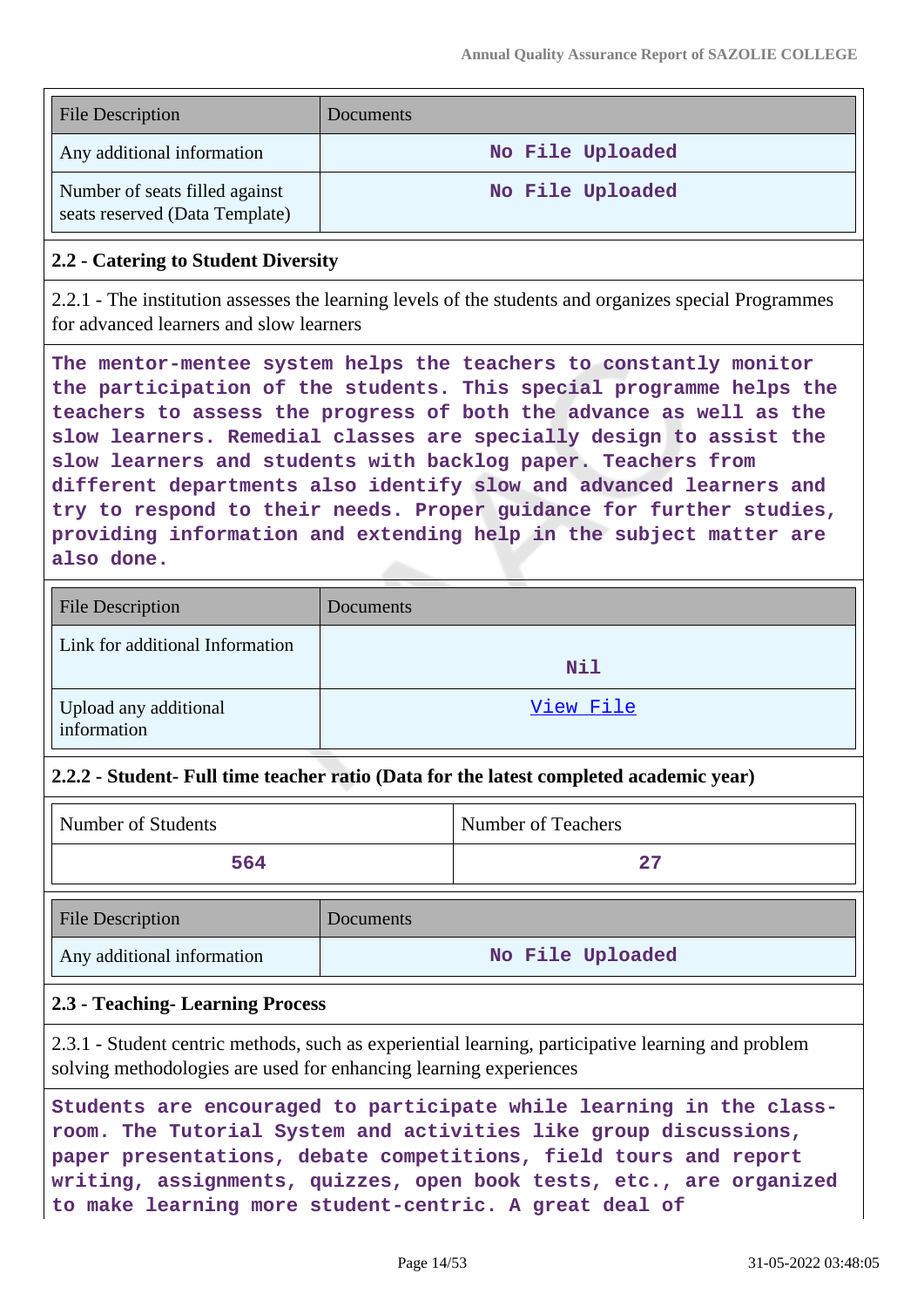| <b>File Description</b>                                          | Documents        |
|------------------------------------------------------------------|------------------|
| Any additional information                                       | No File Uploaded |
| Number of seats filled against<br>seats reserved (Data Template) | No File Uploaded |

#### **2.2 - Catering to Student Diversity**

2.2.1 - The institution assesses the learning levels of the students and organizes special Programmes for advanced learners and slow learners

**The mentor-mentee system helps the teachers to constantly monitor the participation of the students. This special programme helps the teachers to assess the progress of both the advance as well as the slow learners. Remedial classes are specially design to assist the slow learners and students with backlog paper. Teachers from different departments also identify slow and advanced learners and try to respond to their needs. Proper guidance for further studies, providing information and extending help in the subject matter are also done.**

| <b>File Description</b>              | <b>Documents</b> |
|--------------------------------------|------------------|
| Link for additional Information      | Nil              |
| Upload any additional<br>information | View File        |

#### **2.2.2 - Student- Full time teacher ratio (Data for the latest completed academic year)**

| Number of Students         |           | Number of Teachers |
|----------------------------|-----------|--------------------|
| 564                        |           | 27                 |
| <b>File Description</b>    | Documents |                    |
| Any additional information |           | No File Uploaded   |

## **2.3 - Teaching- Learning Process**

2.3.1 - Student centric methods, such as experiential learning, participative learning and problem solving methodologies are used for enhancing learning experiences

**Students are encouraged to participate while learning in the classroom. The Tutorial System and activities like group discussions, paper presentations, debate competitions, field tours and report writing, assignments, quizzes, open book tests, etc., are organized to make learning more student-centric. A great deal of**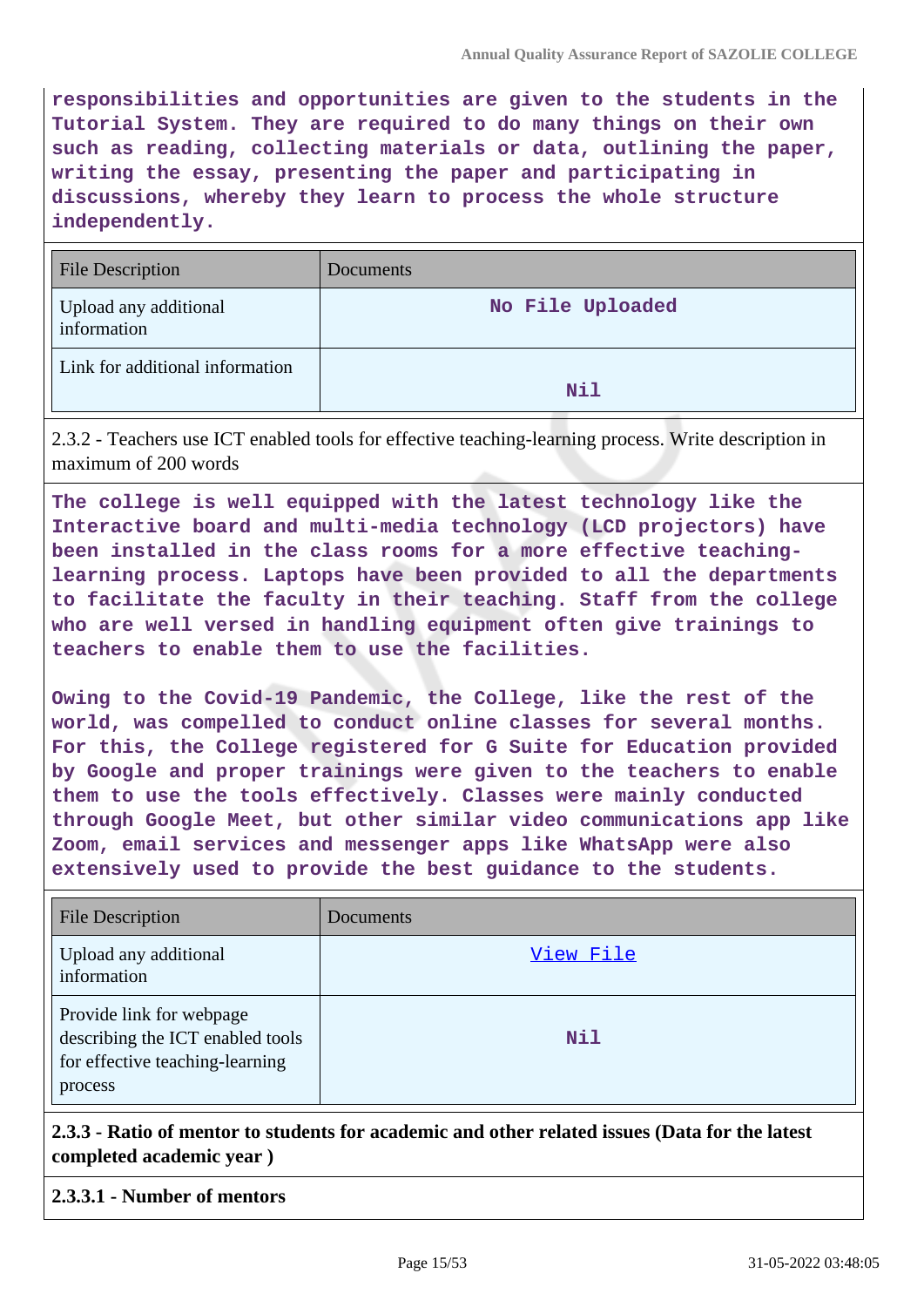**responsibilities and opportunities are given to the students in the Tutorial System. They are required to do many things on their own such as reading, collecting materials or data, outlining the paper, writing the essay, presenting the paper and participating in discussions, whereby they learn to process the whole structure independently.**

| <b>File Description</b>              | Documents        |
|--------------------------------------|------------------|
| Upload any additional<br>information | No File Uploaded |
| Link for additional information      | Nil              |

2.3.2 - Teachers use ICT enabled tools for effective teaching-learning process. Write description in maximum of 200 words

**The college is well equipped with the latest technology like the Interactive board and multi-media technology (LCD projectors) have been installed in the class rooms for a more effective teachinglearning process. Laptops have been provided to all the departments to facilitate the faculty in their teaching. Staff from the college who are well versed in handling equipment often give trainings to teachers to enable them to use the facilities.**

**Owing to the Covid-19 Pandemic, the College, like the rest of the world, was compelled to conduct online classes for several months. For this, the College registered for G Suite for Education provided by Google and proper trainings were given to the teachers to enable them to use the tools effectively. Classes were mainly conducted through Google Meet, but other similar video communications app like Zoom, email services and messenger apps like WhatsApp were also extensively used to provide the best guidance to the students.**

| <b>File Description</b>                                                                                    | Documents |
|------------------------------------------------------------------------------------------------------------|-----------|
| Upload any additional<br>information                                                                       | View File |
| Provide link for webpage<br>describing the ICT enabled tools<br>for effective teaching-learning<br>process | Nil       |

**2.3.3 - Ratio of mentor to students for academic and other related issues (Data for the latest completed academic year )**

#### **2.3.3.1 - Number of mentors**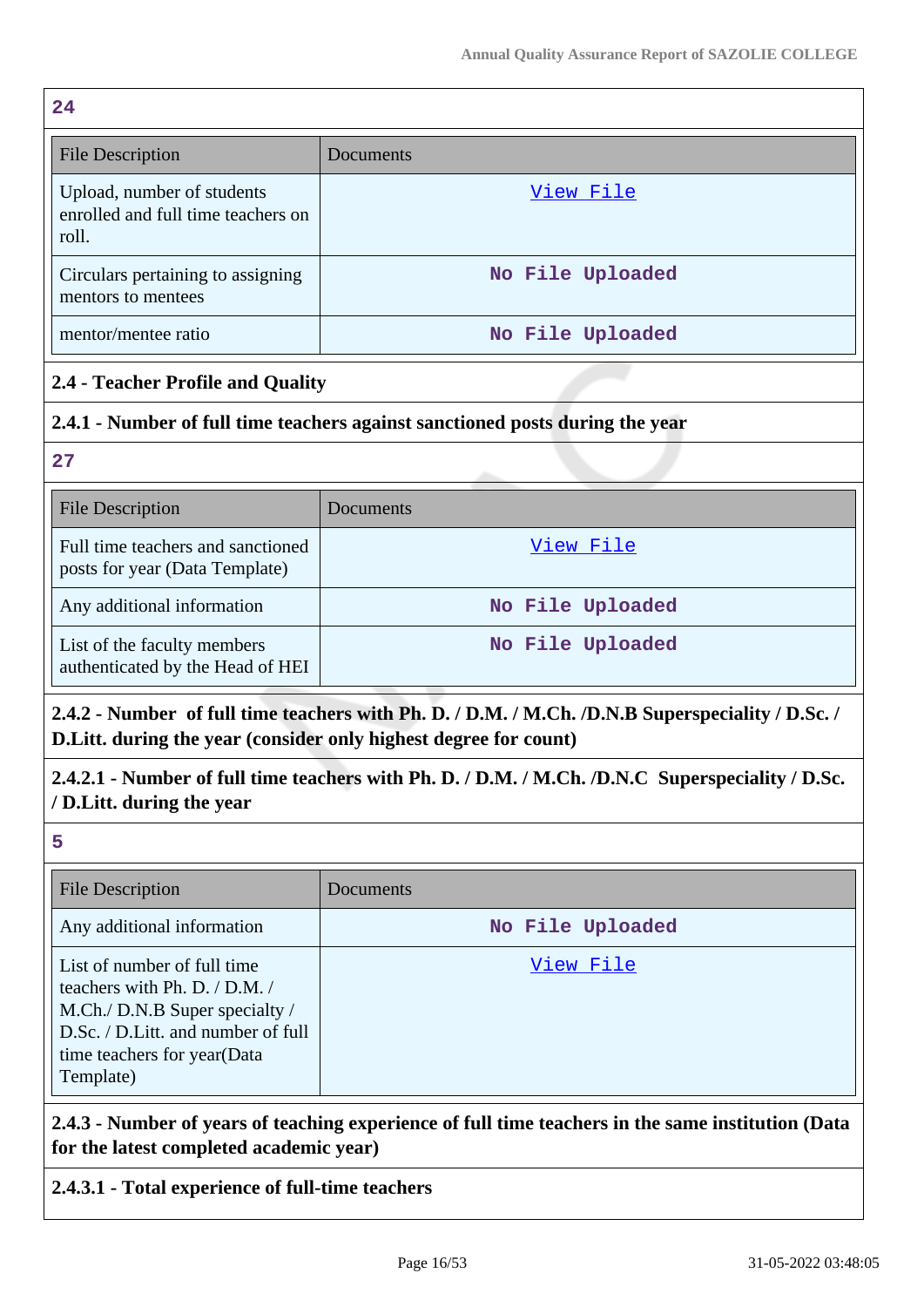$24$ 

| ---                                                                       |                  |
|---------------------------------------------------------------------------|------------------|
| <b>File Description</b>                                                   | Documents        |
| Upload, number of students<br>enrolled and full time teachers on<br>roll. | View File        |
| Circulars pertaining to assigning<br>mentors to mentees                   | No File Uploaded |
| mentor/mentee ratio                                                       | No File Uploaded |

## **2.4 - Teacher Profile and Quality**

## **2.4.1 - Number of full time teachers against sanctioned posts during the year**

**27**

| <b>File Description</b>                                             | Documents        |
|---------------------------------------------------------------------|------------------|
| Full time teachers and sanctioned<br>posts for year (Data Template) | View File        |
| Any additional information                                          | No File Uploaded |
| List of the faculty members<br>authenticated by the Head of HEI     | No File Uploaded |

# **2.4.2 - Number of full time teachers with Ph. D. / D.M. / M.Ch. /D.N.B Superspeciality / D.Sc. / D.Litt. during the year (consider only highest degree for count)**

# **2.4.2.1 - Number of full time teachers with Ph. D. / D.M. / M.Ch. /D.N.C Superspeciality / D.Sc. / D.Litt. during the year**

**5**

| <b>File Description</b>                                                                                                                                                              | Documents        |
|--------------------------------------------------------------------------------------------------------------------------------------------------------------------------------------|------------------|
| Any additional information                                                                                                                                                           | No File Uploaded |
| List of number of full time<br>teachers with Ph. D. $/$ D.M. $/$<br>M.Ch./ D.N.B Super specialty /<br>D.Sc. / D.Litt. and number of full<br>time teachers for year(Data<br>Template) | View File        |

**2.4.3 - Number of years of teaching experience of full time teachers in the same institution (Data for the latest completed academic year)**

## **2.4.3.1 - Total experience of full-time teachers**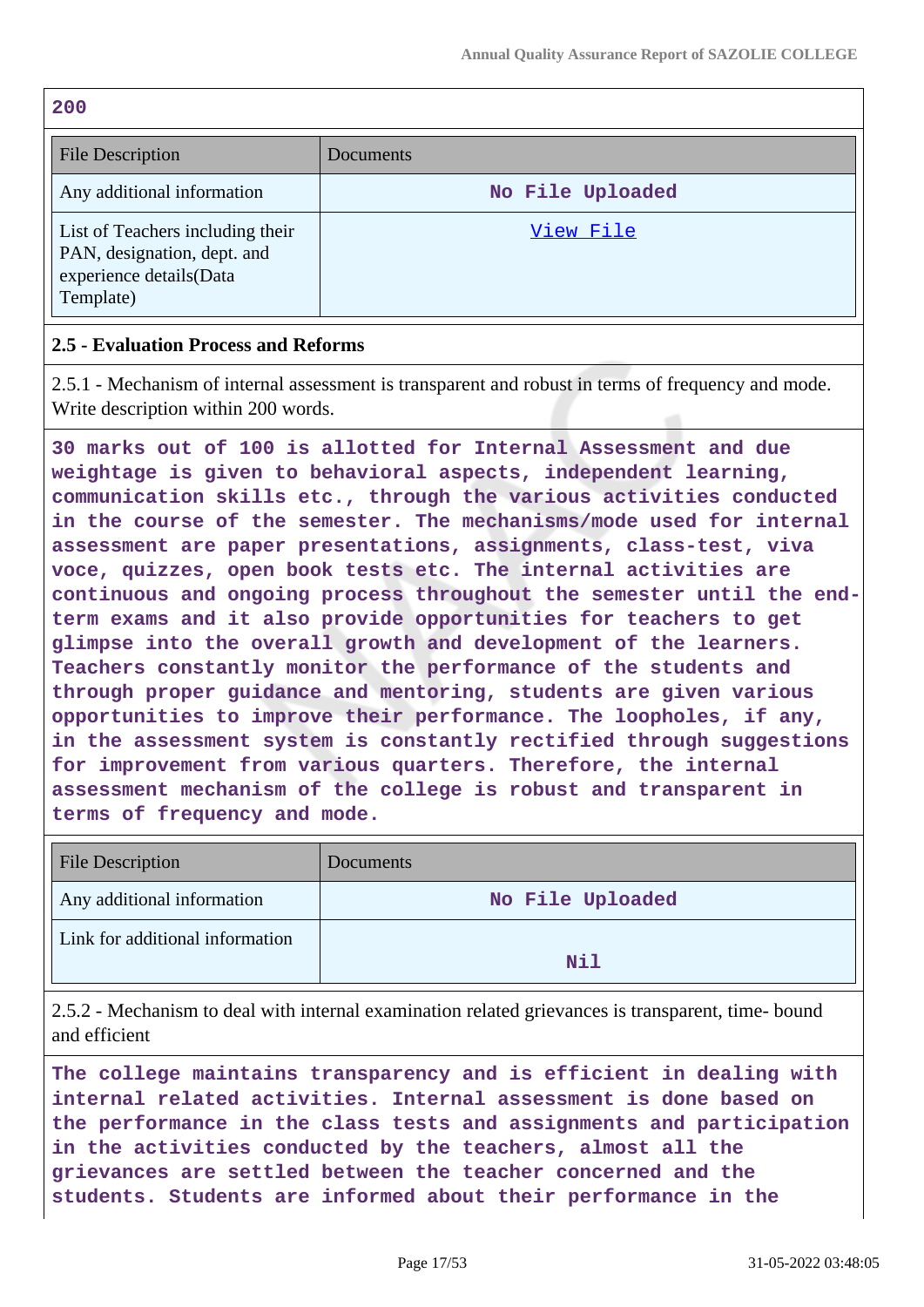**200**

| <b>File Description</b>                                                                                 | <b>Documents</b> |
|---------------------------------------------------------------------------------------------------------|------------------|
| Any additional information                                                                              | No File Uploaded |
| List of Teachers including their<br>PAN, designation, dept. and<br>experience details(Data<br>Template) | View File        |

#### **2.5 - Evaluation Process and Reforms**

2.5.1 - Mechanism of internal assessment is transparent and robust in terms of frequency and mode. Write description within 200 words.

**30 marks out of 100 is allotted for Internal Assessment and due weightage is given to behavioral aspects, independent learning, communication skills etc., through the various activities conducted in the course of the semester. The mechanisms/mode used for internal assessment are paper presentations, assignments, class-test, viva voce, quizzes, open book tests etc. The internal activities are continuous and ongoing process throughout the semester until the endterm exams and it also provide opportunities for teachers to get glimpse into the overall growth and development of the learners. Teachers constantly monitor the performance of the students and through proper guidance and mentoring, students are given various opportunities to improve their performance. The loopholes, if any, in the assessment system is constantly rectified through suggestions for improvement from various quarters. Therefore, the internal assessment mechanism of the college is robust and transparent in terms of frequency and mode.**

| <b>File Description</b>         | Documents        |
|---------------------------------|------------------|
| Any additional information      | No File Uploaded |
| Link for additional information | Nil              |

2.5.2 - Mechanism to deal with internal examination related grievances is transparent, time- bound and efficient

**The college maintains transparency and is efficient in dealing with internal related activities. Internal assessment is done based on the performance in the class tests and assignments and participation in the activities conducted by the teachers, almost all the grievances are settled between the teacher concerned and the students. Students are informed about their performance in the**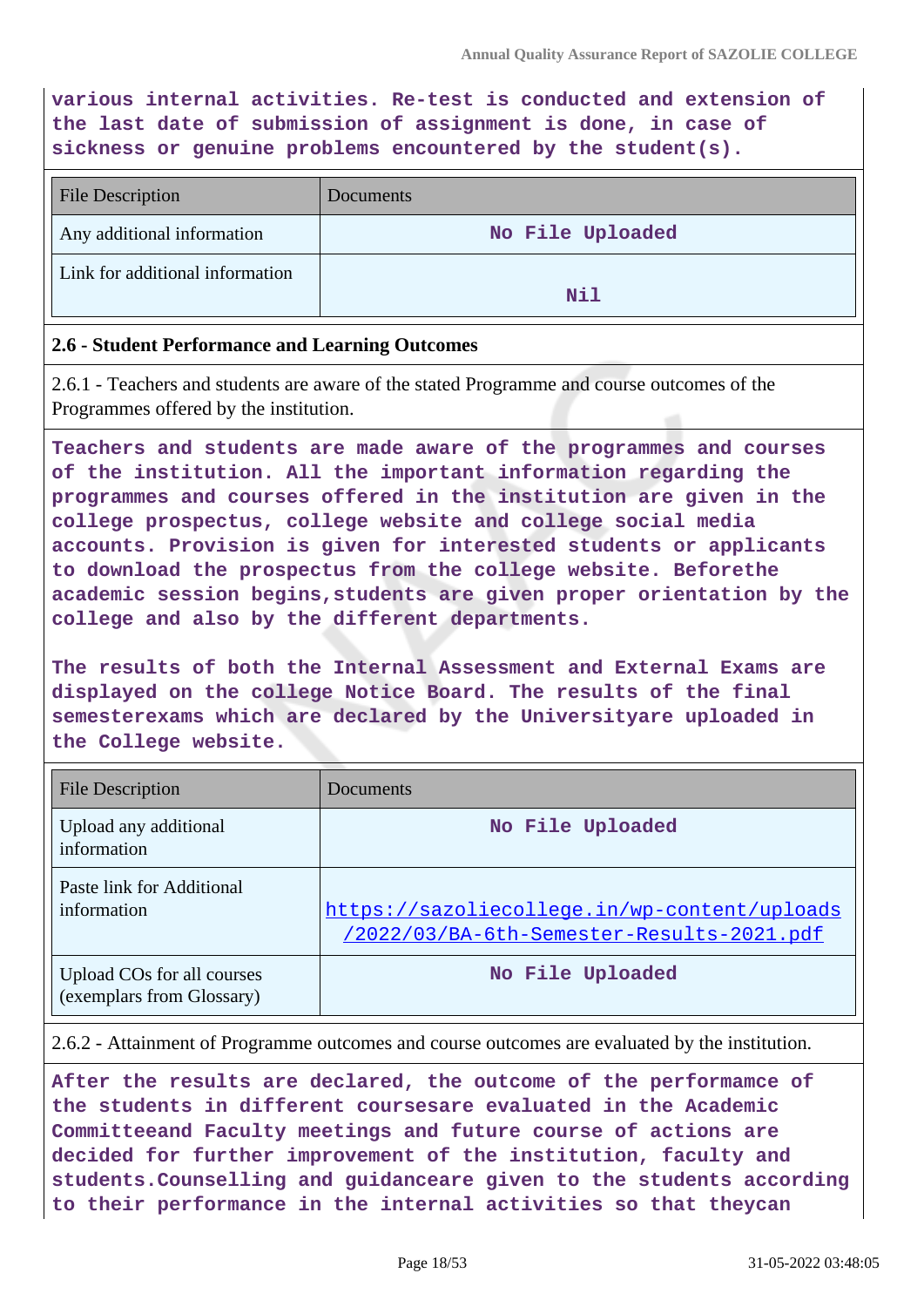**various internal activities. Re-test is conducted and extension of the last date of submission of assignment is done, in case of sickness or genuine problems encountered by the student(s).**

| <b>File Description</b>         | <b>Documents</b> |
|---------------------------------|------------------|
| Any additional information      | No File Uploaded |
| Link for additional information | Nil              |

#### **2.6 - Student Performance and Learning Outcomes**

2.6.1 - Teachers and students are aware of the stated Programme and course outcomes of the Programmes offered by the institution.

**Teachers and students are made aware of the programmes and courses of the institution. All the important information regarding the programmes and courses offered in the institution are given in the college prospectus, college website and college social media accounts. Provision is given for interested students or applicants to download the prospectus from the college website. Beforethe academic session begins,students are given proper orientation by the college and also by the different departments.**

**The results of both the Internal Assessment and External Exams are displayed on the college Notice Board. The results of the final semesterexams which are declared by the Universityare uploaded in the College website.**

| File Description                                        | Documents                                                                                 |
|---------------------------------------------------------|-------------------------------------------------------------------------------------------|
| Upload any additional<br>information                    | No File Uploaded                                                                          |
| Paste link for Additional<br>information                | https://sazoliecollege.in/wp-content/uploads<br>/2022/03/BA-6th-Semester-Results-2021.pdf |
| Upload COs for all courses<br>(exemplars from Glossary) | No File Uploaded                                                                          |

#### 2.6.2 - Attainment of Programme outcomes and course outcomes are evaluated by the institution.

**After the results are declared, the outcome of the performamce of the students in different coursesare evaluated in the Academic Committeeand Faculty meetings and future course of actions are decided for further improvement of the institution, faculty and students.Counselling and guidanceare given to the students according to their performance in the internal activities so that theycan**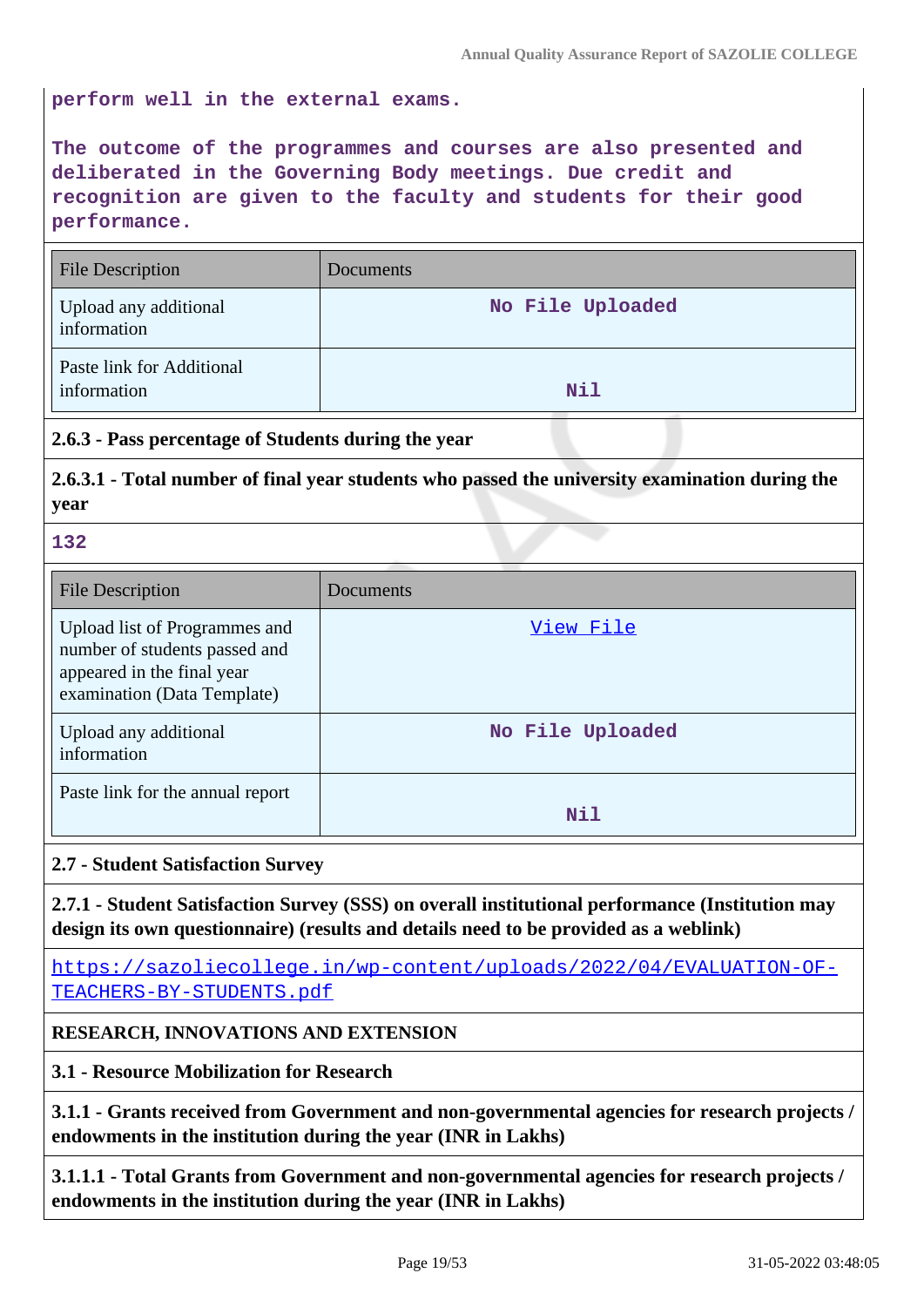**perform well in the external exams.**

**The outcome of the programmes and courses are also presented and deliberated in the Governing Body meetings. Due credit and recognition are given to the faculty and students for their good performance.**

| <b>File Description</b>                  | Documents        |
|------------------------------------------|------------------|
| Upload any additional<br>information     | No File Uploaded |
| Paste link for Additional<br>information | Nil              |

## **2.6.3 - Pass percentage of Students during the year**

**2.6.3.1 - Total number of final year students who passed the university examination during the year**

**132**

| <b>File Description</b>                                                                                                     | Documents        |
|-----------------------------------------------------------------------------------------------------------------------------|------------------|
| Upload list of Programmes and<br>number of students passed and<br>appeared in the final year<br>examination (Data Template) | View File        |
| Upload any additional<br>information                                                                                        | No File Uploaded |
| Paste link for the annual report                                                                                            | Nil              |

#### **2.7 - Student Satisfaction Survey**

**2.7.1 - Student Satisfaction Survey (SSS) on overall institutional performance (Institution may design its own questionnaire) (results and details need to be provided as a weblink)**

[https://sazoliecollege.in/wp-content/uploads/2022/04/EVALUATION-OF-](https://sazoliecollege.in/wp-content/uploads/2022/04/EVALUATION-OF-TEACHERS-BY-STUDENTS.pdf)[TEACHERS-BY-STUDENTS.pdf](https://sazoliecollege.in/wp-content/uploads/2022/04/EVALUATION-OF-TEACHERS-BY-STUDENTS.pdf)

## **RESEARCH, INNOVATIONS AND EXTENSION**

**3.1 - Resource Mobilization for Research**

**3.1.1 - Grants received from Government and non-governmental agencies for research projects / endowments in the institution during the year (INR in Lakhs)**

**3.1.1.1 - Total Grants from Government and non-governmental agencies for research projects / endowments in the institution during the year (INR in Lakhs)**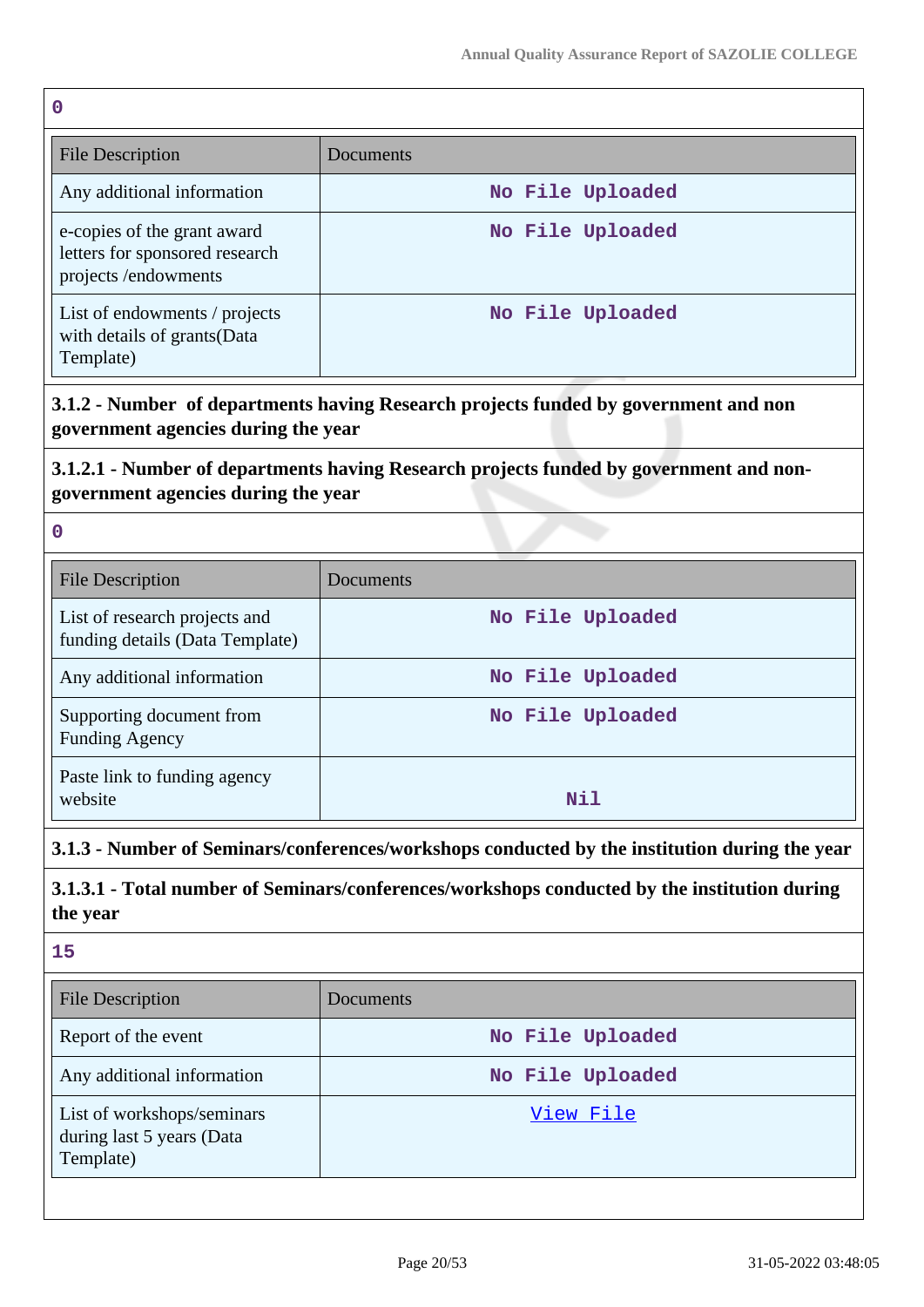**0**

| <b>File Description</b>                                                              | Documents        |
|--------------------------------------------------------------------------------------|------------------|
| Any additional information                                                           | No File Uploaded |
| e-copies of the grant award<br>letters for sponsored research<br>projects/endowments | No File Uploaded |
| List of endowments / projects<br>with details of grants (Data<br>Template)           | No File Uploaded |

**3.1.2 - Number of departments having Research projects funded by government and non government agencies during the year**

# **3.1.2.1 - Number of departments having Research projects funded by government and nongovernment agencies during the year**

**0**

| File Description                                                 | Documents        |
|------------------------------------------------------------------|------------------|
| List of research projects and<br>funding details (Data Template) | No File Uploaded |
| Any additional information                                       | No File Uploaded |
| Supporting document from<br><b>Funding Agency</b>                | No File Uploaded |
| Paste link to funding agency<br>website                          | Nil              |

# **3.1.3 - Number of Seminars/conferences/workshops conducted by the institution during the year**

**3.1.3.1 - Total number of Seminars/conferences/workshops conducted by the institution during the year**

**15**

| <b>File Description</b>                                              | Documents        |
|----------------------------------------------------------------------|------------------|
| Report of the event                                                  | No File Uploaded |
| Any additional information                                           | No File Uploaded |
| List of workshops/seminars<br>during last 5 years (Data<br>Template) | View File        |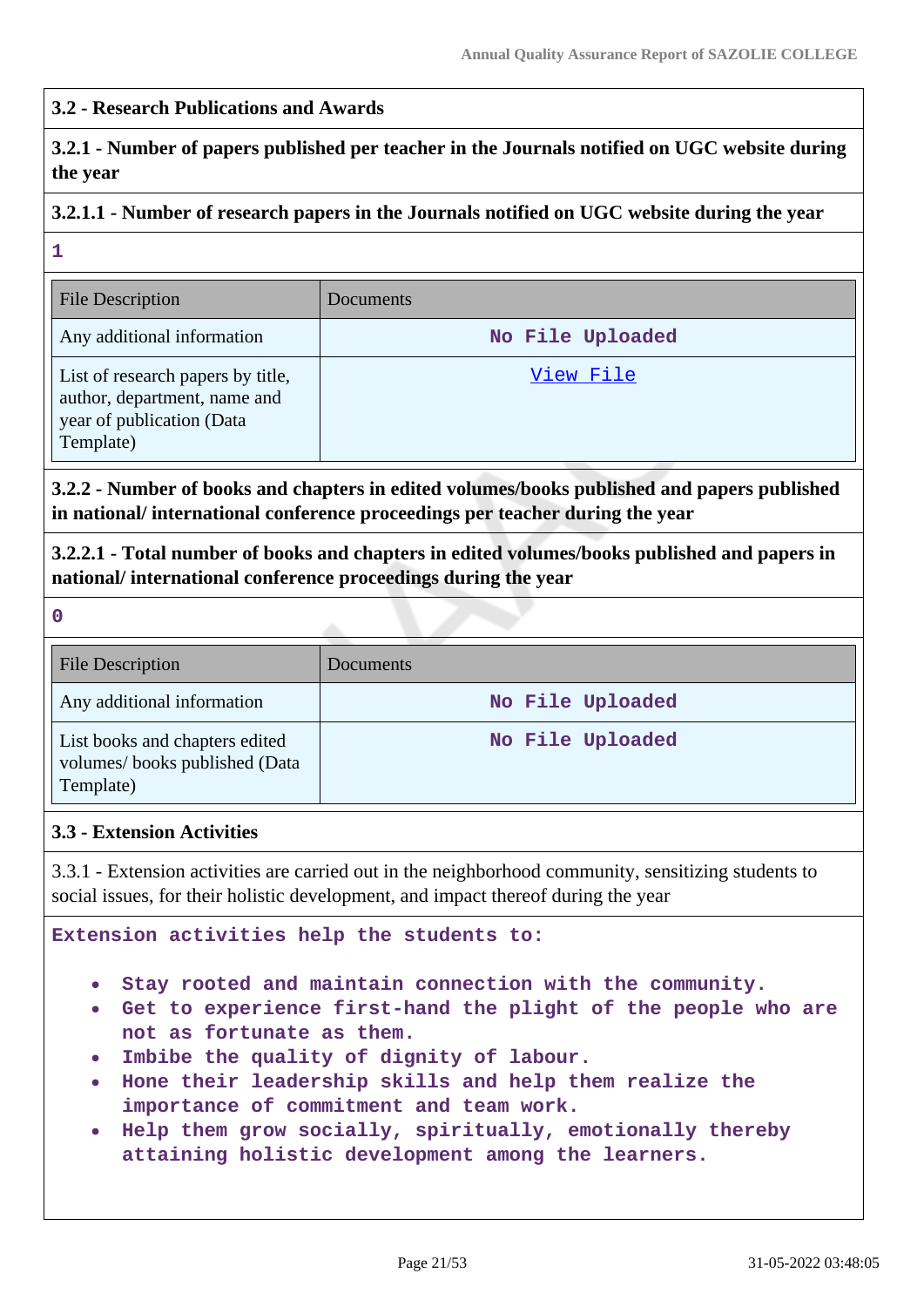### **3.2 - Research Publications and Awards**

**3.2.1 - Number of papers published per teacher in the Journals notified on UGC website during the year**

# **3.2.1.1 - Number of research papers in the Journals notified on UGC website during the year**

**1**

| <b>File Description</b>                                                                                     | <b>Documents</b> |
|-------------------------------------------------------------------------------------------------------------|------------------|
| Any additional information                                                                                  | No File Uploaded |
| List of research papers by title,<br>author, department, name and<br>year of publication (Data<br>Template) | View File        |

**3.2.2 - Number of books and chapters in edited volumes/books published and papers published in national/ international conference proceedings per teacher during the year**

**3.2.2.1 - Total number of books and chapters in edited volumes/books published and papers in national/ international conference proceedings during the year**

**0**

| <b>File Description</b>                                                      | <b>Documents</b> |
|------------------------------------------------------------------------------|------------------|
| Any additional information                                                   | No File Uploaded |
| List books and chapters edited<br>volumes/books published (Data<br>Template) | No File Uploaded |

#### **3.3 - Extension Activities**

3.3.1 - Extension activities are carried out in the neighborhood community, sensitizing students to social issues, for their holistic development, and impact thereof during the year

**Extension activities help the students to:**

- $\bullet$ **Stay rooted and maintain connection with the community.**
- **Get to experience first-hand the plight of the people who are not as fortunate as them.**
- **Imbibe the quality of dignity of labour.**
- **Hone their leadership skills and help them realize the importance of commitment and team work.**
- **Help them grow socially, spiritually, emotionally thereby attaining holistic development among the learners.**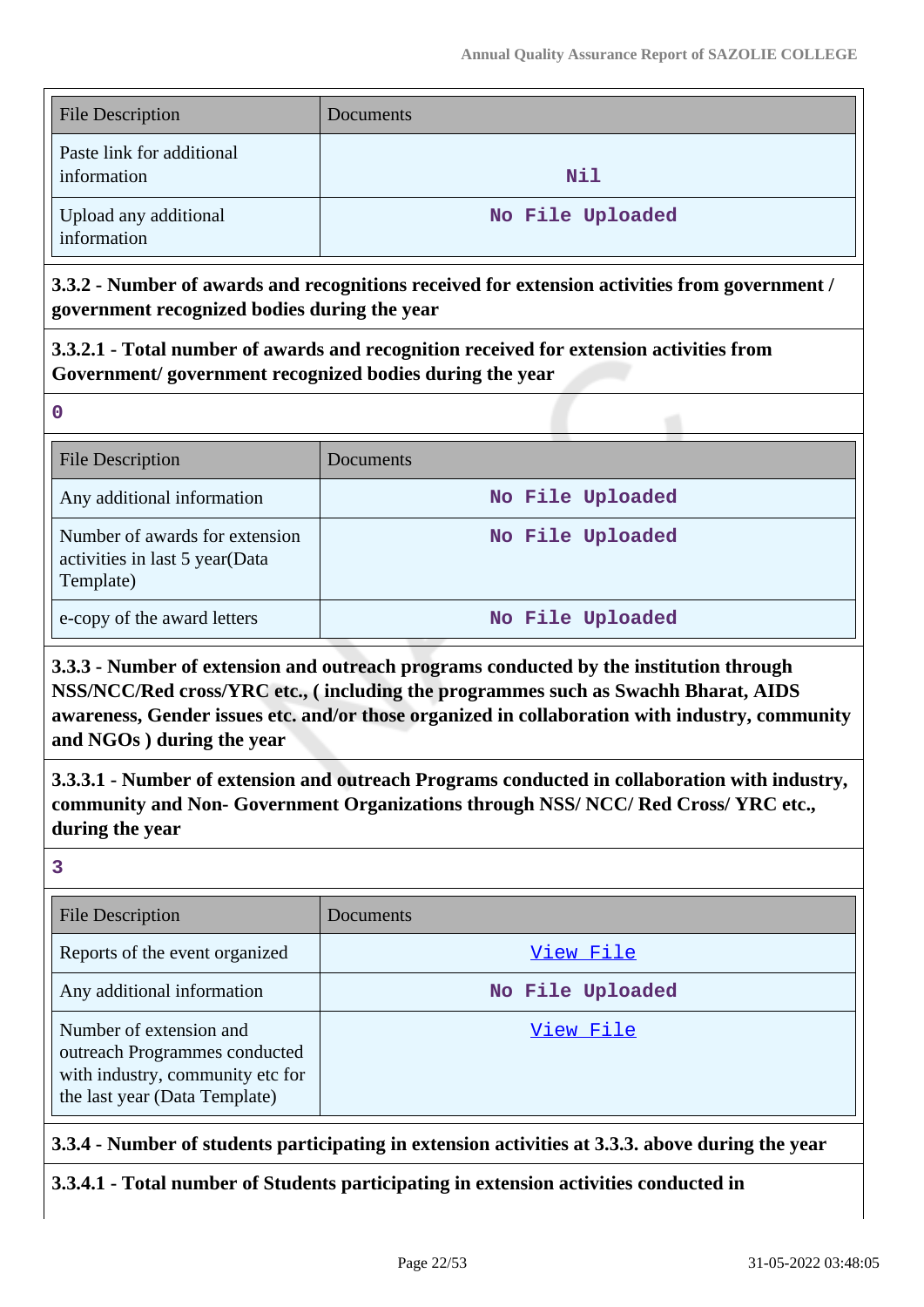| <b>File Description</b>                  | Documents        |
|------------------------------------------|------------------|
| Paste link for additional<br>information | Nil              |
| Upload any additional<br>information     | No File Uploaded |

**3.3.2 - Number of awards and recognitions received for extension activities from government / government recognized bodies during the year**

**3.3.2.1 - Total number of awards and recognition received for extension activities from Government/ government recognized bodies during the year**

**0**

| <b>File Description</b>                                                       | Documents        |
|-------------------------------------------------------------------------------|------------------|
| Any additional information                                                    | No File Uploaded |
| Number of awards for extension<br>activities in last 5 year(Data<br>Template) | No File Uploaded |
| e-copy of the award letters                                                   | No File Uploaded |

**3.3.3 - Number of extension and outreach programs conducted by the institution through NSS/NCC/Red cross/YRC etc., ( including the programmes such as Swachh Bharat, AIDS awareness, Gender issues etc. and/or those organized in collaboration with industry, community and NGOs ) during the year**

**3.3.3.1 - Number of extension and outreach Programs conducted in collaboration with industry, community and Non- Government Organizations through NSS/ NCC/ Red Cross/ YRC etc., during the year**

**3**

| <b>File Description</b>                                                                                                       | Documents        |
|-------------------------------------------------------------------------------------------------------------------------------|------------------|
| Reports of the event organized                                                                                                | View File        |
| Any additional information                                                                                                    | No File Uploaded |
| Number of extension and<br>outreach Programmes conducted<br>with industry, community etc for<br>the last year (Data Template) | View File        |

**3.3.4 - Number of students participating in extension activities at 3.3.3. above during the year**

**3.3.4.1 - Total number of Students participating in extension activities conducted in**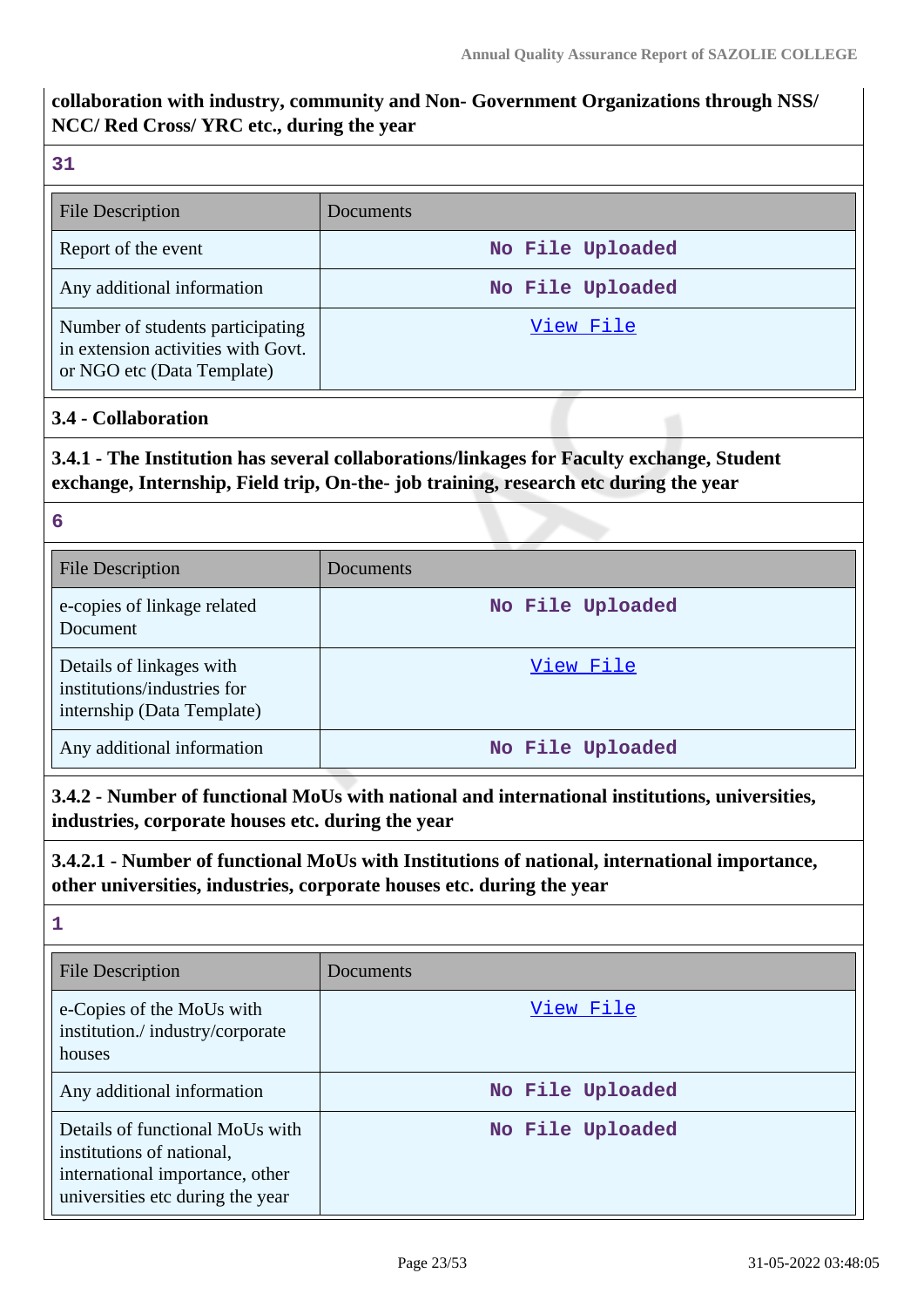# **collaboration with industry, community and Non- Government Organizations through NSS/ NCC/ Red Cross/ YRC etc., during the year**

## **31**

| <b>File Description</b>                                                                              | Documents        |
|------------------------------------------------------------------------------------------------------|------------------|
| Report of the event                                                                                  | No File Uploaded |
| Any additional information                                                                           | No File Uploaded |
| Number of students participating<br>in extension activities with Govt.<br>or NGO etc (Data Template) | View File        |

## **3.4 - Collaboration**

# **3.4.1 - The Institution has several collaborations/linkages for Faculty exchange, Student exchange, Internship, Field trip, On-the- job training, research etc during the year**

#### **6**

| <b>File Description</b>                                                               | <b>Documents</b> |
|---------------------------------------------------------------------------------------|------------------|
| e-copies of linkage related<br>Document                                               | No File Uploaded |
| Details of linkages with<br>institutions/industries for<br>internship (Data Template) | View File        |
| Any additional information                                                            | No File Uploaded |

# **3.4.2 - Number of functional MoUs with national and international institutions, universities, industries, corporate houses etc. during the year**

## **3.4.2.1 - Number of functional MoUs with Institutions of national, international importance, other universities, industries, corporate houses etc. during the year**

# **1**

| File Description                                                                                                                    | Documents        |
|-------------------------------------------------------------------------------------------------------------------------------------|------------------|
| e-Copies of the MoUs with<br>institution./industry/corporate<br>houses                                                              | View File        |
| Any additional information                                                                                                          | No File Uploaded |
| Details of functional MoUs with<br>institutions of national,<br>international importance, other<br>universities etc during the year | No File Uploaded |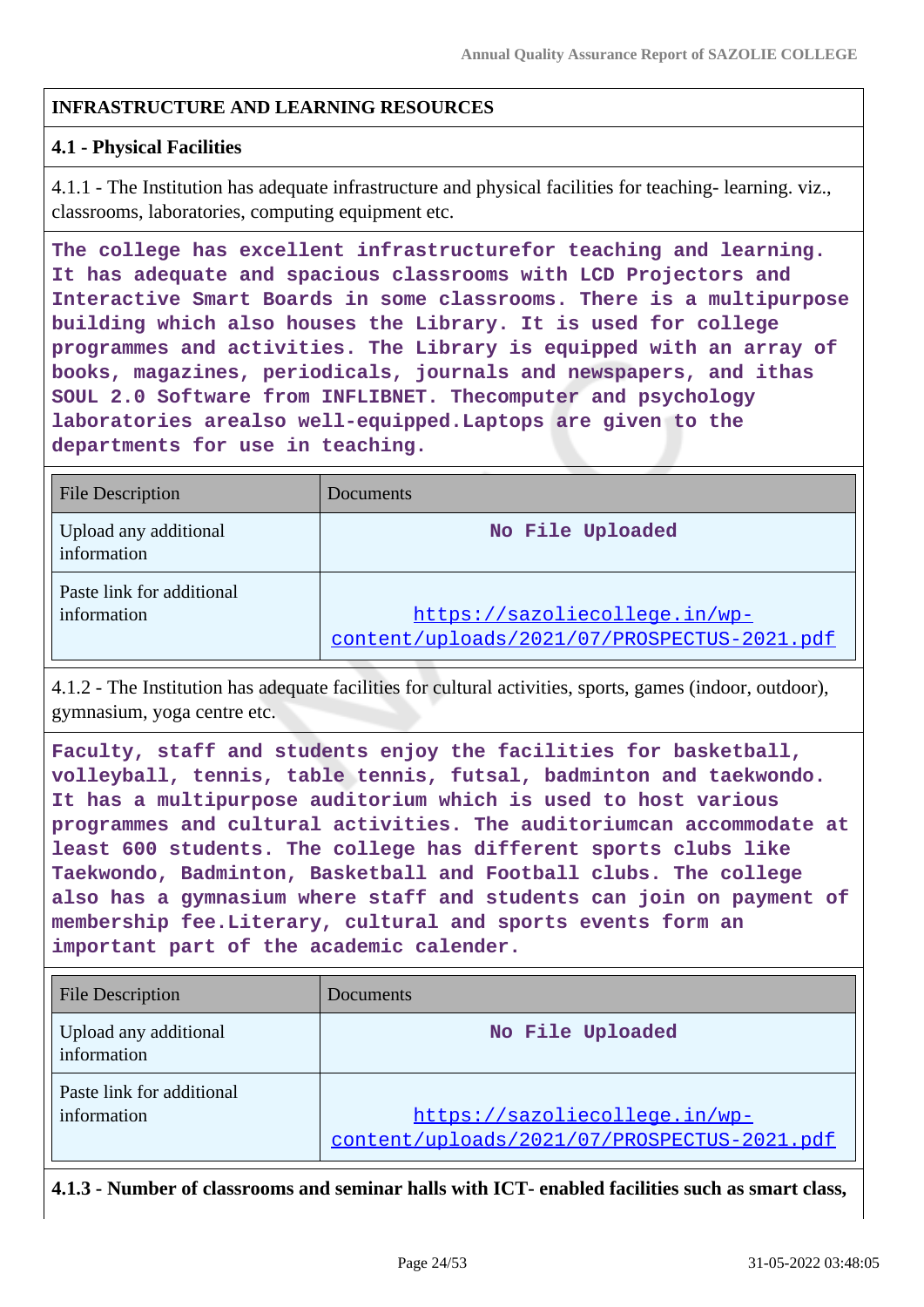## **INFRASTRUCTURE AND LEARNING RESOURCES**

#### **4.1 - Physical Facilities**

4.1.1 - The Institution has adequate infrastructure and physical facilities for teaching- learning. viz., classrooms, laboratories, computing equipment etc.

**The college has excellent infrastructurefor teaching and learning. It has adequate and spacious classrooms with LCD Projectors and Interactive Smart Boards in some classrooms. There is a multipurpose building which also houses the Library. It is used for college programmes and activities. The Library is equipped with an array of books, magazines, periodicals, journals and newspapers, and ithas SOUL 2.0 Software from INFLIBNET. Thecomputer and psychology laboratories arealso well-equipped.Laptops are given to the departments for use in teaching.**

| <b>File Description</b>                  | Documents                                                                    |
|------------------------------------------|------------------------------------------------------------------------------|
| Upload any additional<br>information     | No File Uploaded                                                             |
| Paste link for additional<br>information | https://sazoliecollege.in/wp-<br>content/uploads/2021/07/PROSPECTUS-2021.pdf |

4.1.2 - The Institution has adequate facilities for cultural activities, sports, games (indoor, outdoor), gymnasium, yoga centre etc.

**Faculty, staff and students enjoy the facilities for basketball, volleyball, tennis, table tennis, futsal, badminton and taekwondo. It has a multipurpose auditorium which is used to host various programmes and cultural activities. The auditoriumcan accommodate at least 600 students. The college has different sports clubs like Taekwondo, Badminton, Basketball and Football clubs. The college also has a gymnasium where staff and students can join on payment of membership fee.Literary, cultural and sports events form an important part of the academic calender.**

| <b>File Description</b>                  | Documents                                                                    |
|------------------------------------------|------------------------------------------------------------------------------|
| Upload any additional<br>information     | No File Uploaded                                                             |
| Paste link for additional<br>information | https://sazoliecollege.in/wp-<br>content/uploads/2021/07/PROSPECTUS-2021.pdf |

**4.1.3 - Number of classrooms and seminar halls with ICT- enabled facilities such as smart class,**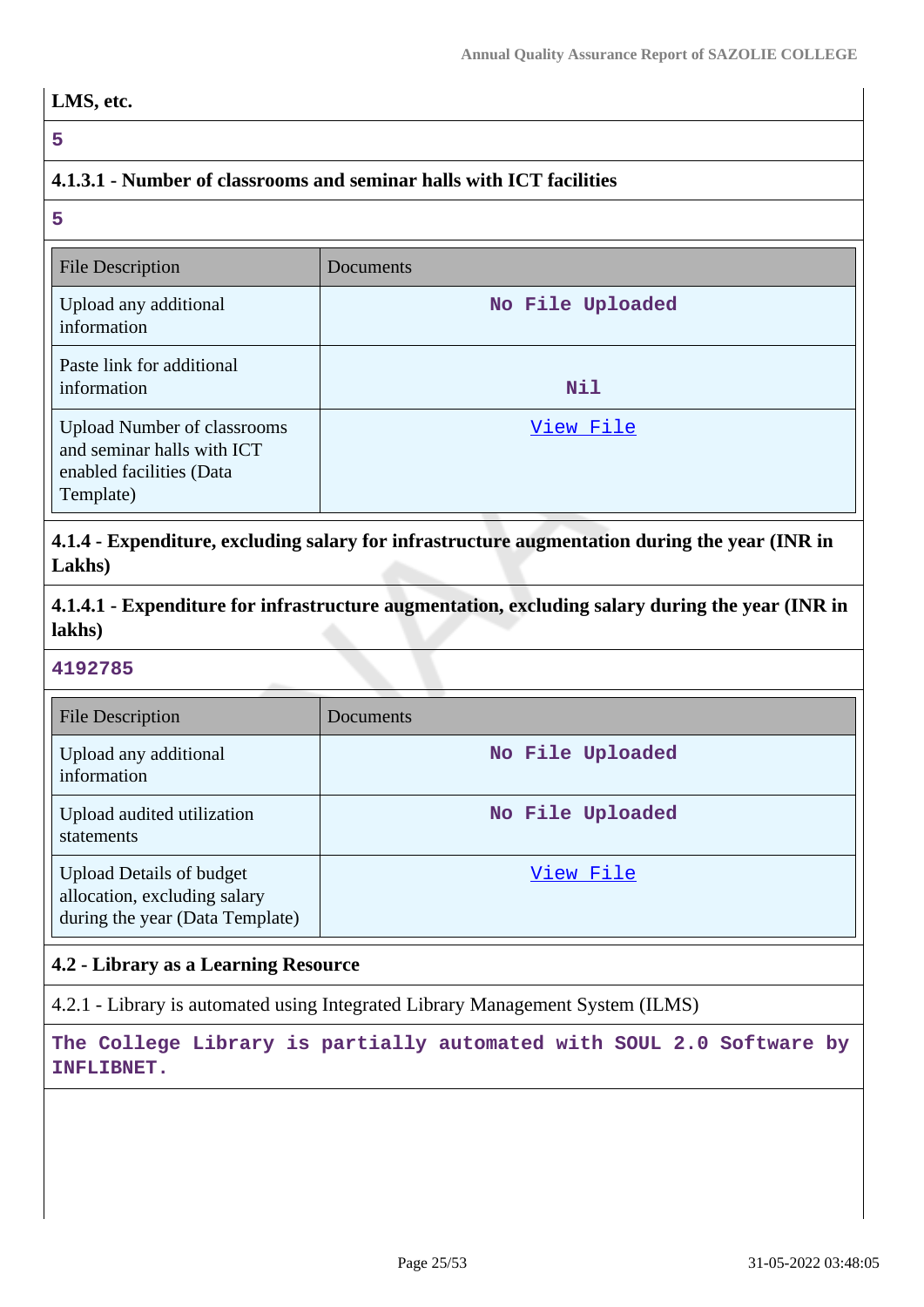**5**

# **4.1.3.1 - Number of classrooms and seminar halls with ICT facilities**

**5**

| <b>File Description</b>                                                                                   | Documents        |
|-----------------------------------------------------------------------------------------------------------|------------------|
| Upload any additional<br>information                                                                      | No File Uploaded |
| Paste link for additional<br>information                                                                  | <b>Nil</b>       |
| <b>Upload Number of classrooms</b><br>and seminar halls with ICT<br>enabled facilities (Data<br>Template) | View File        |

**4.1.4 - Expenditure, excluding salary for infrastructure augmentation during the year (INR in Lakhs)**

**4.1.4.1 - Expenditure for infrastructure augmentation, excluding salary during the year (INR in lakhs)**

#### **4192785**

| <b>File Description</b>                                                                            | Documents        |
|----------------------------------------------------------------------------------------------------|------------------|
| Upload any additional<br>information                                                               | No File Uploaded |
| Upload audited utilization<br>statements                                                           | No File Uploaded |
| <b>Upload Details of budget</b><br>allocation, excluding salary<br>during the year (Data Template) | View File        |

## **4.2 - Library as a Learning Resource**

4.2.1 - Library is automated using Integrated Library Management System (ILMS)

**The College Library is partially automated with SOUL 2.0 Software by INFLIBNET.**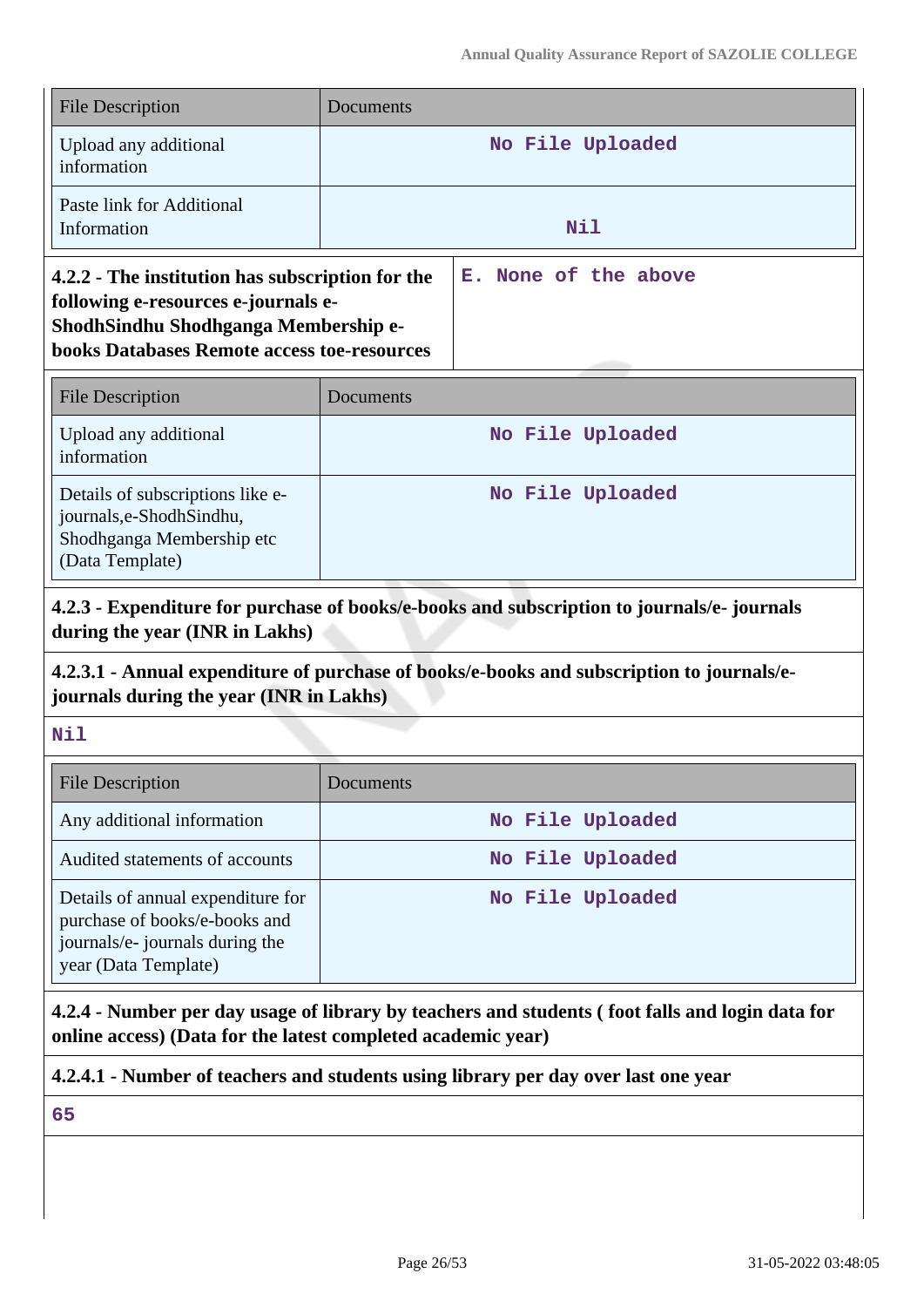| File Description                                                                                                                                                                      | Documents        |                      |  |
|---------------------------------------------------------------------------------------------------------------------------------------------------------------------------------------|------------------|----------------------|--|
| Upload any additional<br>information                                                                                                                                                  | No File Uploaded |                      |  |
| Paste link for Additional<br>Information                                                                                                                                              | Nil              |                      |  |
| 4.2.2 - The institution has subscription for the<br>following e-resources e-journals e-<br>ShodhSindhu Shodhganga Membership e-<br><b>books Databases Remote access toe-resources</b> |                  | E. None of the above |  |

| <b>File Description</b>                                                                                       | <b>Documents</b> |
|---------------------------------------------------------------------------------------------------------------|------------------|
| Upload any additional<br>information                                                                          | No File Uploaded |
| Details of subscriptions like e-<br>journals, e-Shodh Sindhu,<br>Shodhganga Membership etc<br>(Data Template) | No File Uploaded |

**4.2.3 - Expenditure for purchase of books/e-books and subscription to journals/e- journals during the year (INR in Lakhs)**

# **4.2.3.1 - Annual expenditure of purchase of books/e-books and subscription to journals/ejournals during the year (INR in Lakhs)**

## **Nil**

| <b>File Description</b>                                                                                                       | <b>Documents</b> |
|-------------------------------------------------------------------------------------------------------------------------------|------------------|
| Any additional information                                                                                                    | No File Uploaded |
| Audited statements of accounts                                                                                                | No File Uploaded |
| Details of annual expenditure for<br>purchase of books/e-books and<br>journals/e- journals during the<br>year (Data Template) | No File Uploaded |

**4.2.4 - Number per day usage of library by teachers and students ( foot falls and login data for online access) (Data for the latest completed academic year)**

**4.2.4.1 - Number of teachers and students using library per day over last one year**

**65**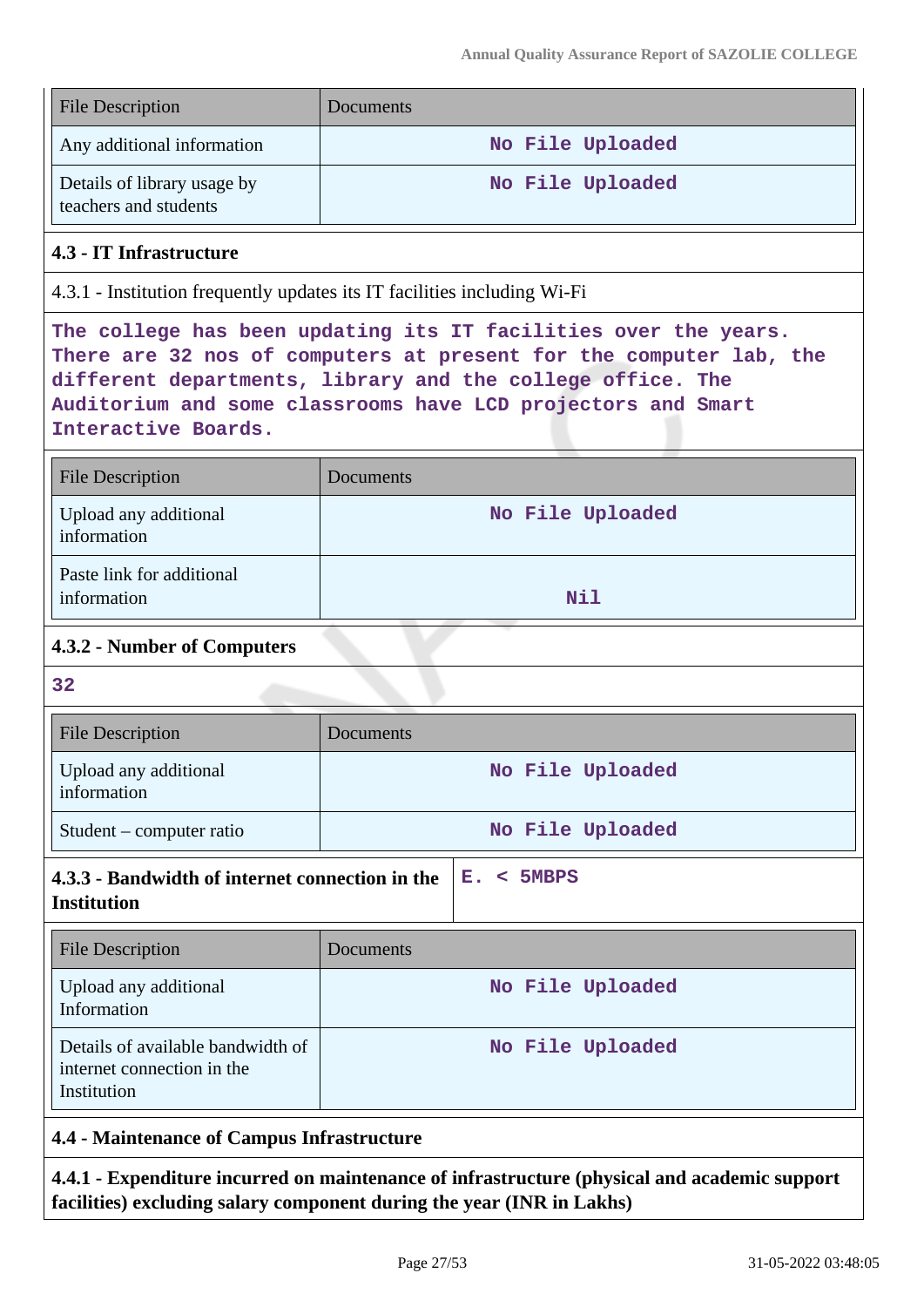| <b>File Description</b>                                                                                                                                                                                                                                                                    | Documents        |  |  |  |  |  |  |
|--------------------------------------------------------------------------------------------------------------------------------------------------------------------------------------------------------------------------------------------------------------------------------------------|------------------|--|--|--|--|--|--|
| Any additional information                                                                                                                                                                                                                                                                 | No File Uploaded |  |  |  |  |  |  |
| Details of library usage by<br>teachers and students                                                                                                                                                                                                                                       | No File Uploaded |  |  |  |  |  |  |
| 4.3 - IT Infrastructure                                                                                                                                                                                                                                                                    |                  |  |  |  |  |  |  |
| 4.3.1 - Institution frequently updates its IT facilities including Wi-Fi                                                                                                                                                                                                                   |                  |  |  |  |  |  |  |
| The college has been updating its IT facilities over the years.<br>There are 32 nos of computers at present for the computer lab, the<br>different departments, library and the college office. The<br>Auditorium and some classrooms have LCD projectors and Smart<br>Interactive Boards. |                  |  |  |  |  |  |  |
| <b>File Description</b>                                                                                                                                                                                                                                                                    | Documents        |  |  |  |  |  |  |
| Upload any additional<br>information                                                                                                                                                                                                                                                       | No File Uploaded |  |  |  |  |  |  |
| Paste link for additional<br>information                                                                                                                                                                                                                                                   | <b>Nil</b>       |  |  |  |  |  |  |
| 4.3.2 - Number of Computers                                                                                                                                                                                                                                                                |                  |  |  |  |  |  |  |
| 32                                                                                                                                                                                                                                                                                         |                  |  |  |  |  |  |  |
| <b>File Description</b>                                                                                                                                                                                                                                                                    | Documents        |  |  |  |  |  |  |
| Upload any additional<br>information                                                                                                                                                                                                                                                       | No File Uploaded |  |  |  |  |  |  |
| Student – computer ratio                                                                                                                                                                                                                                                                   | No File Uploaded |  |  |  |  |  |  |
| 4.3.3 - Bandwidth of internet connection in the<br>$<$ 5MBPS<br>Е.<br><b>Institution</b>                                                                                                                                                                                                   |                  |  |  |  |  |  |  |
| <b>File Description</b>                                                                                                                                                                                                                                                                    | Documents        |  |  |  |  |  |  |
| Upload any additional<br>Information                                                                                                                                                                                                                                                       | No File Uploaded |  |  |  |  |  |  |
| Details of available bandwidth of<br>internet connection in the<br>Institution                                                                                                                                                                                                             | No File Uploaded |  |  |  |  |  |  |
| <b>4.4 - Maintenance of Campus Infrastructure</b>                                                                                                                                                                                                                                          |                  |  |  |  |  |  |  |
| 4.4.1 - Expenditure incurred on maintenance of infrastructure (physical and academic support<br>facilities) excluding salary component during the year (INR in Lakhs)                                                                                                                      |                  |  |  |  |  |  |  |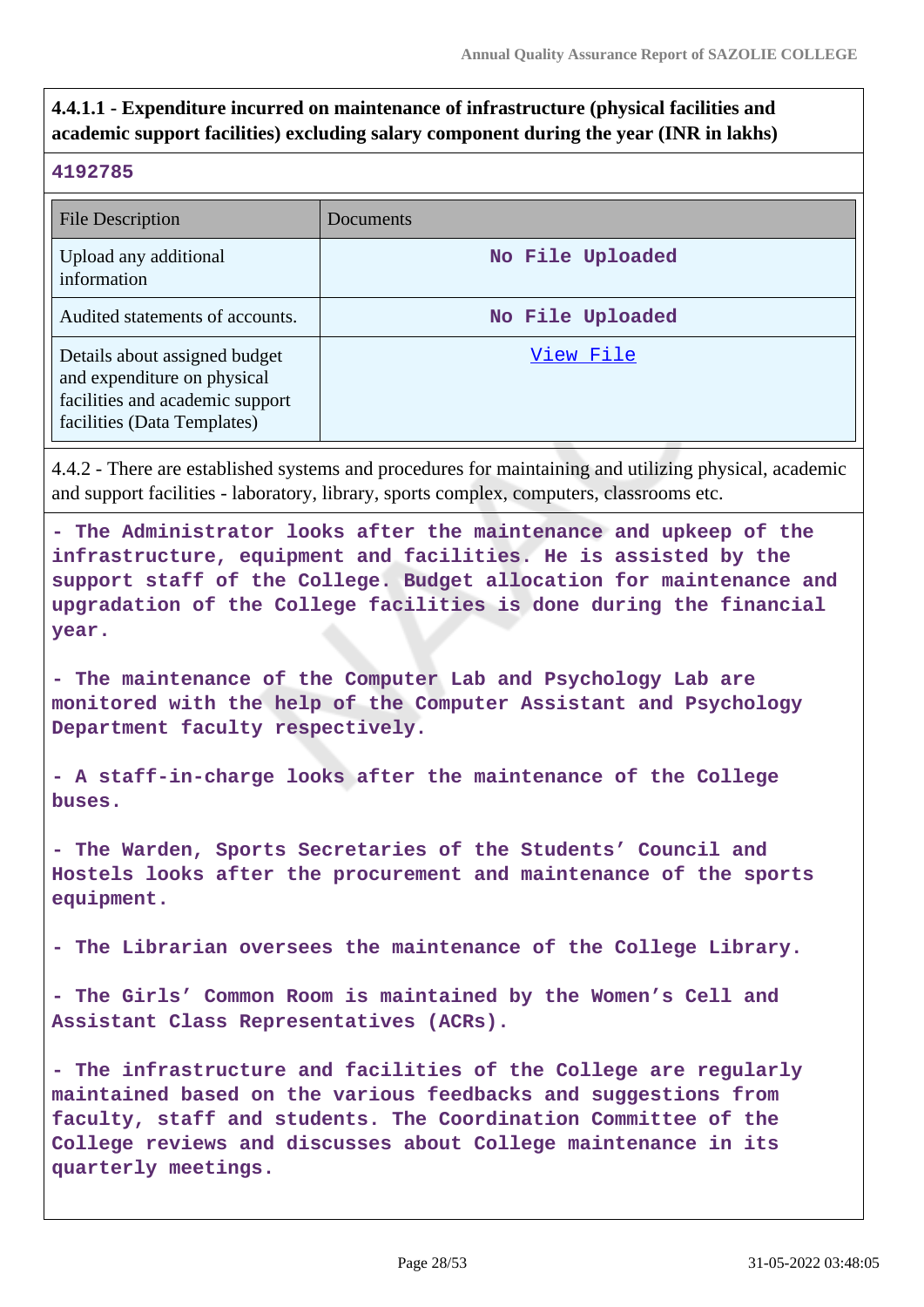# **4.4.1.1 - Expenditure incurred on maintenance of infrastructure (physical facilities and academic support facilities) excluding salary component during the year (INR in lakhs)**

#### **4192785**

| File Description                                                                                                               | Documents        |
|--------------------------------------------------------------------------------------------------------------------------------|------------------|
| Upload any additional<br>information                                                                                           | No File Uploaded |
| Audited statements of accounts.                                                                                                | No File Uploaded |
| Details about assigned budget<br>and expenditure on physical<br>facilities and academic support<br>facilities (Data Templates) | View File        |

4.4.2 - There are established systems and procedures for maintaining and utilizing physical, academic and support facilities - laboratory, library, sports complex, computers, classrooms etc.

**- The Administrator looks after the maintenance and upkeep of the infrastructure, equipment and facilities. He is assisted by the support staff of the College. Budget allocation for maintenance and upgradation of the College facilities is done during the financial year.**

**- The maintenance of the Computer Lab and Psychology Lab are monitored with the help of the Computer Assistant and Psychology Department faculty respectively.**

**- A staff-in-charge looks after the maintenance of the College buses.**

**- The Warden, Sports Secretaries of the Students' Council and Hostels looks after the procurement and maintenance of the sports equipment.**

**- The Librarian oversees the maintenance of the College Library.**

**- The Girls' Common Room is maintained by the Women's Cell and Assistant Class Representatives (ACRs).**

**- The infrastructure and facilities of the College are regularly maintained based on the various feedbacks and suggestions from faculty, staff and students. The Coordination Committee of the College reviews and discusses about College maintenance in its quarterly meetings.**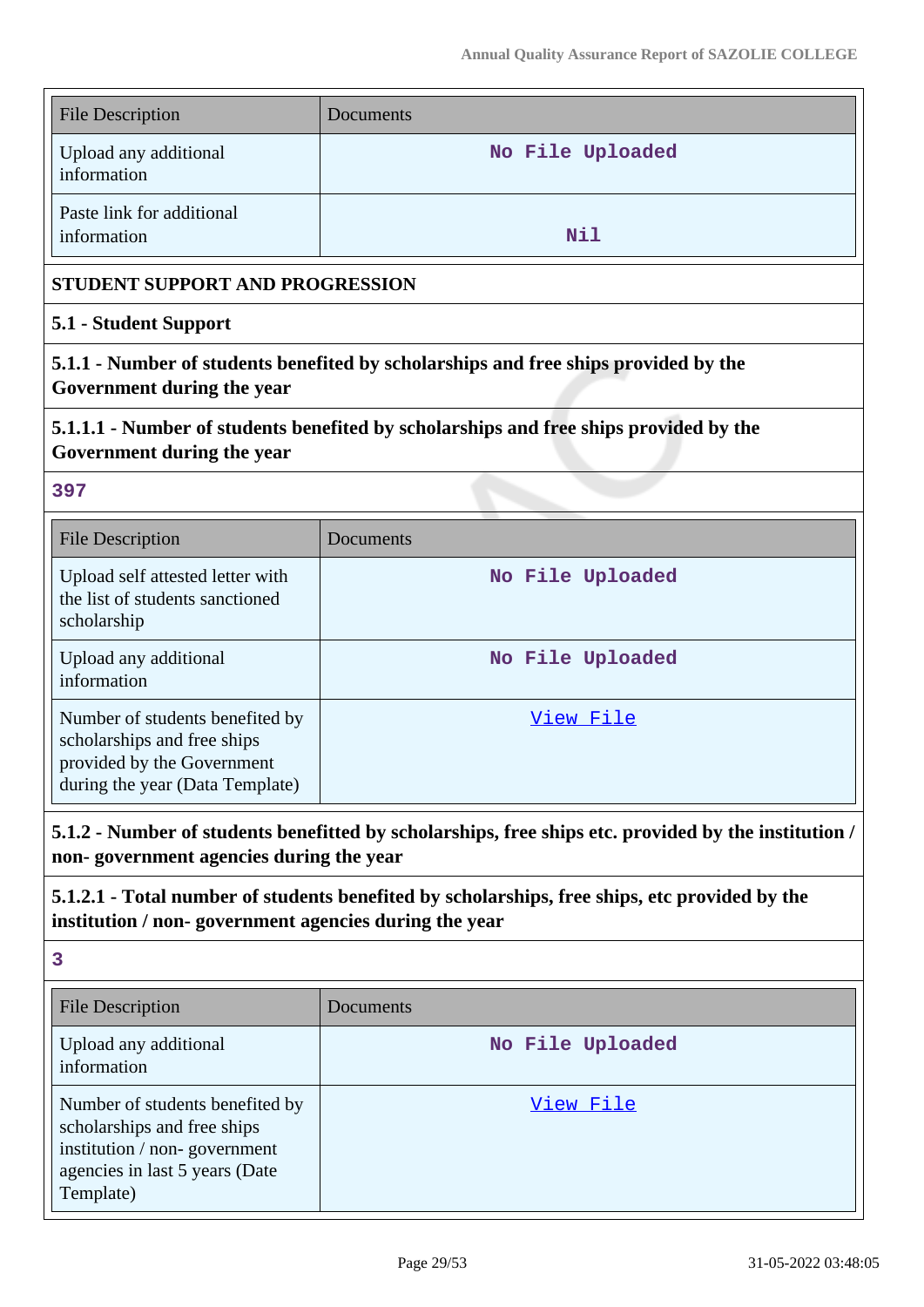| <b>File Description</b>                                                                                                                       | Documents                                                                                            |  |  |  |  |  |
|-----------------------------------------------------------------------------------------------------------------------------------------------|------------------------------------------------------------------------------------------------------|--|--|--|--|--|
| Upload any additional<br>information                                                                                                          | No File Uploaded                                                                                     |  |  |  |  |  |
| Paste link for additional<br>information                                                                                                      | Nil                                                                                                  |  |  |  |  |  |
| STUDENT SUPPORT AND PROGRESSION                                                                                                               |                                                                                                      |  |  |  |  |  |
| 5.1 - Student Support                                                                                                                         |                                                                                                      |  |  |  |  |  |
| 5.1.1 - Number of students benefited by scholarships and free ships provided by the<br>Government during the year                             |                                                                                                      |  |  |  |  |  |
| 5.1.1.1 - Number of students benefited by scholarships and free ships provided by the<br>Government during the year                           |                                                                                                      |  |  |  |  |  |
| 397                                                                                                                                           |                                                                                                      |  |  |  |  |  |
| <b>File Description</b>                                                                                                                       | Documents                                                                                            |  |  |  |  |  |
| Upload self attested letter with<br>the list of students sanctioned<br>scholarship                                                            | No File Uploaded                                                                                     |  |  |  |  |  |
| Upload any additional<br>information                                                                                                          | No File Uploaded                                                                                     |  |  |  |  |  |
| Number of students benefited by<br>scholarships and free ships<br>provided by the Government<br>during the year (Data Template)               | View File                                                                                            |  |  |  |  |  |
| non-government agencies during the year                                                                                                       | 5.1.2 - Number of students benefitted by scholarships, free ships etc. provided by the institution / |  |  |  |  |  |
| institution / non-government agencies during the year                                                                                         | 5.1.2.1 - Total number of students benefited by scholarships, free ships, etc provided by the        |  |  |  |  |  |
| 3                                                                                                                                             |                                                                                                      |  |  |  |  |  |
| <b>File Description</b>                                                                                                                       | Documents                                                                                            |  |  |  |  |  |
| Upload any additional<br>information                                                                                                          | No File Uploaded                                                                                     |  |  |  |  |  |
| Number of students benefited by<br>scholarships and free ships<br>institution / non-government<br>agencies in last 5 years (Date<br>Template) | <u>View File</u>                                                                                     |  |  |  |  |  |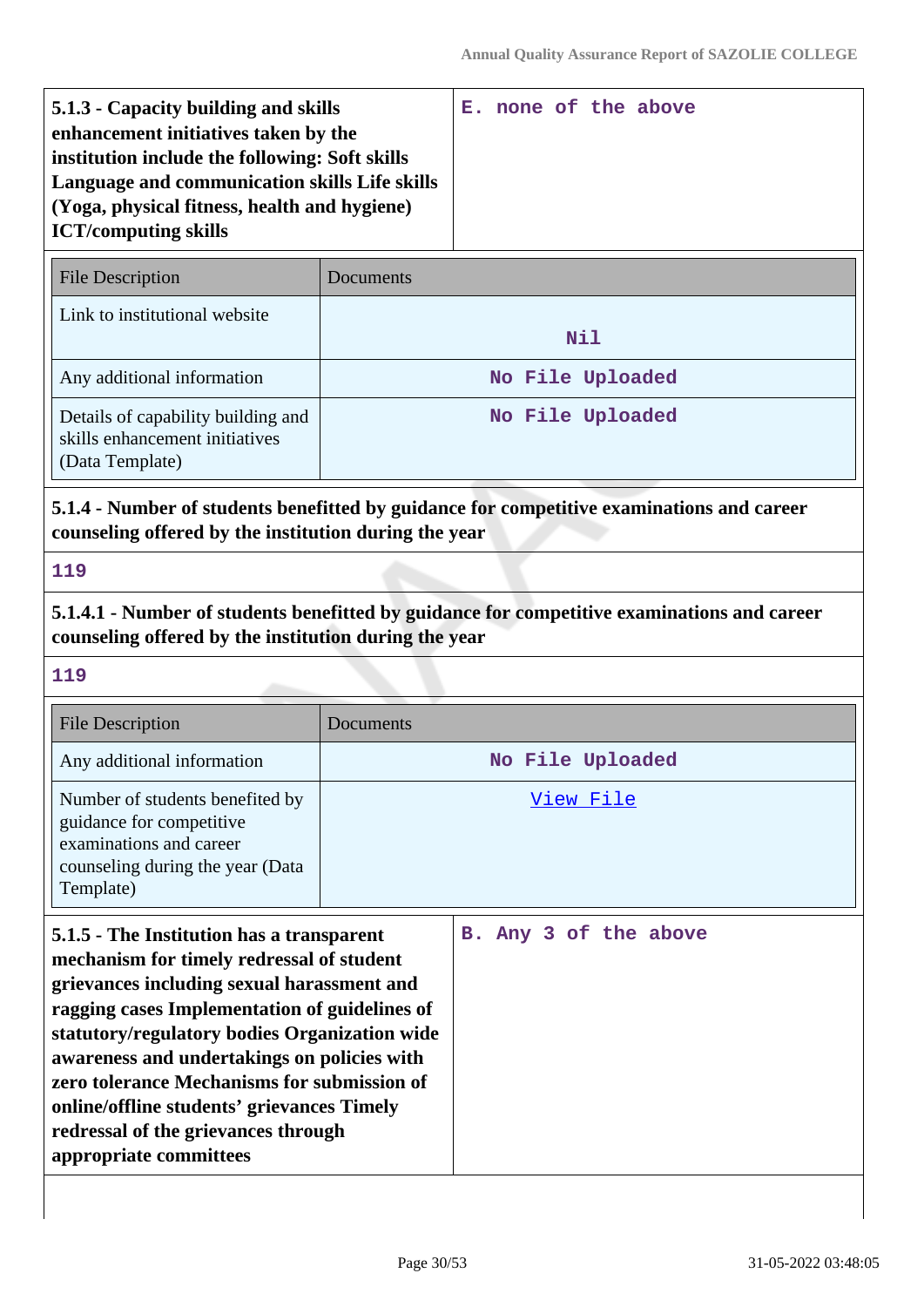| 5.1.3 - Capacity building and skills           |  |  | E. none of the above |
|------------------------------------------------|--|--|----------------------|
| enhancement initiatives taken by the           |  |  |                      |
| institution include the following: Soft skills |  |  |                      |
| Language and communication skills Life skills  |  |  |                      |
| (Yoga, physical fitness, health and hygiene)   |  |  |                      |
| <b>ICT/computing skills</b>                    |  |  |                      |

| <b>File Description</b>                                                                 | <b>Documents</b> |
|-----------------------------------------------------------------------------------------|------------------|
| Link to institutional website                                                           | Nil              |
| Any additional information                                                              | No File Uploaded |
| Details of capability building and<br>skills enhancement initiatives<br>(Data Template) | No File Uploaded |

# **5.1.4 - Number of students benefitted by guidance for competitive examinations and career counseling offered by the institution during the year**

#### **119**

**5.1.4.1 - Number of students benefitted by guidance for competitive examinations and career counseling offered by the institution during the year**

## **119**

| <b>File Description</b>                                                                                                                 | Documents        |
|-----------------------------------------------------------------------------------------------------------------------------------------|------------------|
| Any additional information                                                                                                              | No File Uploaded |
| Number of students benefited by<br>guidance for competitive<br>examinations and career<br>counseling during the year (Data<br>Template) | View File        |

| 5.1.5 - The Institution has a transparent     |  |  | B. Any 3 of the above |
|-----------------------------------------------|--|--|-----------------------|
| mechanism for timely redressal of student     |  |  |                       |
| grievances including sexual harassment and    |  |  |                       |
| ragging cases Implementation of guidelines of |  |  |                       |
| statutory/regulatory bodies Organization wide |  |  |                       |
| awareness and undertakings on policies with   |  |  |                       |
| zero tolerance Mechanisms for submission of   |  |  |                       |
| online/offline students' grievances Timely    |  |  |                       |
| redressal of the grievances through           |  |  |                       |
| appropriate committees                        |  |  |                       |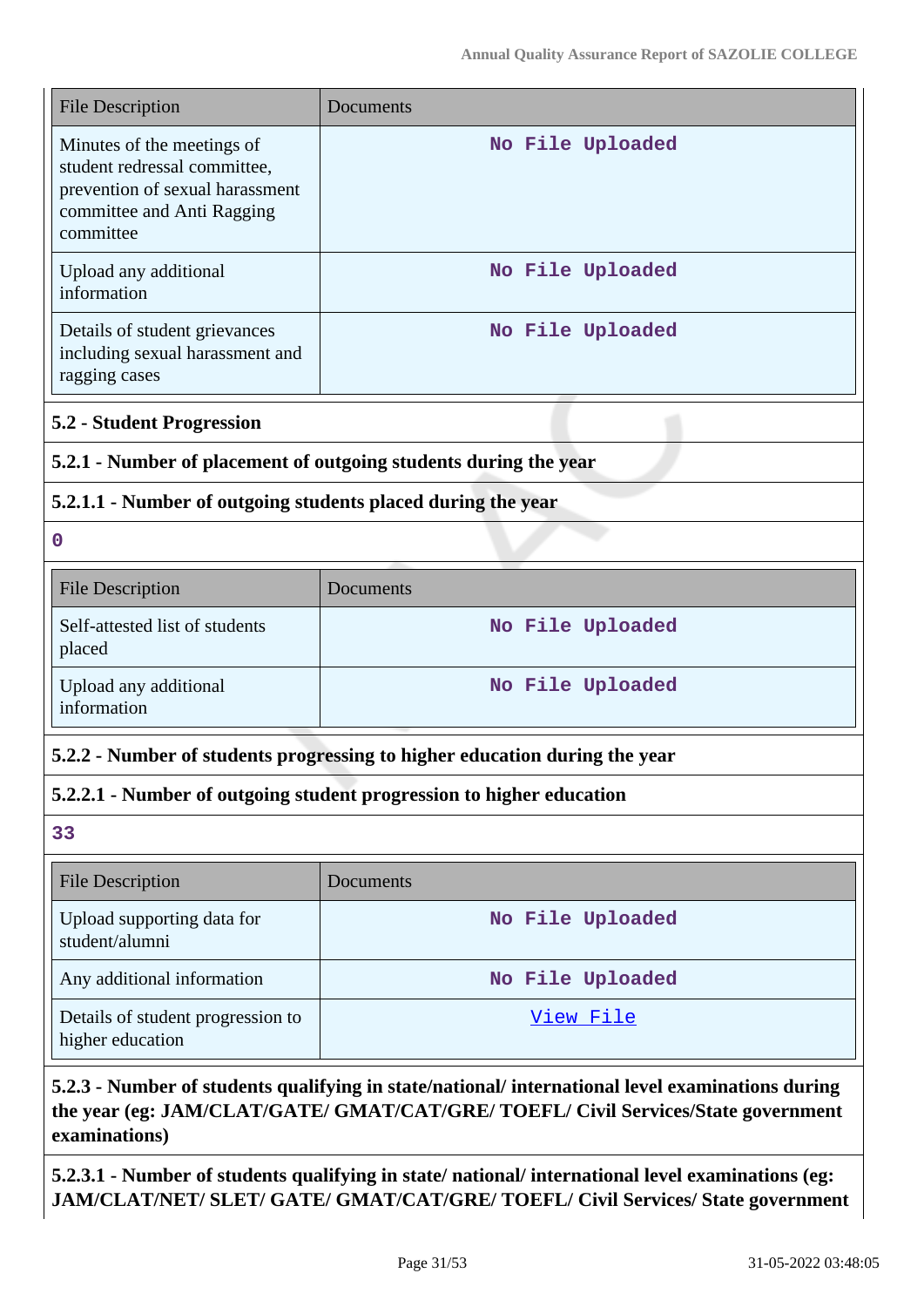| <b>File Description</b>                                                                                                                  | Documents                                                                               |  |  |  |  |
|------------------------------------------------------------------------------------------------------------------------------------------|-----------------------------------------------------------------------------------------|--|--|--|--|
| Minutes of the meetings of<br>student redressal committee,<br>prevention of sexual harassment<br>committee and Anti Ragging<br>committee | No File Uploaded                                                                        |  |  |  |  |
| Upload any additional<br>information                                                                                                     | No File Uploaded                                                                        |  |  |  |  |
| Details of student grievances<br>including sexual harassment and<br>ragging cases                                                        | No File Uploaded                                                                        |  |  |  |  |
| <b>5.2 - Student Progression</b>                                                                                                         |                                                                                         |  |  |  |  |
| 5.2.1 - Number of placement of outgoing students during the year                                                                         |                                                                                         |  |  |  |  |
| 5.2.1.1 - Number of outgoing students placed during the year                                                                             |                                                                                         |  |  |  |  |
| $\boldsymbol{0}$                                                                                                                         |                                                                                         |  |  |  |  |
| <b>File Description</b>                                                                                                                  | Documents                                                                               |  |  |  |  |
| Self-attested list of students<br>placed                                                                                                 | No File Uploaded                                                                        |  |  |  |  |
| Upload any additional<br>information                                                                                                     | No File Uploaded                                                                        |  |  |  |  |
|                                                                                                                                          | 5.2.2 - Number of students progressing to higher education during the year              |  |  |  |  |
|                                                                                                                                          | 5.2.2.1 - Number of outgoing student progression to higher education                    |  |  |  |  |
| 33                                                                                                                                       |                                                                                         |  |  |  |  |
| <b>File Description</b>                                                                                                                  | Documents                                                                               |  |  |  |  |
| Upload supporting data for<br>student/alumni                                                                                             | No File Uploaded                                                                        |  |  |  |  |
| Any additional information                                                                                                               | No File Uploaded                                                                        |  |  |  |  |
| Details of student progression to<br>higher education                                                                                    | <u>View File</u>                                                                        |  |  |  |  |
|                                                                                                                                          | Number of students qualifying in state/national/international level examinations during |  |  |  |  |

# **5.2.3 - Number of students qualifying in state/national/ international level examinations during the year (eg: JAM/CLAT/GATE/ GMAT/CAT/GRE/ TOEFL/ Civil Services/State government examinations)**

**5.2.3.1 - Number of students qualifying in state/ national/ international level examinations (eg: JAM/CLAT/NET/ SLET/ GATE/ GMAT/CAT/GRE/ TOEFL/ Civil Services/ State government**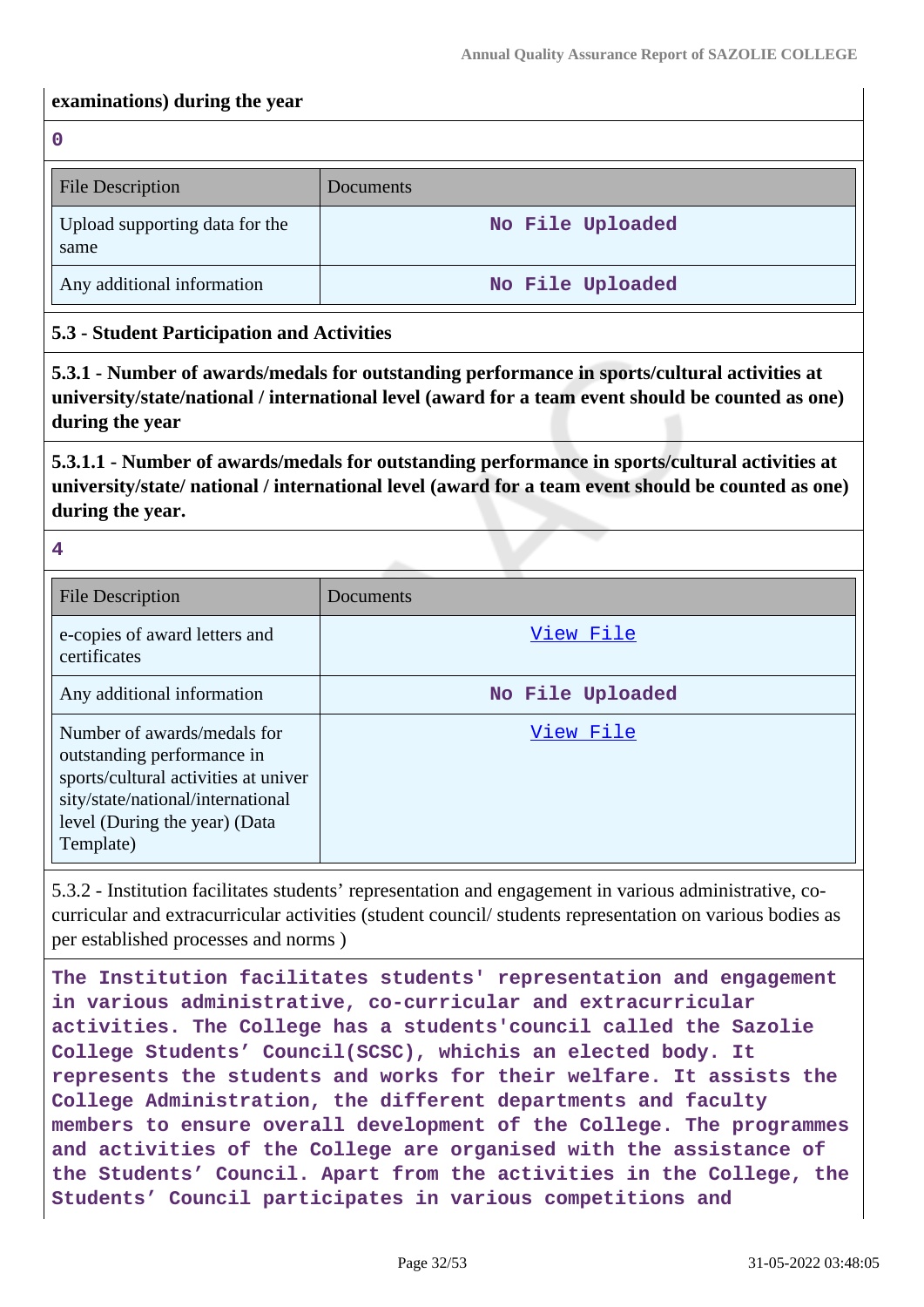#### **examinations) during the year**

**0**

| <b>File Description</b>                | Documents        |
|----------------------------------------|------------------|
| Upload supporting data for the<br>same | No File Uploaded |
| Any additional information             | No File Uploaded |

## **5.3 - Student Participation and Activities**

**5.3.1 - Number of awards/medals for outstanding performance in sports/cultural activities at university/state/national / international level (award for a team event should be counted as one) during the year**

**5.3.1.1 - Number of awards/medals for outstanding performance in sports/cultural activities at university/state/ national / international level (award for a team event should be counted as one) during the year.**

**4**

| <b>File Description</b>                                                                                                                                                              | <b>Documents</b> |
|--------------------------------------------------------------------------------------------------------------------------------------------------------------------------------------|------------------|
| e-copies of award letters and<br>certificates                                                                                                                                        | View File        |
| Any additional information                                                                                                                                                           | No File Uploaded |
| Number of awards/medals for<br>outstanding performance in<br>sports/cultural activities at univer<br>sity/state/national/international<br>level (During the year) (Data<br>Template) | View File        |

5.3.2 - Institution facilitates students' representation and engagement in various administrative, cocurricular and extracurricular activities (student council/ students representation on various bodies as per established processes and norms )

**The Institution facilitates students' representation and engagement in various administrative, co-curricular and extracurricular activities. The College has a students'council called the Sazolie College Students' Council(SCSC), whichis an elected body. It represents the students and works for their welfare. It assists the College Administration, the different departments and faculty members to ensure overall development of the College. The programmes and activities of the College are organised with the assistance of the Students' Council. Apart from the activities in the College, the Students' Council participates in various competitions and**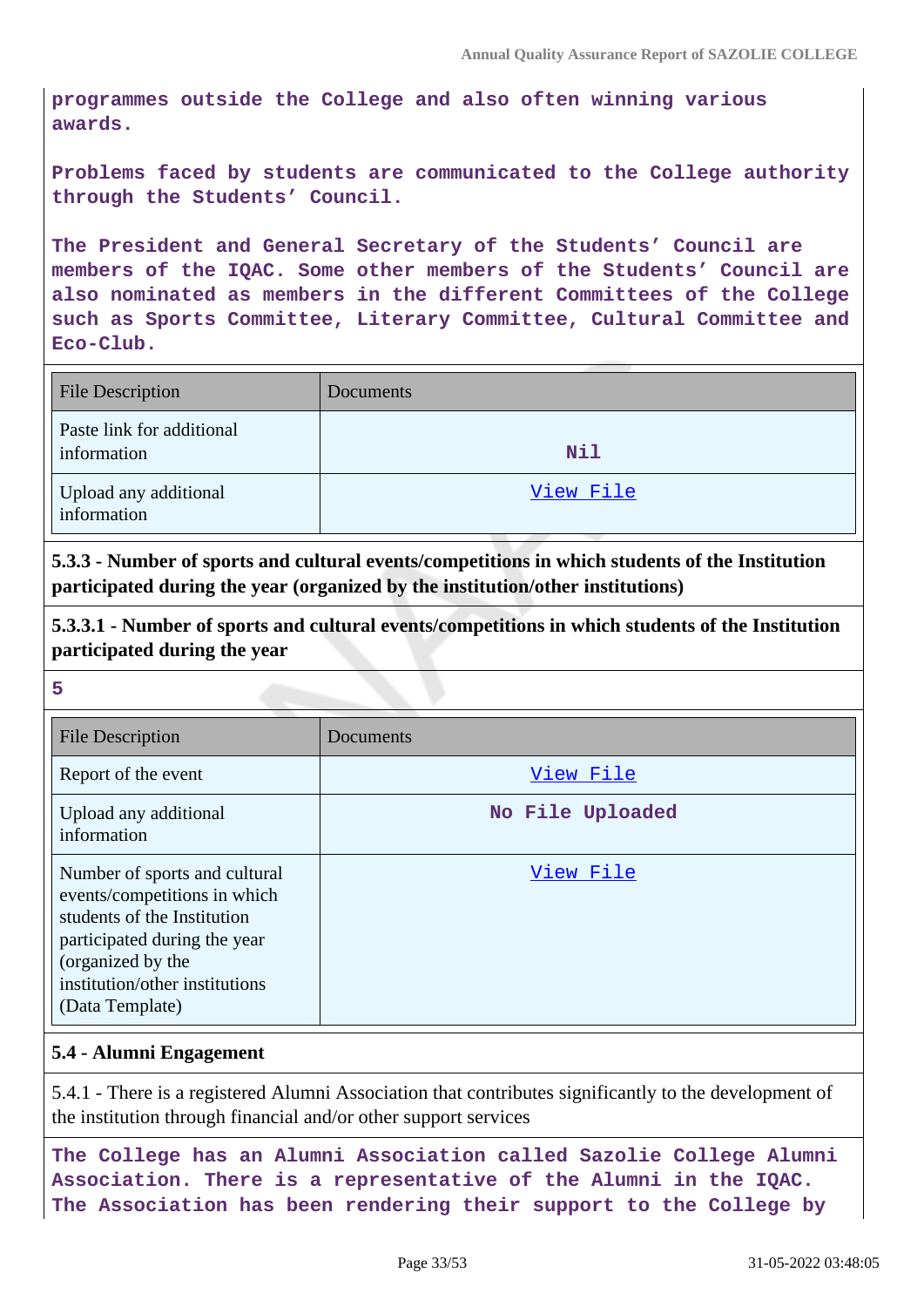**programmes outside the College and also often winning various awards.**

**Problems faced by students are communicated to the College authority through the Students' Council.**

**The President and General Secretary of the Students' Council are members of the IQAC. Some other members of the Students' Council are also nominated as members in the different Committees of the College such as Sports Committee, Literary Committee, Cultural Committee and Eco-Club.**

| <b>File Description</b>                  | Documents |
|------------------------------------------|-----------|
| Paste link for additional<br>information | Nil       |
| Upload any additional<br>information     | View File |

**5.3.3 - Number of sports and cultural events/competitions in which students of the Institution participated during the year (organized by the institution/other institutions)**

**5.3.3.1 - Number of sports and cultural events/competitions in which students of the Institution participated during the year**

**5**

| <b>File Description</b>                                                                                                                                                                                | Documents        |
|--------------------------------------------------------------------------------------------------------------------------------------------------------------------------------------------------------|------------------|
| Report of the event                                                                                                                                                                                    | View File        |
| Upload any additional<br>information                                                                                                                                                                   | No File Uploaded |
| Number of sports and cultural<br>events/competitions in which<br>students of the Institution<br>participated during the year<br>(organized by the<br>institution/other institutions<br>(Data Template) | View File        |

#### **5.4 - Alumni Engagement**

5.4.1 - There is a registered Alumni Association that contributes significantly to the development of the institution through financial and/or other support services

**The College has an Alumni Association called Sazolie College Alumni Association. There is a representative of the Alumni in the IQAC. The Association has been rendering their support to the College by**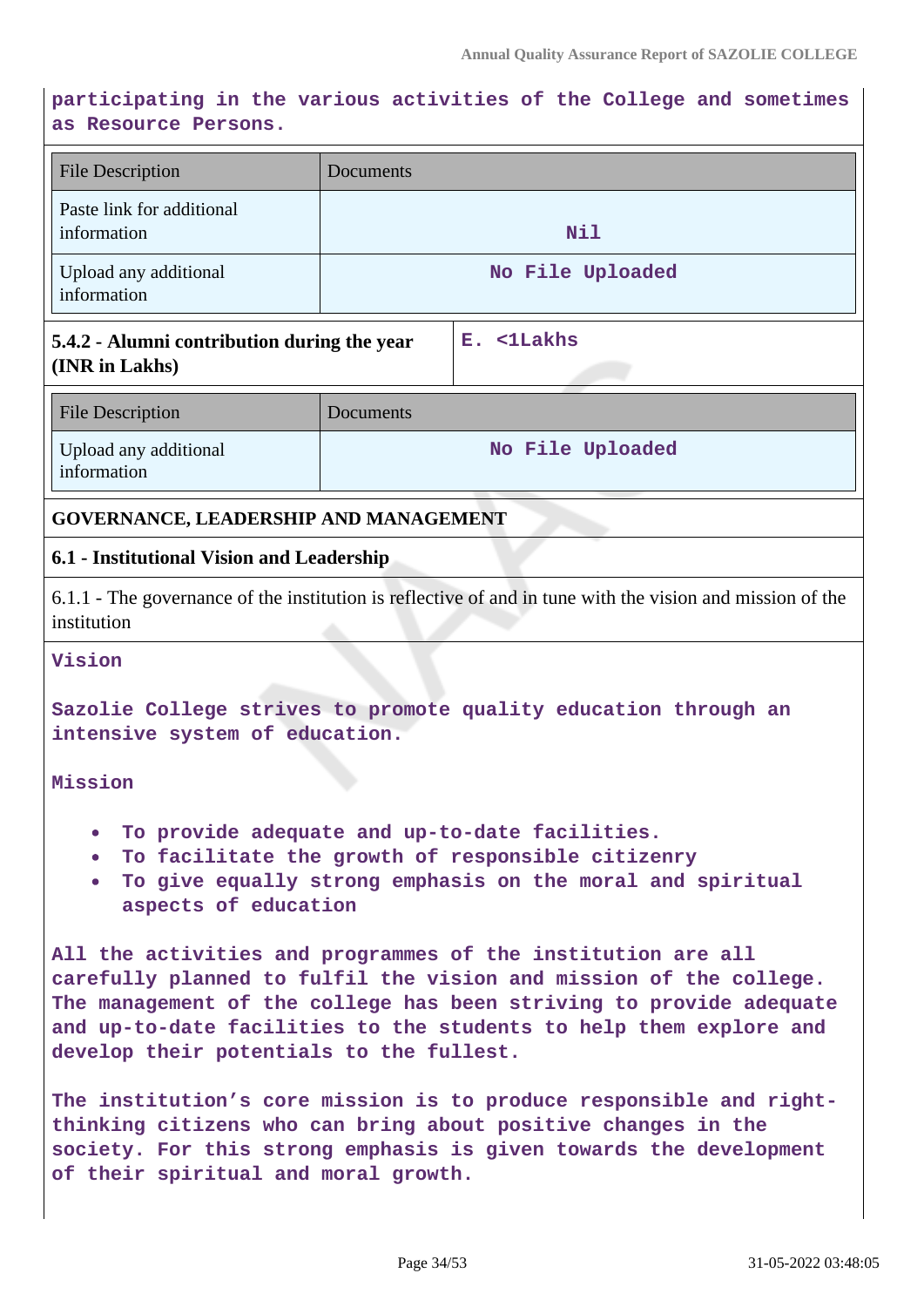# **participating in the various activities of the College and sometimes as Resource Persons.**

| <b>File Description</b>                                                                                                                                                                                                                            | Documents                                                                                                                                                                                                                                                                       |  |
|----------------------------------------------------------------------------------------------------------------------------------------------------------------------------------------------------------------------------------------------------|---------------------------------------------------------------------------------------------------------------------------------------------------------------------------------------------------------------------------------------------------------------------------------|--|
| Paste link for additional<br>information                                                                                                                                                                                                           | Nil                                                                                                                                                                                                                                                                             |  |
| Upload any additional<br>information                                                                                                                                                                                                               | No File Uploaded                                                                                                                                                                                                                                                                |  |
| 5.4.2 - Alumni contribution during the year<br>(INR in Lakhs)                                                                                                                                                                                      | E. <1Lakhs                                                                                                                                                                                                                                                                      |  |
| <b>File Description</b>                                                                                                                                                                                                                            | Documents                                                                                                                                                                                                                                                                       |  |
| Upload any additional<br>information                                                                                                                                                                                                               | No File Uploaded                                                                                                                                                                                                                                                                |  |
| <b>GOVERNANCE, LEADERSHIP AND MANAGEMENT</b>                                                                                                                                                                                                       |                                                                                                                                                                                                                                                                                 |  |
| 6.1 - Institutional Vision and Leadership                                                                                                                                                                                                          |                                                                                                                                                                                                                                                                                 |  |
| institution                                                                                                                                                                                                                                        | 6.1.1 - The governance of the institution is reflective of and in tune with the vision and mission of the                                                                                                                                                                       |  |
| Vision                                                                                                                                                                                                                                             |                                                                                                                                                                                                                                                                                 |  |
| intensive system of education.                                                                                                                                                                                                                     | Sazolie College strives to promote quality education through an                                                                                                                                                                                                                 |  |
| Mission                                                                                                                                                                                                                                            |                                                                                                                                                                                                                                                                                 |  |
| $\bullet$<br>$\bullet$<br>aspects of education                                                                                                                                                                                                     | To provide adequate and up-to-date facilities.<br>To facilitate the growth of responsible citizenry<br>To give equally strong emphasis on the moral and spiritual                                                                                                               |  |
| develop their potentials to the fullest.                                                                                                                                                                                                           | All the activities and programmes of the institution are all<br>carefully planned to fulfil the vision and mission of the college.<br>The management of the college has been striving to provide adequate<br>and up-to-date facilities to the students to help them explore and |  |
| The institution's core mission is to produce responsible and right-<br>thinking citizens who can bring about positive changes in the<br>society. For this strong emphasis is given towards the development<br>of their spiritual and moral growth. |                                                                                                                                                                                                                                                                                 |  |

 $\overline{\phantom{a}}$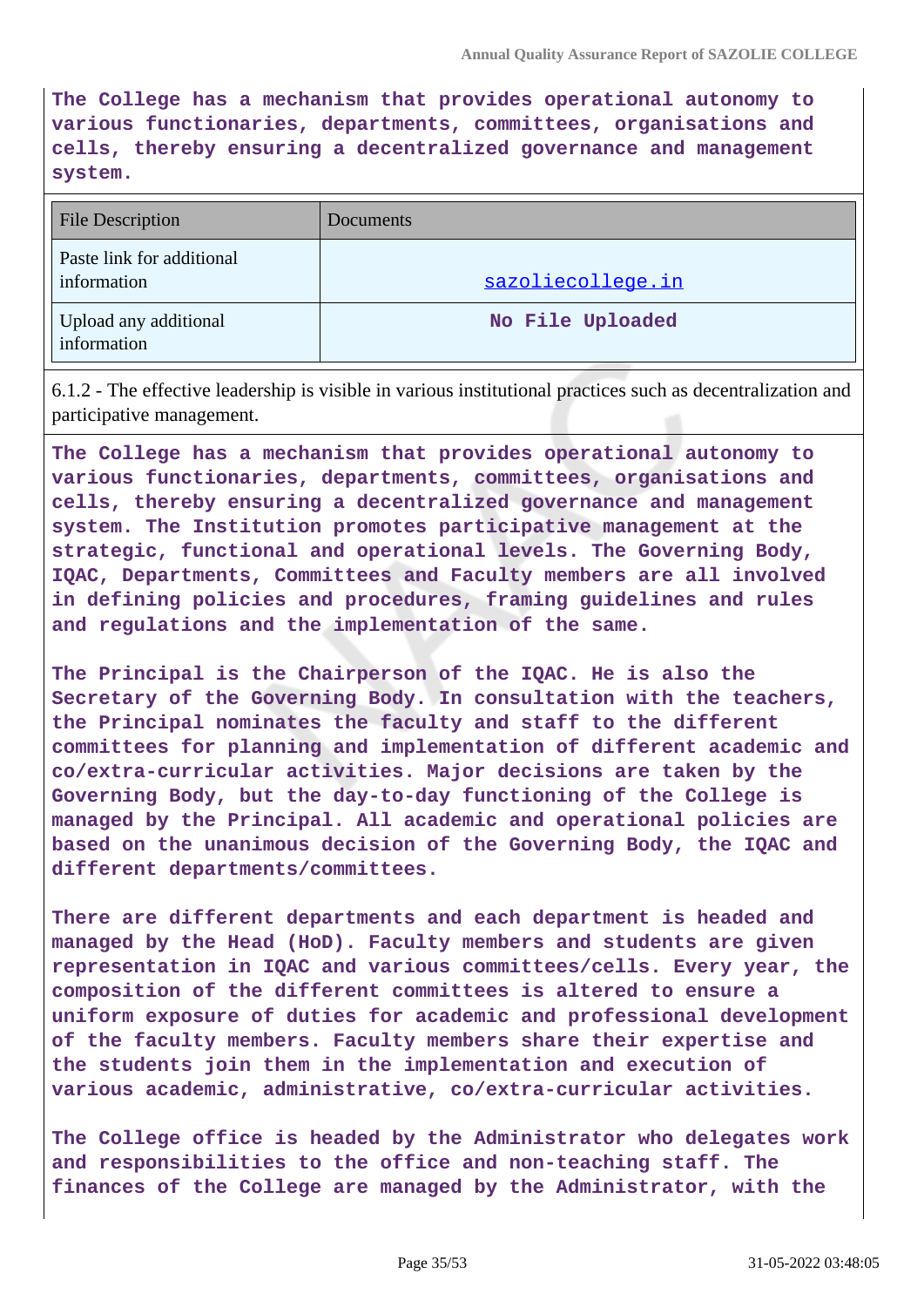**The College has a mechanism that provides operational autonomy to various functionaries, departments, committees, organisations and cells, thereby ensuring a decentralized governance and management system.**

| File Description                         | Documents         |
|------------------------------------------|-------------------|
| Paste link for additional<br>information | sazoliecollege.in |
| Upload any additional<br>information     | No File Uploaded  |

6.1.2 - The effective leadership is visible in various institutional practices such as decentralization and participative management.

**The College has a mechanism that provides operational autonomy to various functionaries, departments, committees, organisations and cells, thereby ensuring a decentralized governance and management system. The Institution promotes participative management at the strategic, functional and operational levels. The Governing Body, IQAC, Departments, Committees and Faculty members are all involved in defining policies and procedures, framing guidelines and rules and regulations and the implementation of the same.**

**The Principal is the Chairperson of the IQAC. He is also the Secretary of the Governing Body. In consultation with the teachers, the Principal nominates the faculty and staff to the different committees for planning and implementation of different academic and co/extra-curricular activities. Major decisions are taken by the Governing Body, but the day-to-day functioning of the College is managed by the Principal. All academic and operational policies are based on the unanimous decision of the Governing Body, the IQAC and different departments/committees.**

**There are different departments and each department is headed and managed by the Head (HoD). Faculty members and students are given representation in IQAC and various committees/cells. Every year, the composition of the different committees is altered to ensure a uniform exposure of duties for academic and professional development of the faculty members. Faculty members share their expertise and the students join them in the implementation and execution of various academic, administrative, co/extra-curricular activities.**

**The College office is headed by the Administrator who delegates work and responsibilities to the office and non-teaching staff. The finances of the College are managed by the Administrator, with the**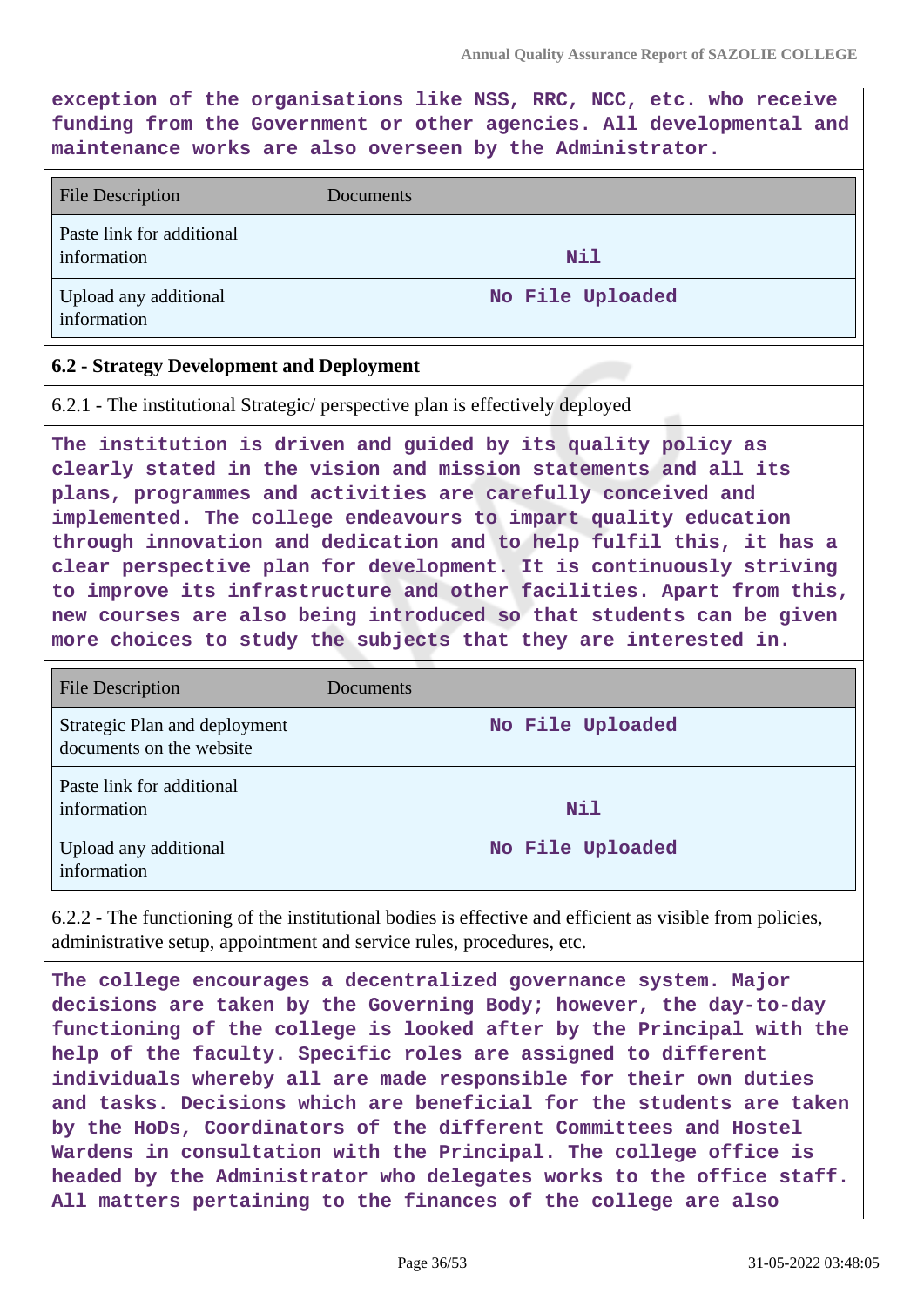**exception of the organisations like NSS, RRC, NCC, etc. who receive funding from the Government or other agencies. All developmental and maintenance works are also overseen by the Administrator.**

| <b>File Description</b>                  | Documents        |
|------------------------------------------|------------------|
| Paste link for additional<br>information | Nil              |
| Upload any additional<br>information     | No File Uploaded |

#### **6.2 - Strategy Development and Deployment**

6.2.1 - The institutional Strategic/ perspective plan is effectively deployed

**The institution is driven and guided by its quality policy as clearly stated in the vision and mission statements and all its plans, programmes and activities are carefully conceived and implemented. The college endeavours to impart quality education through innovation and dedication and to help fulfil this, it has a clear perspective plan for development. It is continuously striving to improve its infrastructure and other facilities. Apart from this, new courses are also being introduced so that students can be given more choices to study the subjects that they are interested in.**

| <b>File Description</b>                                   | Documents        |
|-----------------------------------------------------------|------------------|
| Strategic Plan and deployment<br>documents on the website | No File Uploaded |
| Paste link for additional<br>information                  | Nil              |
| Upload any additional<br>information                      | No File Uploaded |

6.2.2 - The functioning of the institutional bodies is effective and efficient as visible from policies, administrative setup, appointment and service rules, procedures, etc.

**The college encourages a decentralized governance system. Major decisions are taken by the Governing Body; however, the day-to-day functioning of the college is looked after by the Principal with the help of the faculty. Specific roles are assigned to different individuals whereby all are made responsible for their own duties and tasks. Decisions which are beneficial for the students are taken by the HoDs, Coordinators of the different Committees and Hostel Wardens in consultation with the Principal. The college office is headed by the Administrator who delegates works to the office staff. All matters pertaining to the finances of the college are also**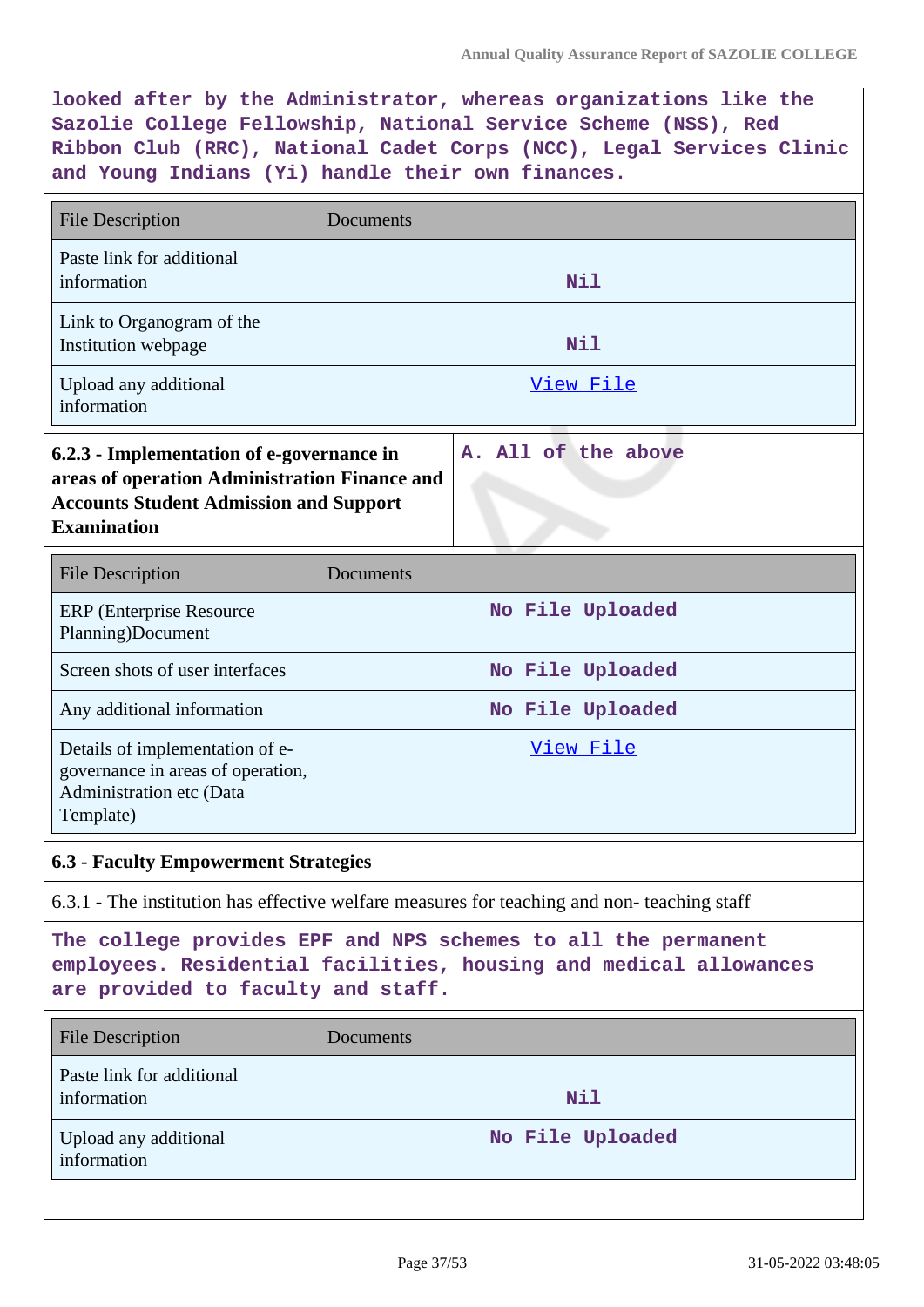**looked after by the Administrator, whereas organizations like the Sazolie College Fellowship, National Service Scheme (NSS), Red Ribbon Club (RRC), National Cadet Corps (NCC), Legal Services Clinic and Young Indians (Yi) handle their own finances.**

| <b>File Description</b>                                                                                                                                           | Documents           |
|-------------------------------------------------------------------------------------------------------------------------------------------------------------------|---------------------|
| Paste link for additional<br>information                                                                                                                          | Nil                 |
| Link to Organogram of the<br>Institution webpage                                                                                                                  | Nil                 |
| Upload any additional<br>information                                                                                                                              | <u>View File</u>    |
| 6.2.3 - Implementation of e-governance in<br>areas of operation Administration Finance and<br><b>Accounts Student Admission and Support</b><br><b>Examination</b> | A. All of the above |
| <b>File Description</b>                                                                                                                                           | Documents           |

| <b>FIIE DESCHIPHOII</b>                                                                                       | DOCUMENTS        |
|---------------------------------------------------------------------------------------------------------------|------------------|
| <b>ERP</b> (Enterprise Resource)<br>Planning)Document                                                         | No File Uploaded |
| Screen shots of user interfaces                                                                               | No File Uploaded |
| Any additional information                                                                                    | No File Uploaded |
| Details of implementation of e-<br>governance in areas of operation,<br>Administration etc (Data<br>Template) | View File        |

#### **6.3 - Faculty Empowerment Strategies**

6.3.1 - The institution has effective welfare measures for teaching and non- teaching staff

**The college provides EPF and NPS schemes to all the permanent employees. Residential facilities, housing and medical allowances are provided to faculty and staff.**

| <b>File Description</b>                  | Documents        |
|------------------------------------------|------------------|
| Paste link for additional<br>information | Nil              |
| Upload any additional<br>information     | No File Uploaded |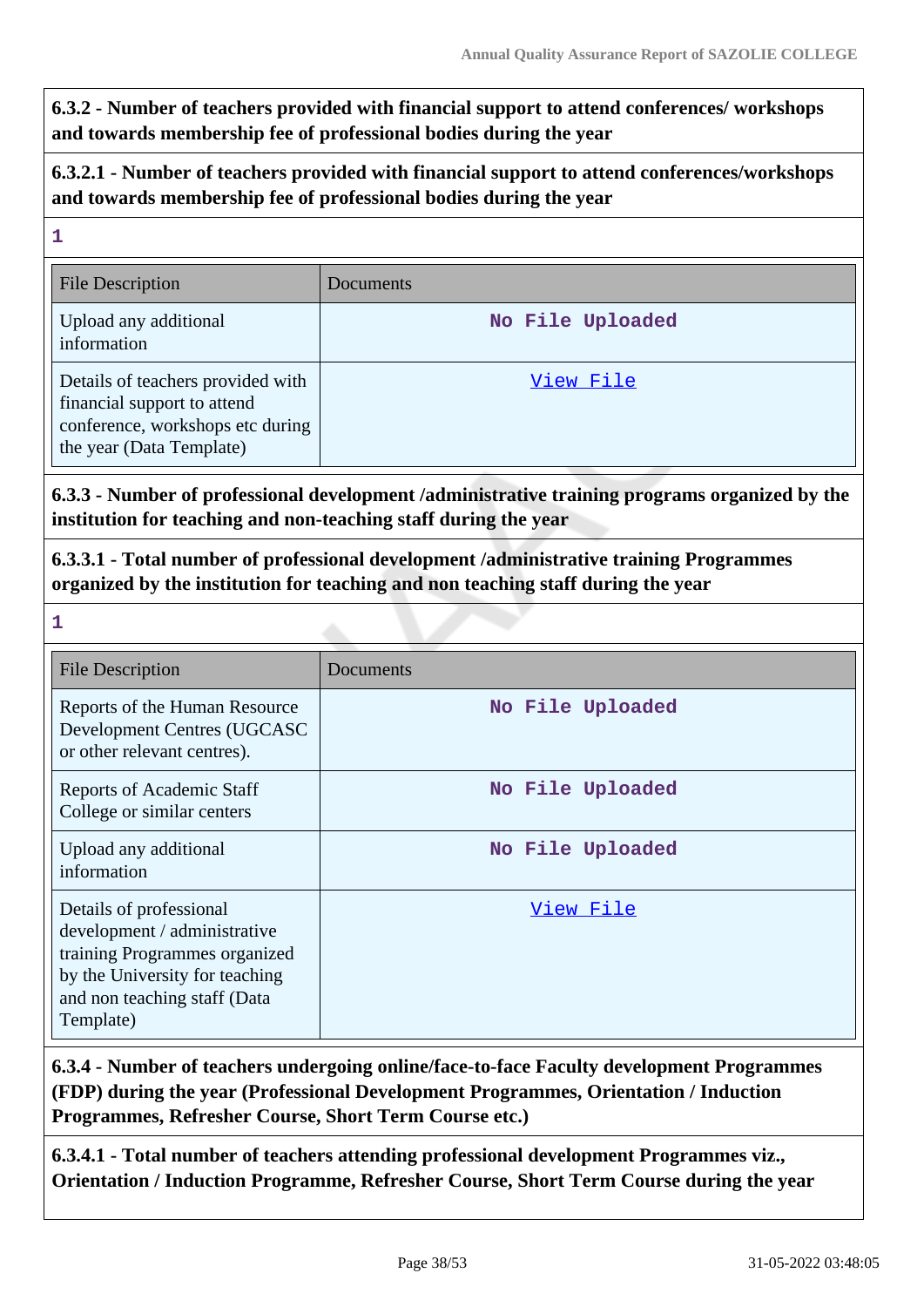**6.3.2 - Number of teachers provided with financial support to attend conferences/ workshops and towards membership fee of professional bodies during the year**

## **6.3.2.1 - Number of teachers provided with financial support to attend conferences/workshops and towards membership fee of professional bodies during the year**

# **1** File Description Documents Upload any additional information **No File Uploaded** Details of teachers provided with financial support to attend conference, workshops etc during the year (Data Template) [View File](https://assessmentonline.naac.gov.in/storage/app/public/aqar/16482/16482_72_168.xlsx?1653992284)

**6.3.3 - Number of professional development /administrative training programs organized by the institution for teaching and non-teaching staff during the year**

**6.3.3.1 - Total number of professional development /administrative training Programmes organized by the institution for teaching and non teaching staff during the year**

**1**

| <b>File Description</b>                                                                                                                                                  | Documents        |
|--------------------------------------------------------------------------------------------------------------------------------------------------------------------------|------------------|
| Reports of the Human Resource<br>Development Centres (UGCASC<br>or other relevant centres).                                                                              | No File Uploaded |
| <b>Reports of Academic Staff</b><br>College or similar centers                                                                                                           | No File Uploaded |
| Upload any additional<br>information                                                                                                                                     | No File Uploaded |
| Details of professional<br>development / administrative<br>training Programmes organized<br>by the University for teaching<br>and non teaching staff (Data)<br>Template) | View File        |

# **6.3.4 - Number of teachers undergoing online/face-to-face Faculty development Programmes (FDP) during the year (Professional Development Programmes, Orientation / Induction Programmes, Refresher Course, Short Term Course etc.)**

**6.3.4.1 - Total number of teachers attending professional development Programmes viz., Orientation / Induction Programme, Refresher Course, Short Term Course during the year**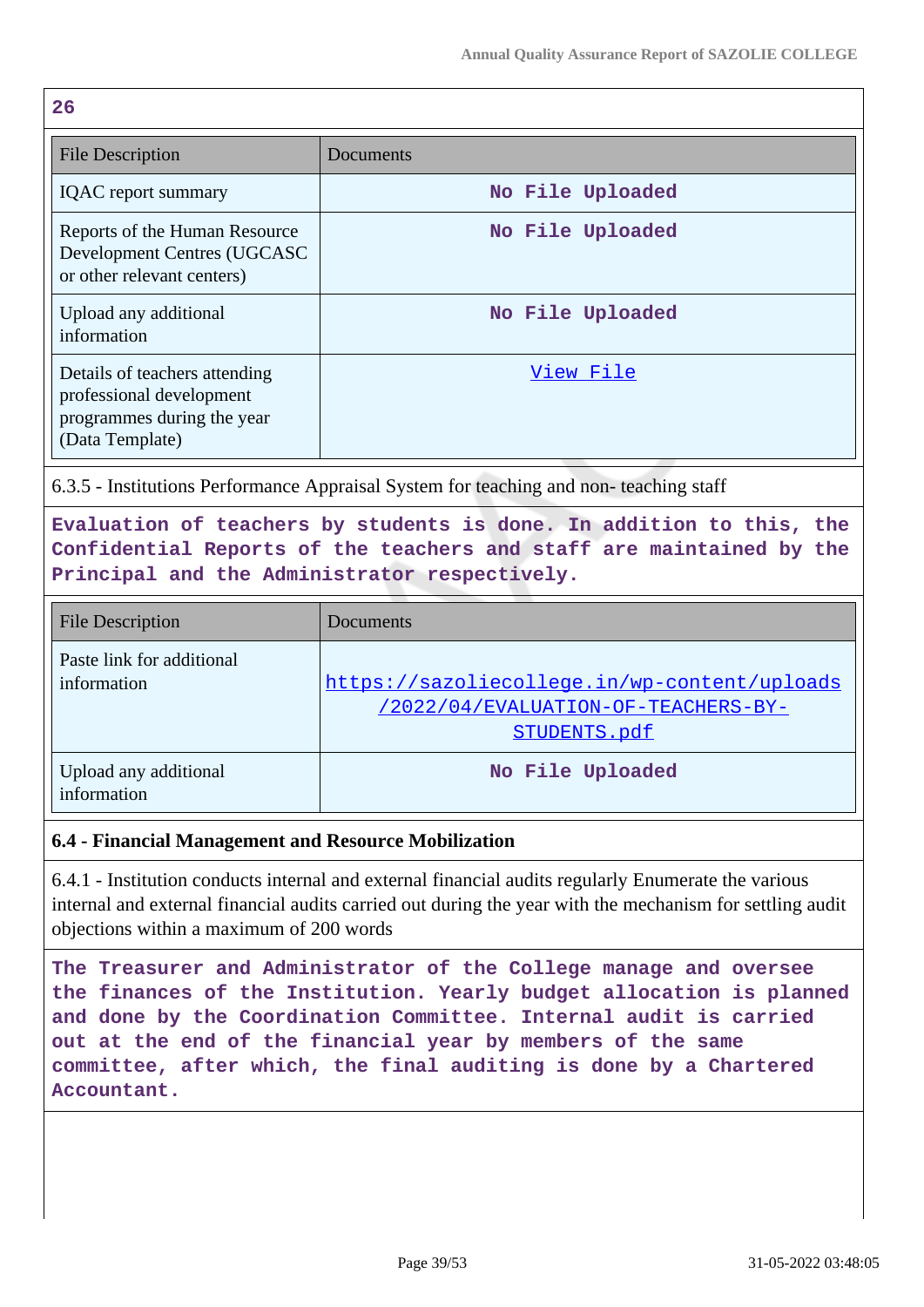| I<br>-<br>v. |  |
|--------------|--|

| ▵◡                                                                                                         |                  |
|------------------------------------------------------------------------------------------------------------|------------------|
| <b>File Description</b>                                                                                    | Documents        |
| <b>IQAC</b> report summary                                                                                 | No File Uploaded |
| Reports of the Human Resource<br>Development Centres (UGCASC<br>or other relevant centers)                 | No File Uploaded |
| Upload any additional<br>information                                                                       | No File Uploaded |
| Details of teachers attending<br>professional development<br>programmes during the year<br>(Data Template) | View File        |

6.3.5 - Institutions Performance Appraisal System for teaching and non- teaching staff

**Evaluation of teachers by students is done. In addition to this, the Confidential Reports of the teachers and staff are maintained by the Principal and the Administrator respectively.**

| <b>File Description</b>                  | Documents                                                                                           |
|------------------------------------------|-----------------------------------------------------------------------------------------------------|
| Paste link for additional<br>information | https://sazoliecollege.in/wp-content/uploads<br>/2022/04/EVALUATION-OF-TEACHERS-BY-<br>STUDENTS.pdf |
| Upload any additional<br>information     | No File Uploaded                                                                                    |

## **6.4 - Financial Management and Resource Mobilization**

6.4.1 - Institution conducts internal and external financial audits regularly Enumerate the various internal and external financial audits carried out during the year with the mechanism for settling audit objections within a maximum of 200 words

**The Treasurer and Administrator of the College manage and oversee the finances of the Institution. Yearly budget allocation is planned and done by the Coordination Committee. Internal audit is carried out at the end of the financial year by members of the same committee, after which, the final auditing is done by a Chartered Accountant.**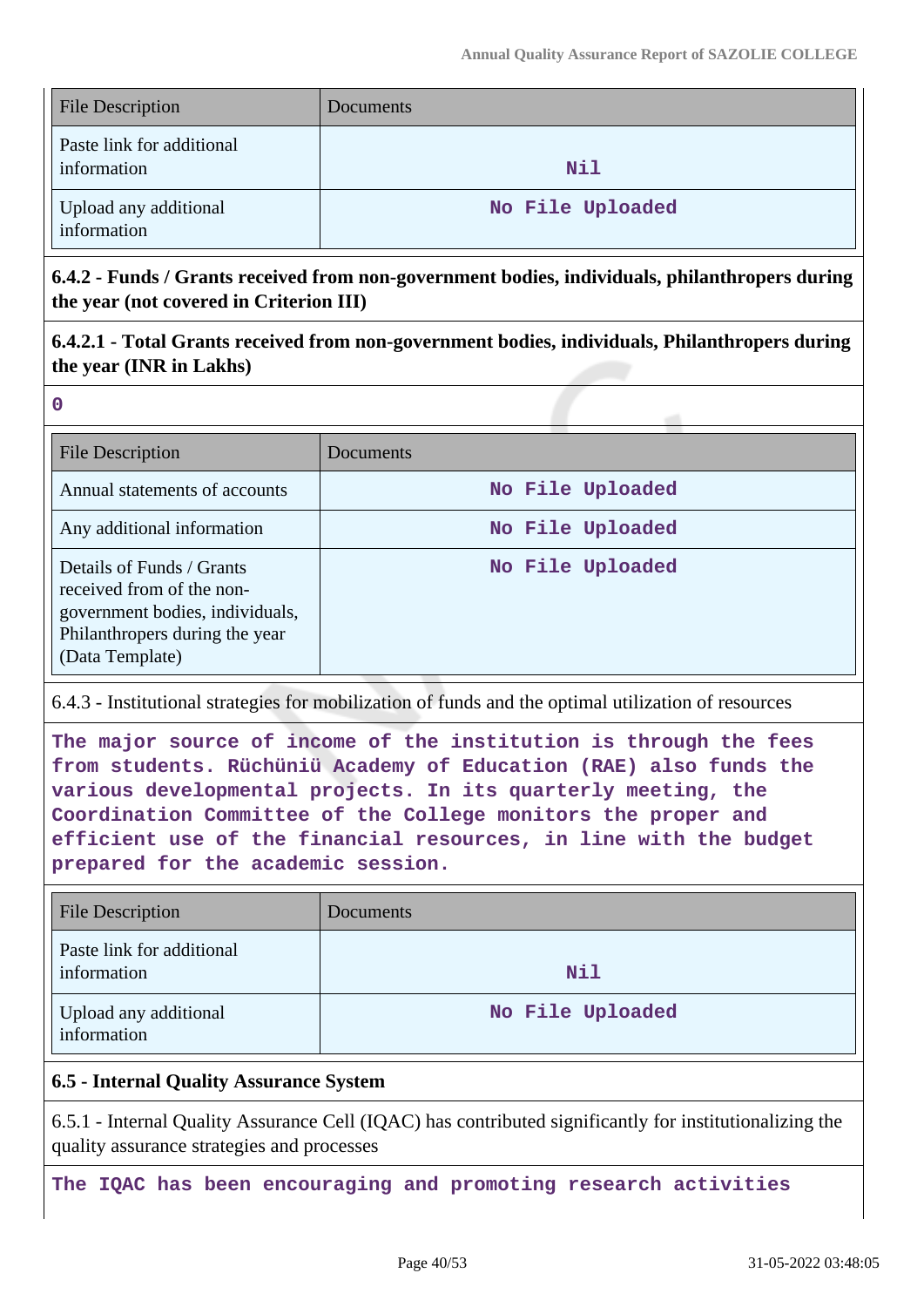| <b>File Description</b>                  | <b>Documents</b> |
|------------------------------------------|------------------|
| Paste link for additional<br>information | Nil              |
| Upload any additional<br>information     | No File Uploaded |

**6.4.2 - Funds / Grants received from non-government bodies, individuals, philanthropers during the year (not covered in Criterion III)**

**6.4.2.1 - Total Grants received from non-government bodies, individuals, Philanthropers during the year (INR in Lakhs)**

**0**

| <b>File Description</b>                                                                                                                        | Documents        |
|------------------------------------------------------------------------------------------------------------------------------------------------|------------------|
| Annual statements of accounts                                                                                                                  | No File Uploaded |
| Any additional information                                                                                                                     | No File Uploaded |
| Details of Funds / Grants<br>received from of the non-<br>government bodies, individuals,<br>Philanthropers during the year<br>(Data Template) | No File Uploaded |

## 6.4.3 - Institutional strategies for mobilization of funds and the optimal utilization of resources

**The major source of income of the institution is through the fees from students. Rüchüniü Academy of Education (RAE) also funds the various developmental projects. In its quarterly meeting, the Coordination Committee of the College monitors the proper and efficient use of the financial resources, in line with the budget prepared for the academic session.**

| <b>File Description</b>                  | Documents        |
|------------------------------------------|------------------|
| Paste link for additional<br>information | N11              |
| Upload any additional<br>information     | No File Uploaded |

## **6.5 - Internal Quality Assurance System**

6.5.1 - Internal Quality Assurance Cell (IQAC) has contributed significantly for institutionalizing the quality assurance strategies and processes

**The IQAC has been encouraging and promoting research activities**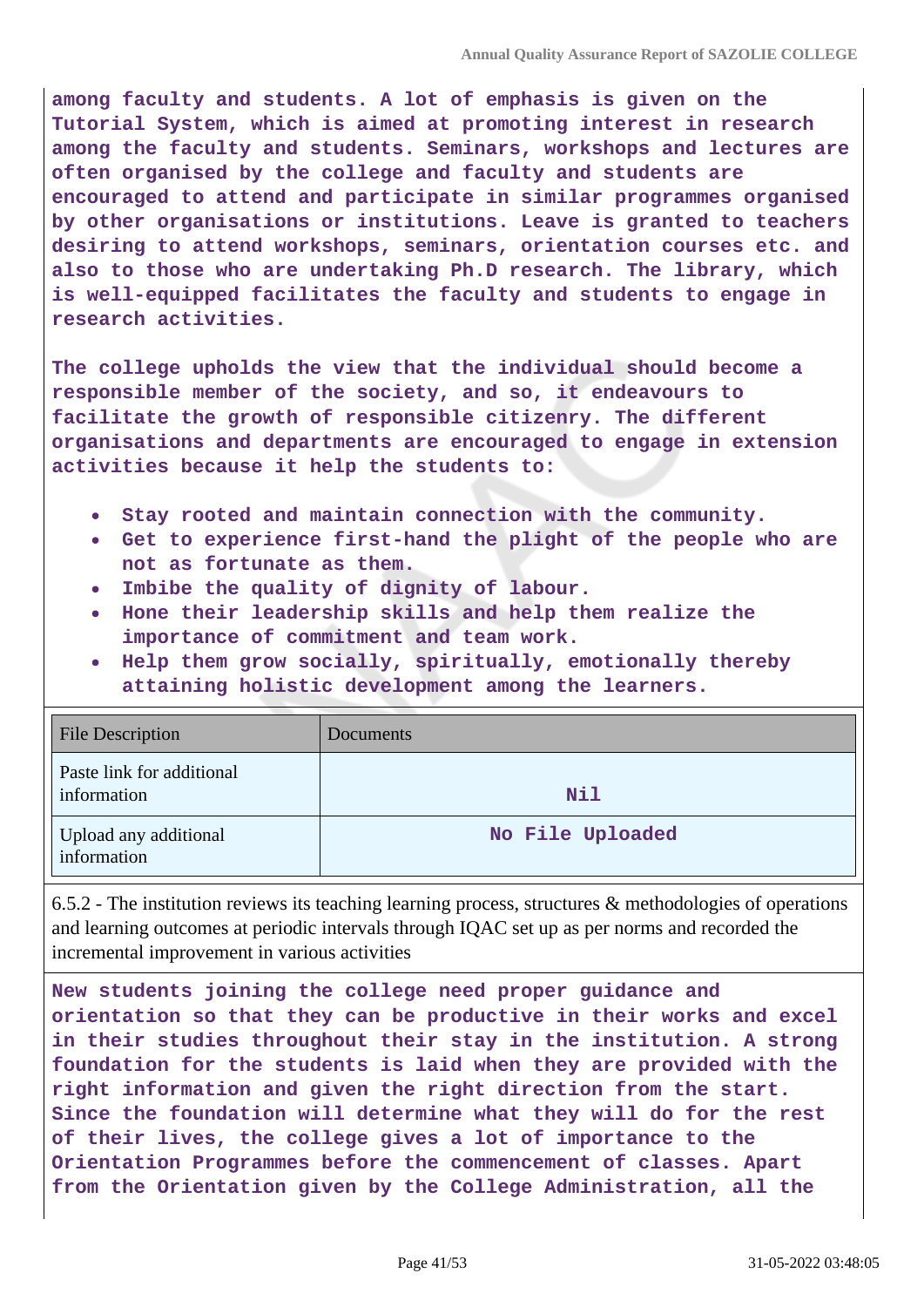**among faculty and students. A lot of emphasis is given on the Tutorial System, which is aimed at promoting interest in research among the faculty and students. Seminars, workshops and lectures are often organised by the college and faculty and students are encouraged to attend and participate in similar programmes organised by other organisations or institutions. Leave is granted to teachers desiring to attend workshops, seminars, orientation courses etc. and also to those who are undertaking Ph.D research. The library, which is well-equipped facilitates the faculty and students to engage in research activities.**

**The college upholds the view that the individual should become a responsible member of the society, and so, it endeavours to facilitate the growth of responsible citizenry. The different organisations and departments are encouraged to engage in extension activities because it help the students to:**

- **Stay rooted and maintain connection with the community.**
- **Get to experience first-hand the plight of the people who are not as fortunate as them.**
- **Imbibe the quality of dignity of labour.**
- **Hone their leadership skills and help them realize the importance of commitment and team work.**
- **Help them grow socially, spiritually, emotionally thereby attaining holistic development among the learners.**

| <b>File Description</b>                  | Documents        |
|------------------------------------------|------------------|
| Paste link for additional<br>information | Nil              |
| Upload any additional<br>information     | No File Uploaded |

6.5.2 - The institution reviews its teaching learning process, structures & methodologies of operations and learning outcomes at periodic intervals through IQAC set up as per norms and recorded the incremental improvement in various activities

**New students joining the college need proper guidance and orientation so that they can be productive in their works and excel in their studies throughout their stay in the institution. A strong foundation for the students is laid when they are provided with the right information and given the right direction from the start. Since the foundation will determine what they will do for the rest of their lives, the college gives a lot of importance to the Orientation Programmes before the commencement of classes. Apart from the Orientation given by the College Administration, all the**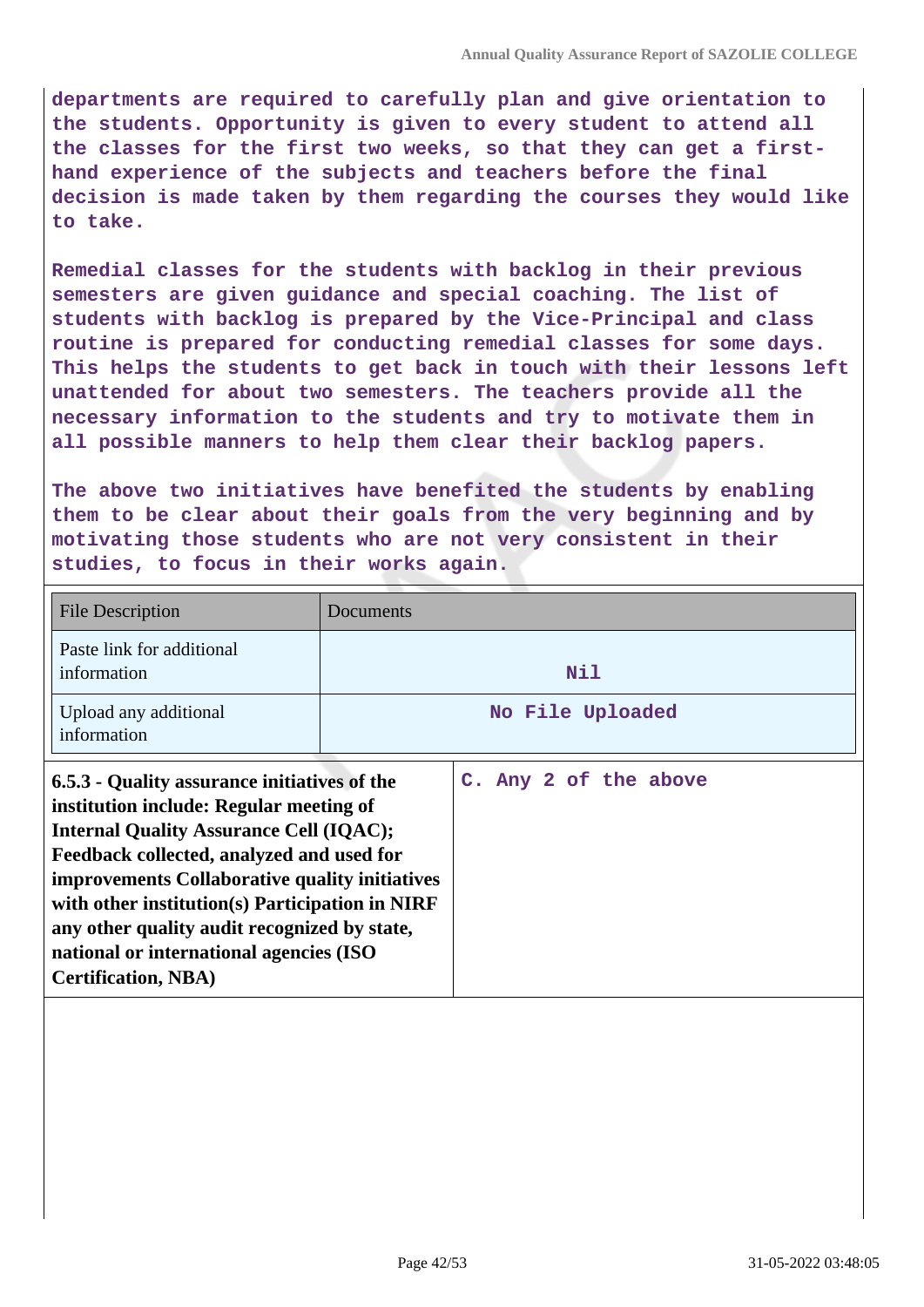**departments are required to carefully plan and give orientation to the students. Opportunity is given to every student to attend all the classes for the first two weeks, so that they can get a firsthand experience of the subjects and teachers before the final decision is made taken by them regarding the courses they would like to take.**

**Remedial classes for the students with backlog in their previous semesters are given guidance and special coaching. The list of students with backlog is prepared by the Vice-Principal and class routine is prepared for conducting remedial classes for some days. This helps the students to get back in touch with their lessons left unattended for about two semesters. The teachers provide all the necessary information to the students and try to motivate them in all possible manners to help them clear their backlog papers.**

**The above two initiatives have benefited the students by enabling them to be clear about their goals from the very beginning and by motivating those students who are not very consistent in their studies, to focus in their works again.**

| <b>File Description</b>                                                                                                                                                                                                                                                                                                                                                                                              | Documents |                       |
|----------------------------------------------------------------------------------------------------------------------------------------------------------------------------------------------------------------------------------------------------------------------------------------------------------------------------------------------------------------------------------------------------------------------|-----------|-----------------------|
| Paste link for additional<br>information                                                                                                                                                                                                                                                                                                                                                                             |           | Nil                   |
| Upload any additional<br>information                                                                                                                                                                                                                                                                                                                                                                                 |           | No File Uploaded      |
| 6.5.3 - Quality assurance initiatives of the<br>institution include: Regular meeting of<br><b>Internal Quality Assurance Cell (IQAC);</b><br>Feedback collected, analyzed and used for<br>improvements Collaborative quality initiatives<br>with other institution(s) Participation in NIRF<br>any other quality audit recognized by state,<br>national or international agencies (ISO<br><b>Certification, NBA)</b> |           | C. Any 2 of the above |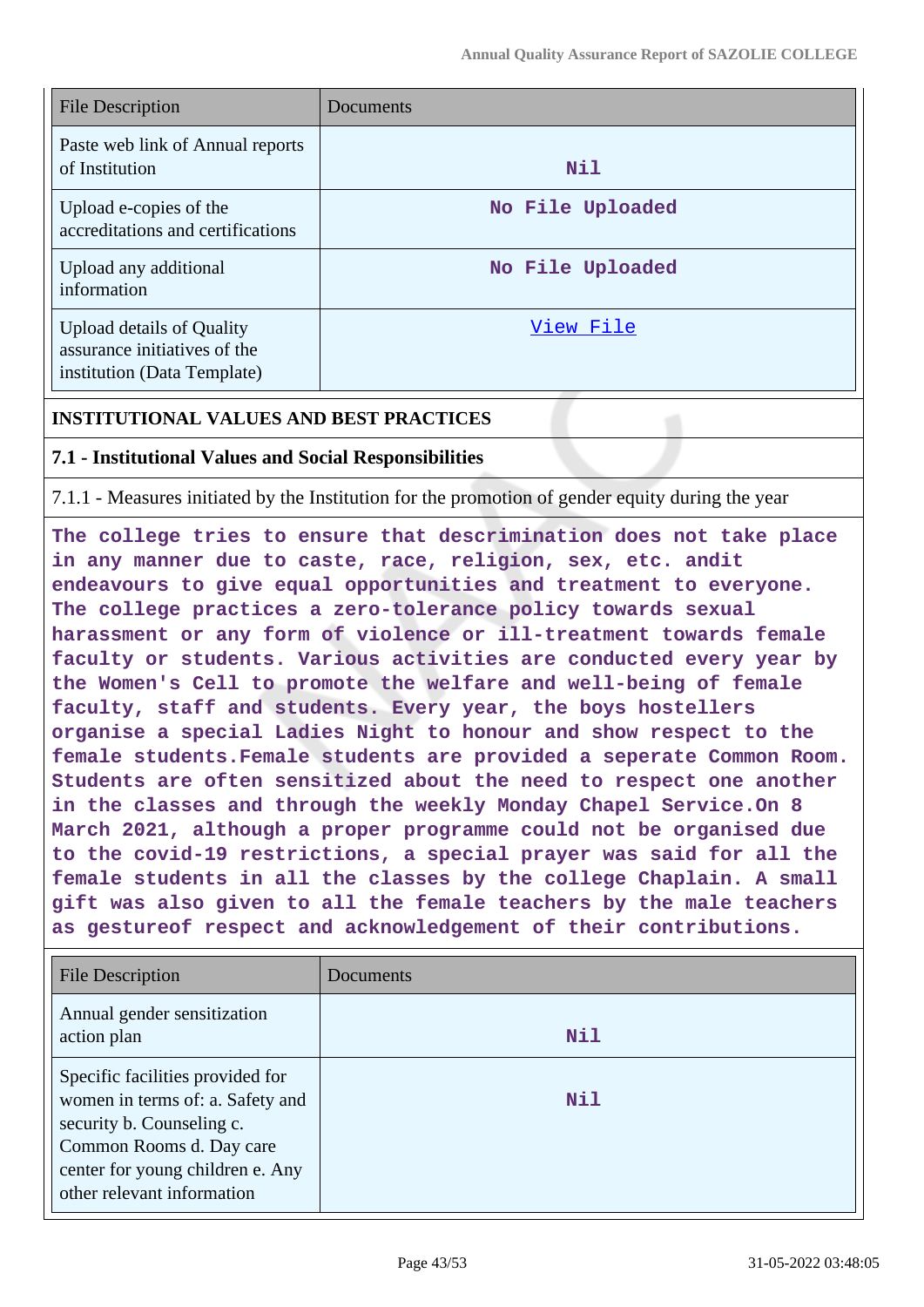| <b>File Description</b>                                                                  | Documents        |
|------------------------------------------------------------------------------------------|------------------|
| Paste web link of Annual reports<br>of Institution                                       | Nil              |
| Upload e-copies of the<br>accreditations and certifications                              | No File Uploaded |
| Upload any additional<br>information                                                     | No File Uploaded |
| Upload details of Quality<br>assurance initiatives of the<br>institution (Data Template) | View File        |

## **INSTITUTIONAL VALUES AND BEST PRACTICES**

#### **7.1 - Institutional Values and Social Responsibilities**

7.1.1 - Measures initiated by the Institution for the promotion of gender equity during the year

**The college tries to ensure that descrimination does not take place in any manner due to caste, race, religion, sex, etc. andit endeavours to give equal opportunities and treatment to everyone. The college practices a zero-tolerance policy towards sexual harassment or any form of violence or ill-treatment towards female faculty or students. Various activities are conducted every year by the Women's Cell to promote the welfare and well-being of female faculty, staff and students. Every year, the boys hostellers organise a special Ladies Night to honour and show respect to the female students.Female students are provided a seperate Common Room. Students are often sensitized about the need to respect one another in the classes and through the weekly Monday Chapel Service.On 8 March 2021, although a proper programme could not be organised due to the covid-19 restrictions, a special prayer was said for all the female students in all the classes by the college Chaplain. A small gift was also given to all the female teachers by the male teachers as gestureof respect and acknowledgement of their contributions.**

| <b>File Description</b>                                                                                                                                                                         | Documents |
|-------------------------------------------------------------------------------------------------------------------------------------------------------------------------------------------------|-----------|
| Annual gender sensitization<br>action plan                                                                                                                                                      | Nil       |
| Specific facilities provided for<br>women in terms of: a. Safety and<br>security b. Counseling c.<br>Common Rooms d. Day care<br>center for young children e. Any<br>other relevant information | Nil       |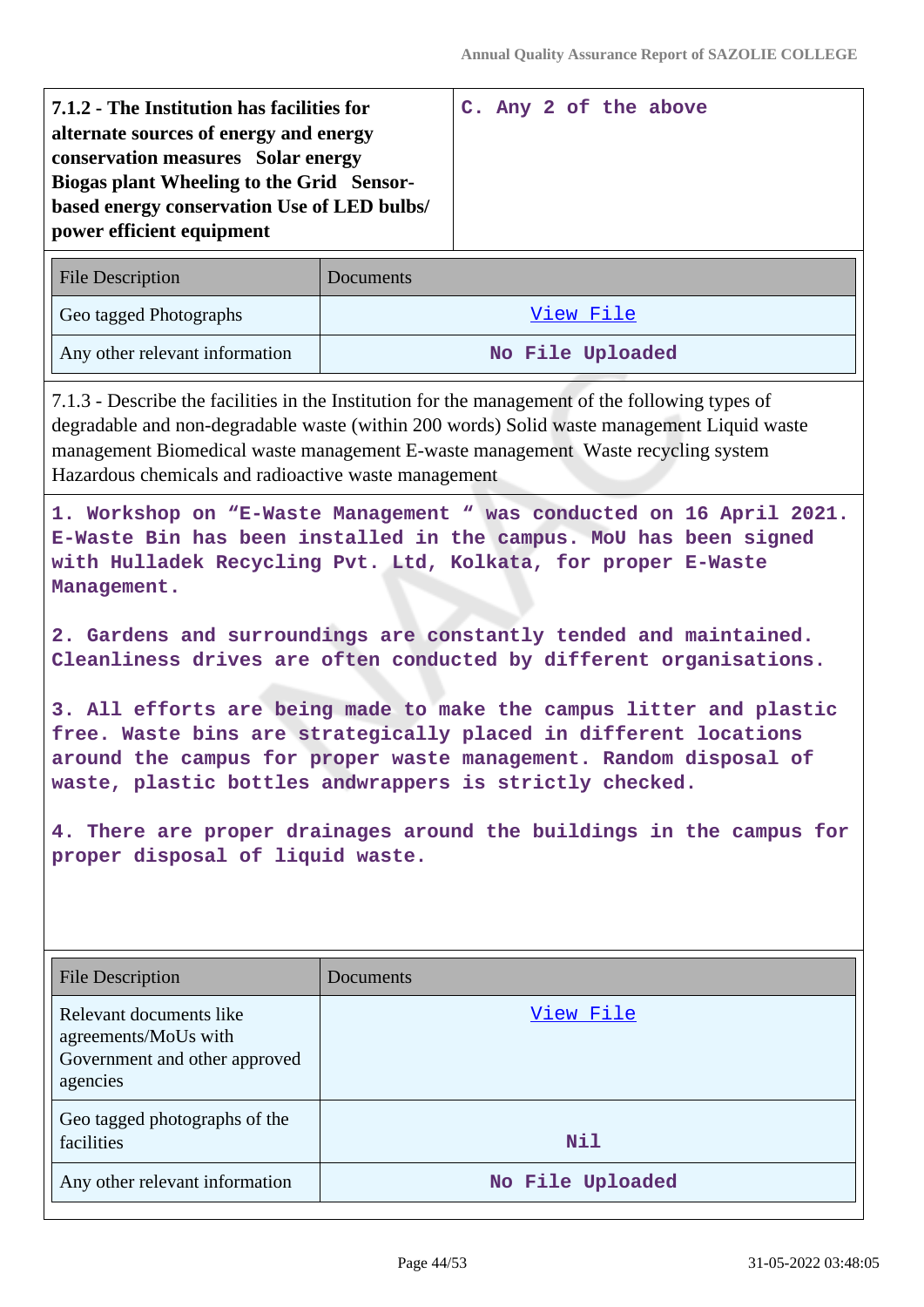| 7.1.2 - The Institution has facilities for<br>alternate sources of energy and energy<br>conservation measures Solar energy<br>Biogas plant Wheeling to the Grid Sensor- |  |  | C. Any 2 of the above |
|-------------------------------------------------------------------------------------------------------------------------------------------------------------------------|--|--|-----------------------|
| based energy conservation Use of LED bulbs/<br>power efficient equipment                                                                                                |  |  |                       |
|                                                                                                                                                                         |  |  |                       |

| <b>File Description</b>        | Documents        |
|--------------------------------|------------------|
| Geo tagged Photographs         | View File        |
| Any other relevant information | No File Uploaded |

7.1.3 - Describe the facilities in the Institution for the management of the following types of degradable and non-degradable waste (within 200 words) Solid waste management Liquid waste management Biomedical waste management E-waste management Waste recycling system Hazardous chemicals and radioactive waste management

**1. Workshop on "E-Waste Management " was conducted on 16 April 2021. E-Waste Bin has been installed in the campus. MoU has been signed with Hulladek Recycling Pvt. Ltd, Kolkata, for proper E-Waste Management.**

**2. Gardens and surroundings are constantly tended and maintained. Cleanliness drives are often conducted by different organisations.**

**3. All efforts are being made to make the campus litter and plastic free. Waste bins are strategically placed in different locations around the campus for proper waste management. Random disposal of waste, plastic bottles andwrappers is strictly checked.**

**4. There are proper drainages around the buildings in the campus for proper disposal of liquid waste.**

| <b>File Description</b>                                                                      | Documents        |
|----------------------------------------------------------------------------------------------|------------------|
| Relevant documents like<br>agreements/MoUs with<br>Government and other approved<br>agencies | View File        |
| Geo tagged photographs of the<br>facilities                                                  | Nil              |
| Any other relevant information                                                               | No File Uploaded |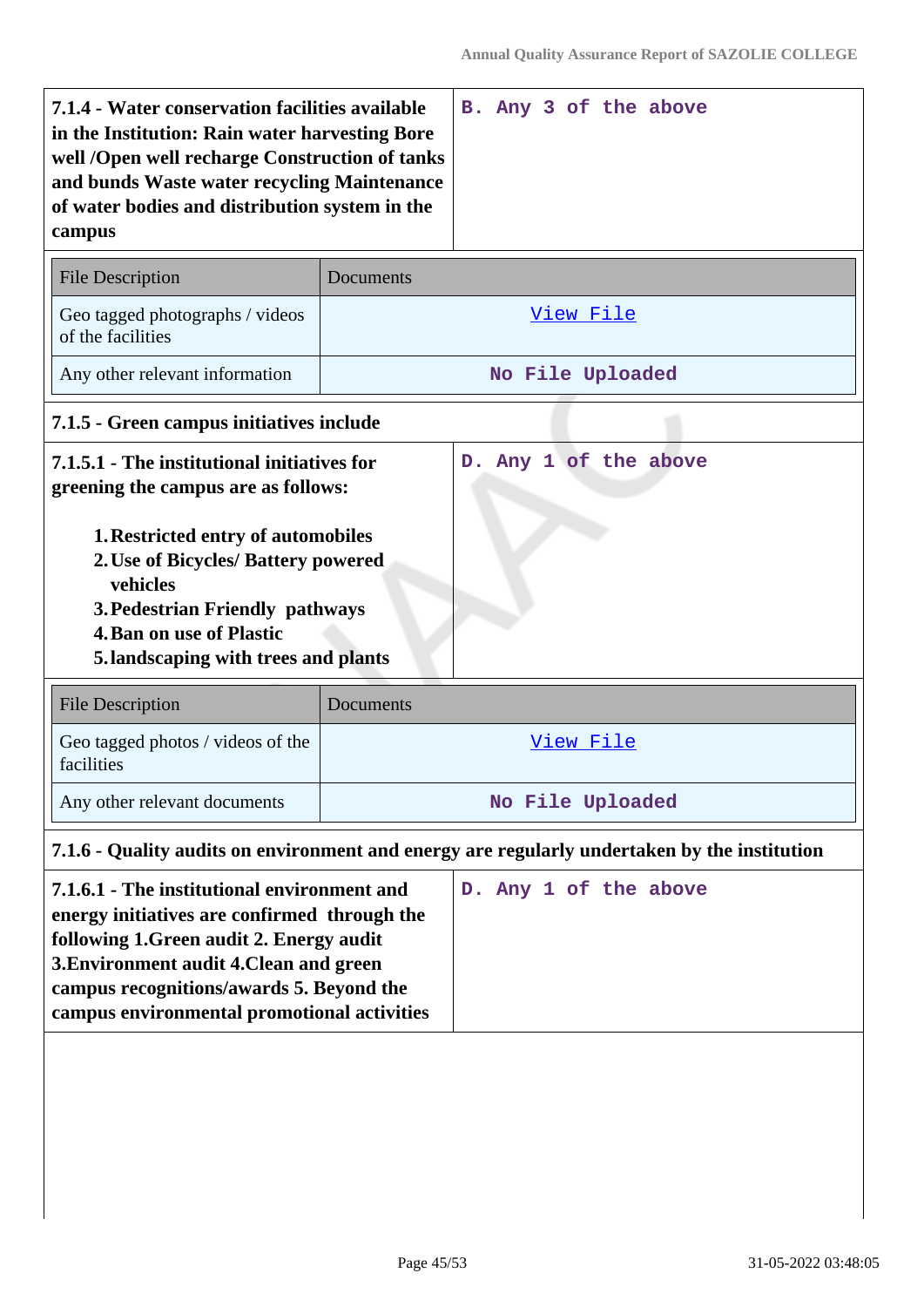| 7.1.4 - Water conservation facilities available<br>in the Institution: Rain water harvesting Bore<br>well /Open well recharge Construction of tanks<br>and bunds Waste water recycling Maintenance<br>of water bodies and distribution system in the<br>campus |                  | B. Any 3 of the above                                                                        |
|----------------------------------------------------------------------------------------------------------------------------------------------------------------------------------------------------------------------------------------------------------------|------------------|----------------------------------------------------------------------------------------------|
| <b>File Description</b>                                                                                                                                                                                                                                        | <b>Documents</b> |                                                                                              |
| Geo tagged photographs / videos<br>of the facilities                                                                                                                                                                                                           |                  | <u>View File</u>                                                                             |
| Any other relevant information                                                                                                                                                                                                                                 |                  | No File Uploaded                                                                             |
| 7.1.5 - Green campus initiatives include                                                                                                                                                                                                                       |                  |                                                                                              |
| 7.1.5.1 - The institutional initiatives for<br>greening the campus are as follows:                                                                                                                                                                             |                  | D. Any 1 of the above                                                                        |
| <b>1. Restricted entry of automobiles</b><br>2. Use of Bicycles/ Battery powered<br>vehicles<br>3. Pedestrian Friendly pathways<br><b>4. Ban on use of Plastic</b><br>5. landscaping with trees and plants                                                     |                  |                                                                                              |
| <b>File Description</b>                                                                                                                                                                                                                                        | Documents        |                                                                                              |
| Geo tagged photos / videos of the<br>facilities                                                                                                                                                                                                                |                  | View File                                                                                    |
| Any other relevant documents                                                                                                                                                                                                                                   |                  | No File Uploaded                                                                             |
|                                                                                                                                                                                                                                                                |                  | 7.1.6 - Quality audits on environment and energy are regularly undertaken by the institution |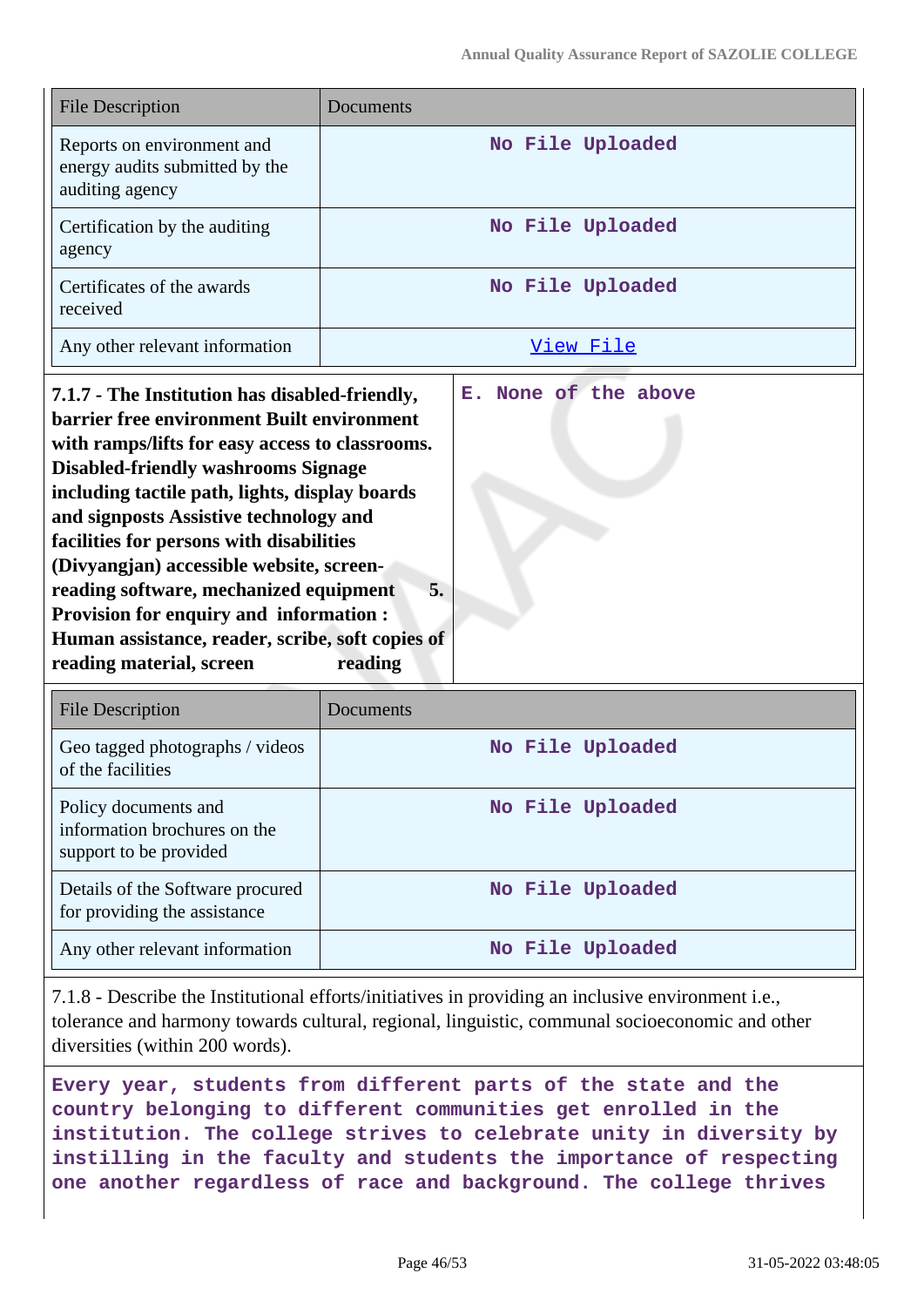| <b>File Description</b>                                                         | Documents        |
|---------------------------------------------------------------------------------|------------------|
| Reports on environment and<br>energy audits submitted by the<br>auditing agency | No File Uploaded |
| Certification by the auditing<br>agency                                         | No File Uploaded |
| Certificates of the awards<br>received                                          | No File Uploaded |
| Any other relevant information                                                  | View File        |

**7.1.7 - The Institution has disabled-friendly, barrier free environment Built environment with ramps/lifts for easy access to classrooms. Disabled-friendly washrooms Signage including tactile path, lights, display boards and signposts Assistive technology and facilities for persons with disabilities (Divyangjan) accessible website, screenreading software, mechanized equipment 5. Provision for enquiry and information : Human assistance, reader, scribe, soft copies of** reading material, screen reading **E. None of the above**

| File Description                                                               | Documents        |
|--------------------------------------------------------------------------------|------------------|
| Geo tagged photographs / videos<br>of the facilities                           | No File Uploaded |
| Policy documents and<br>information brochures on the<br>support to be provided | No File Uploaded |
| Details of the Software procured<br>for providing the assistance               | No File Uploaded |
| Any other relevant information                                                 | No File Uploaded |

7.1.8 - Describe the Institutional efforts/initiatives in providing an inclusive environment i.e., tolerance and harmony towards cultural, regional, linguistic, communal socioeconomic and other diversities (within 200 words).

**Every year, students from different parts of the state and the country belonging to different communities get enrolled in the institution. The college strives to celebrate unity in diversity by instilling in the faculty and students the importance of respecting one another regardless of race and background. The college thrives**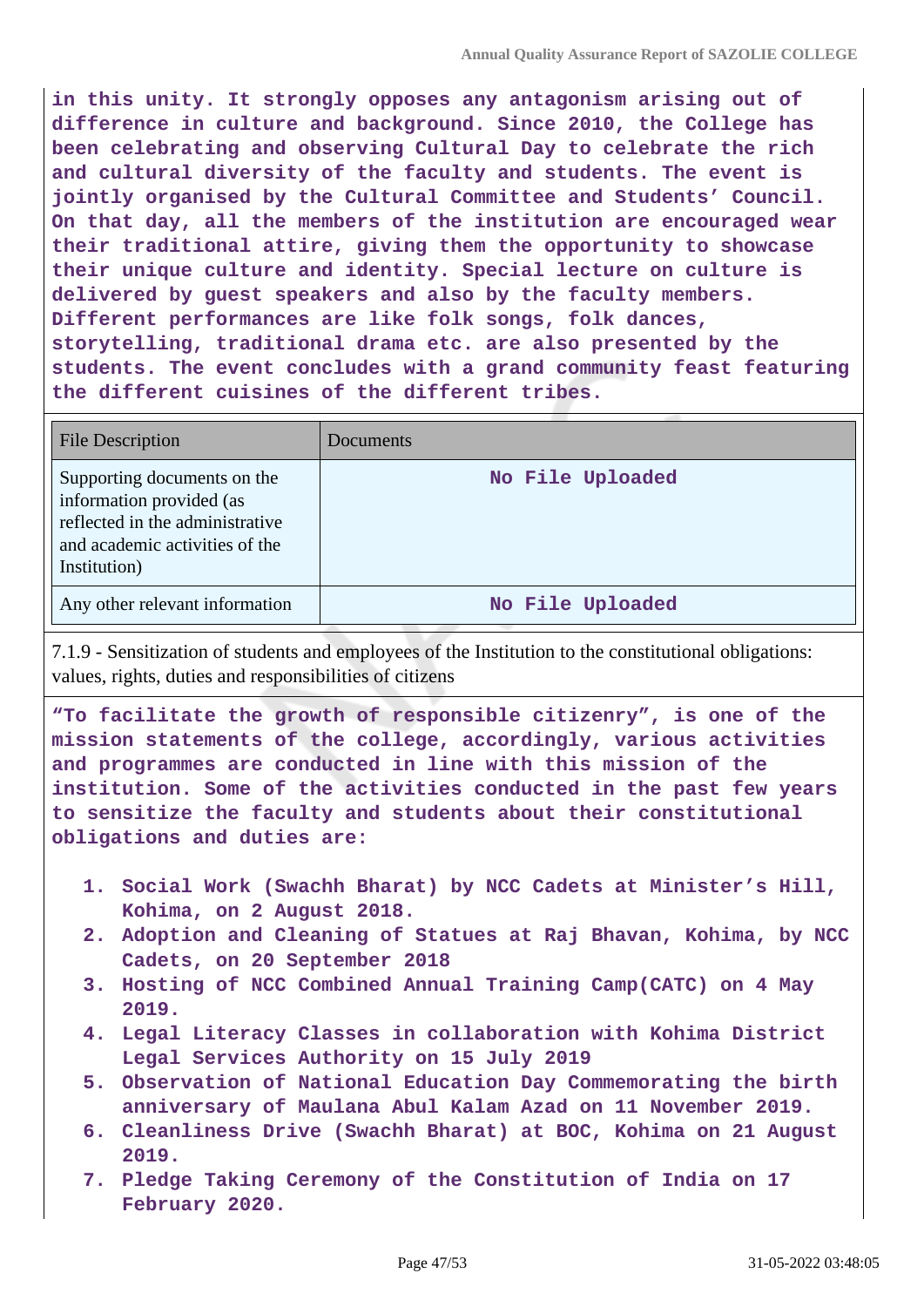**in this unity. It strongly opposes any antagonism arising out of difference in culture and background. Since 2010, the College has been celebrating and observing Cultural Day to celebrate the rich and cultural diversity of the faculty and students. The event is jointly organised by the Cultural Committee and Students' Council. On that day, all the members of the institution are encouraged wear their traditional attire, giving them the opportunity to showcase their unique culture and identity. Special lecture on culture is delivered by guest speakers and also by the faculty members. Different performances are like folk songs, folk dances, storytelling, traditional drama etc. are also presented by the students. The event concludes with a grand community feast featuring the different cuisines of the different tribes.**

| <b>File Description</b>                                                                                                                      | Documents        |
|----------------------------------------------------------------------------------------------------------------------------------------------|------------------|
| Supporting documents on the<br>information provided (as<br>reflected in the administrative<br>and academic activities of the<br>Institution) | No File Uploaded |
| Any other relevant information                                                                                                               | No File Uploaded |

7.1.9 - Sensitization of students and employees of the Institution to the constitutional obligations: values, rights, duties and responsibilities of citizens

**"To facilitate the growth of responsible citizenry", is one of the mission statements of the college, accordingly, various activities and programmes are conducted in line with this mission of the institution. Some of the activities conducted in the past few years to sensitize the faculty and students about their constitutional obligations and duties are:**

- **1. Social Work (Swachh Bharat) by NCC Cadets at Minister's Hill, Kohima, on 2 August 2018.**
- **2. Adoption and Cleaning of Statues at Raj Bhavan, Kohima, by NCC Cadets, on 20 September 2018**
- **3. Hosting of NCC Combined Annual Training Camp(CATC) on 4 May 2019.**
- **4. Legal Literacy Classes in collaboration with Kohima District Legal Services Authority on 15 July 2019**
- **5. Observation of National Education Day Commemorating the birth anniversary of Maulana Abul Kalam Azad on 11 November 2019.**
- **6. Cleanliness Drive (Swachh Bharat) at BOC, Kohima on 21 August 2019.**
- **7. Pledge Taking Ceremony of the Constitution of India on 17 February 2020.**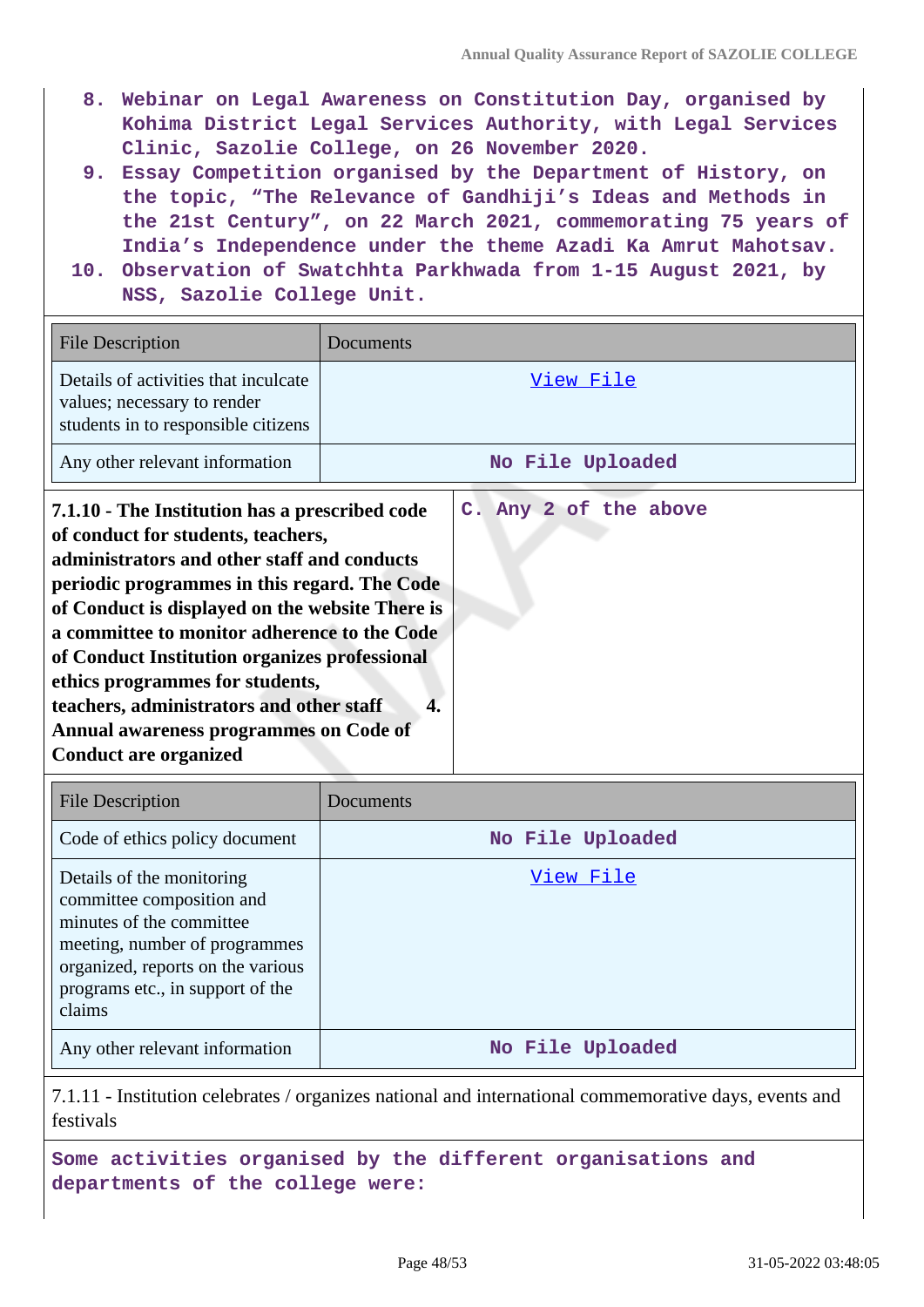- **8. Webinar on Legal Awareness on Constitution Day, organised by Kohima District Legal Services Authority, with Legal Services Clinic, Sazolie College, on 26 November 2020.**
- **9. Essay Competition organised by the Department of History, on the topic, "The Relevance of Gandhiji's Ideas and Methods in the 21st Century", on 22 March 2021, commemorating 75 years of India's Independence under the theme Azadi Ka Amrut Mahotsav.**
- **10. Observation of Swatchhta Parkhwada from 1-15 August 2021, by NSS, Sazolie College Unit.**

| <b>File Description</b>                                                                                                                                                                                                                                                                                                                                                                                                                                                                          | Documents |                       |
|--------------------------------------------------------------------------------------------------------------------------------------------------------------------------------------------------------------------------------------------------------------------------------------------------------------------------------------------------------------------------------------------------------------------------------------------------------------------------------------------------|-----------|-----------------------|
| Details of activities that inculcate<br>values; necessary to render<br>students in to responsible citizens                                                                                                                                                                                                                                                                                                                                                                                       |           | View File             |
| Any other relevant information                                                                                                                                                                                                                                                                                                                                                                                                                                                                   |           | No File Uploaded      |
| 7.1.10 - The Institution has a prescribed code<br>of conduct for students, teachers,<br>administrators and other staff and conducts<br>periodic programmes in this regard. The Code<br>of Conduct is displayed on the website There is<br>a committee to monitor adherence to the Code<br>of Conduct Institution organizes professional<br>ethics programmes for students,<br>teachers, administrators and other staff<br>Annual awareness programmes on Code of<br><b>Conduct are organized</b> | 4.        | C. Any 2 of the above |

| <b>File Description</b>                                                                                                                                                                                | Documents        |
|--------------------------------------------------------------------------------------------------------------------------------------------------------------------------------------------------------|------------------|
| Code of ethics policy document                                                                                                                                                                         | No File Uploaded |
| Details of the monitoring<br>committee composition and<br>minutes of the committee<br>meeting, number of programmes<br>organized, reports on the various<br>programs etc., in support of the<br>claims | View File        |
| Any other relevant information                                                                                                                                                                         | No File Uploaded |

7.1.11 - Institution celebrates / organizes national and international commemorative days, events and festivals

**Some activities organised by the different organisations and departments of the college were:**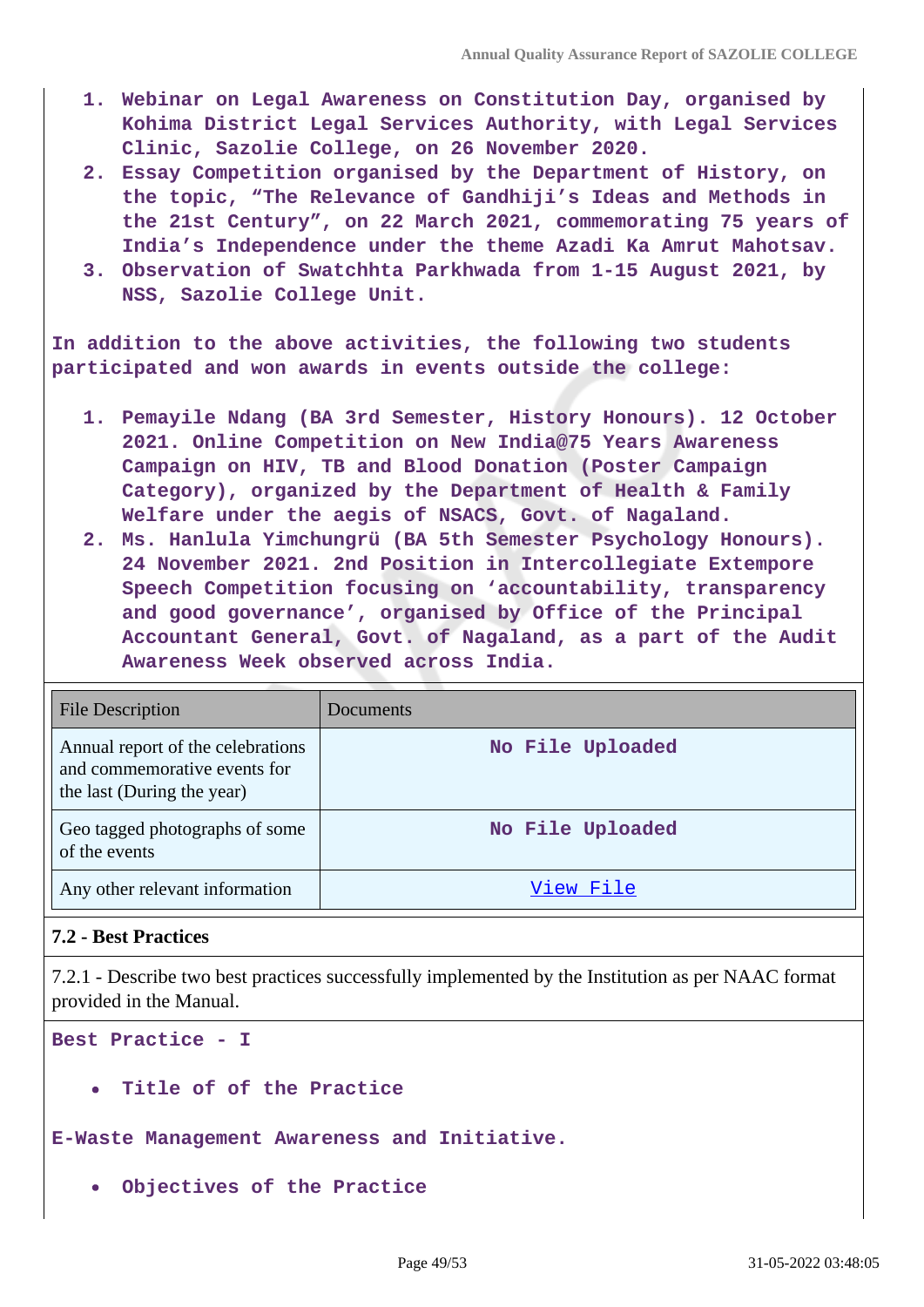- **1. Webinar on Legal Awareness on Constitution Day, organised by Kohima District Legal Services Authority, with Legal Services Clinic, Sazolie College, on 26 November 2020.**
- **2. Essay Competition organised by the Department of History, on the topic, "The Relevance of Gandhiji's Ideas and Methods in the 21st Century", on 22 March 2021, commemorating 75 years of India's Independence under the theme Azadi Ka Amrut Mahotsav.**
- **3. Observation of Swatchhta Parkhwada from 1-15 August 2021, by NSS, Sazolie College Unit.**

**In addition to the above activities, the following two students participated and won awards in events outside the college:**

- **1. Pemayile Ndang (BA 3rd Semester, History Honours). 12 October 2021. Online Competition on New India@75 Years Awareness Campaign on HIV, TB and Blood Donation (Poster Campaign Category), organized by the Department of Health & Family Welfare under the aegis of NSACS, Govt. of Nagaland.**
- **2. Ms. Hanlula Yimchungrü (BA 5th Semester Psychology Honours). 24 November 2021. 2nd Position in Intercollegiate Extempore Speech Competition focusing on 'accountability, transparency and good governance', organised by Office of the Principal Accountant General, Govt. of Nagaland, as a part of the Audit Awareness Week observed across India.**

| <b>File Description</b>                                                                         | Documents        |
|-------------------------------------------------------------------------------------------------|------------------|
| Annual report of the celebrations<br>and commemorative events for<br>the last (During the year) | No File Uploaded |
| Geo tagged photographs of some<br>of the events                                                 | No File Uploaded |
| Any other relevant information                                                                  | View File        |

## **7.2 - Best Practices**

7.2.1 - Describe two best practices successfully implemented by the Institution as per NAAC format provided in the Manual.

**Best Practice - I**

**Title of of the Practice**

**E-Waste Management Awareness and Initiative.**

**Objectives of the Practice**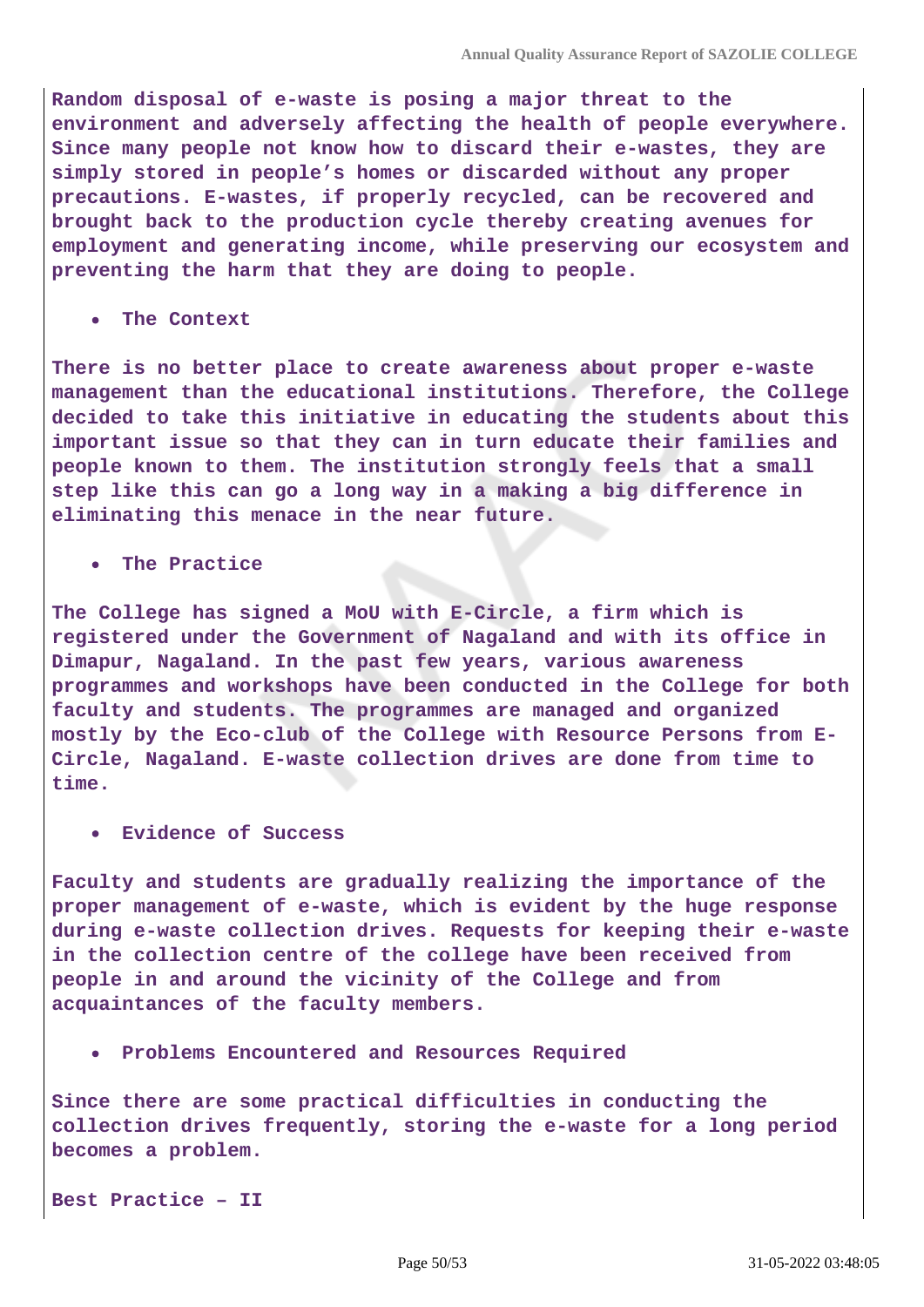**Random disposal of e-waste is posing a major threat to the environment and adversely affecting the health of people everywhere. Since many people not know how to discard their e-wastes, they are simply stored in people's homes or discarded without any proper precautions. E-wastes, if properly recycled, can be recovered and brought back to the production cycle thereby creating avenues for employment and generating income, while preserving our ecosystem and preventing the harm that they are doing to people.**

**The Context**

**There is no better place to create awareness about proper e-waste management than the educational institutions. Therefore, the College decided to take this initiative in educating the students about this important issue so that they can in turn educate their families and people known to them. The institution strongly feels that a small step like this can go a long way in a making a big difference in eliminating this menace in the near future.**

**The Practice**

**The College has signed a MoU with E-Circle, a firm which is registered under the Government of Nagaland and with its office in Dimapur, Nagaland. In the past few years, various awareness programmes and workshops have been conducted in the College for both faculty and students. The programmes are managed and organized mostly by the Eco-club of the College with Resource Persons from E-Circle, Nagaland. E-waste collection drives are done from time to time.**

**Evidence of Success**

**Faculty and students are gradually realizing the importance of the proper management of e-waste, which is evident by the huge response during e-waste collection drives. Requests for keeping their e-waste in the collection centre of the college have been received from people in and around the vicinity of the College and from acquaintances of the faculty members.**

**Problems Encountered and Resources Required**

**Since there are some practical difficulties in conducting the collection drives frequently, storing the e-waste for a long period becomes a problem.**

**Best Practice – II**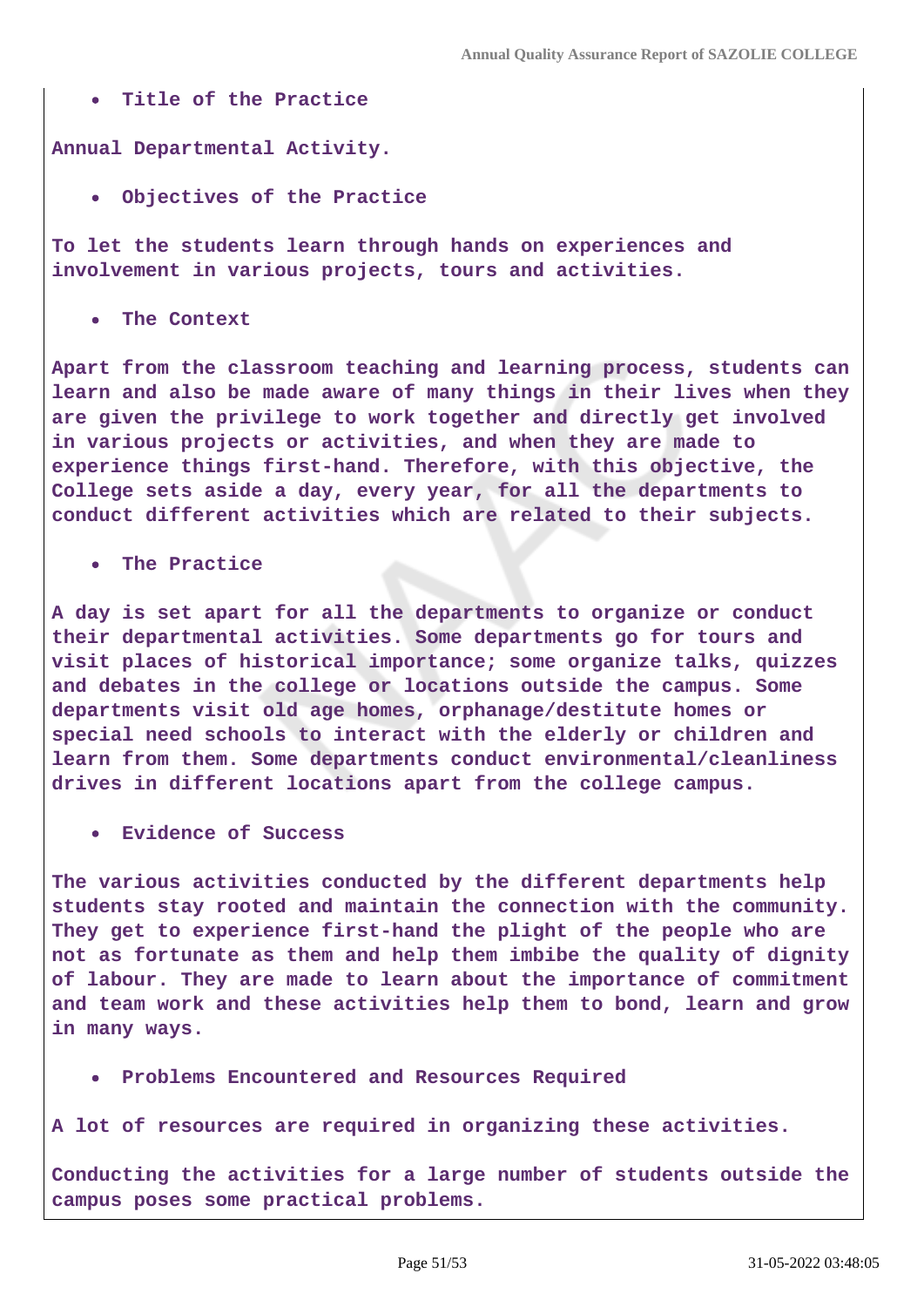**Title of the Practice**

**Annual Departmental Activity.**

**Objectives of the Practice**

**To let the students learn through hands on experiences and involvement in various projects, tours and activities.**

**The Context**

**Apart from the classroom teaching and learning process, students can learn and also be made aware of many things in their lives when they are given the privilege to work together and directly get involved in various projects or activities, and when they are made to experience things first-hand. Therefore, with this objective, the College sets aside a day, every year, for all the departments to conduct different activities which are related to their subjects.**

**The Practice**

**A day is set apart for all the departments to organize or conduct their departmental activities. Some departments go for tours and visit places of historical importance; some organize talks, quizzes and debates in the college or locations outside the campus. Some departments visit old age homes, orphanage/destitute homes or special need schools to interact with the elderly or children and learn from them. Some departments conduct environmental/cleanliness drives in different locations apart from the college campus.**

**Evidence of Success**

**The various activities conducted by the different departments help students stay rooted and maintain the connection with the community. They get to experience first-hand the plight of the people who are not as fortunate as them and help them imbibe the quality of dignity of labour. They are made to learn about the importance of commitment and team work and these activities help them to bond, learn and grow in many ways.**

- **Problems Encountered and Resources Required**
- **A lot of resources are required in organizing these activities.**

**Conducting the activities for a large number of students outside the campus poses some practical problems.**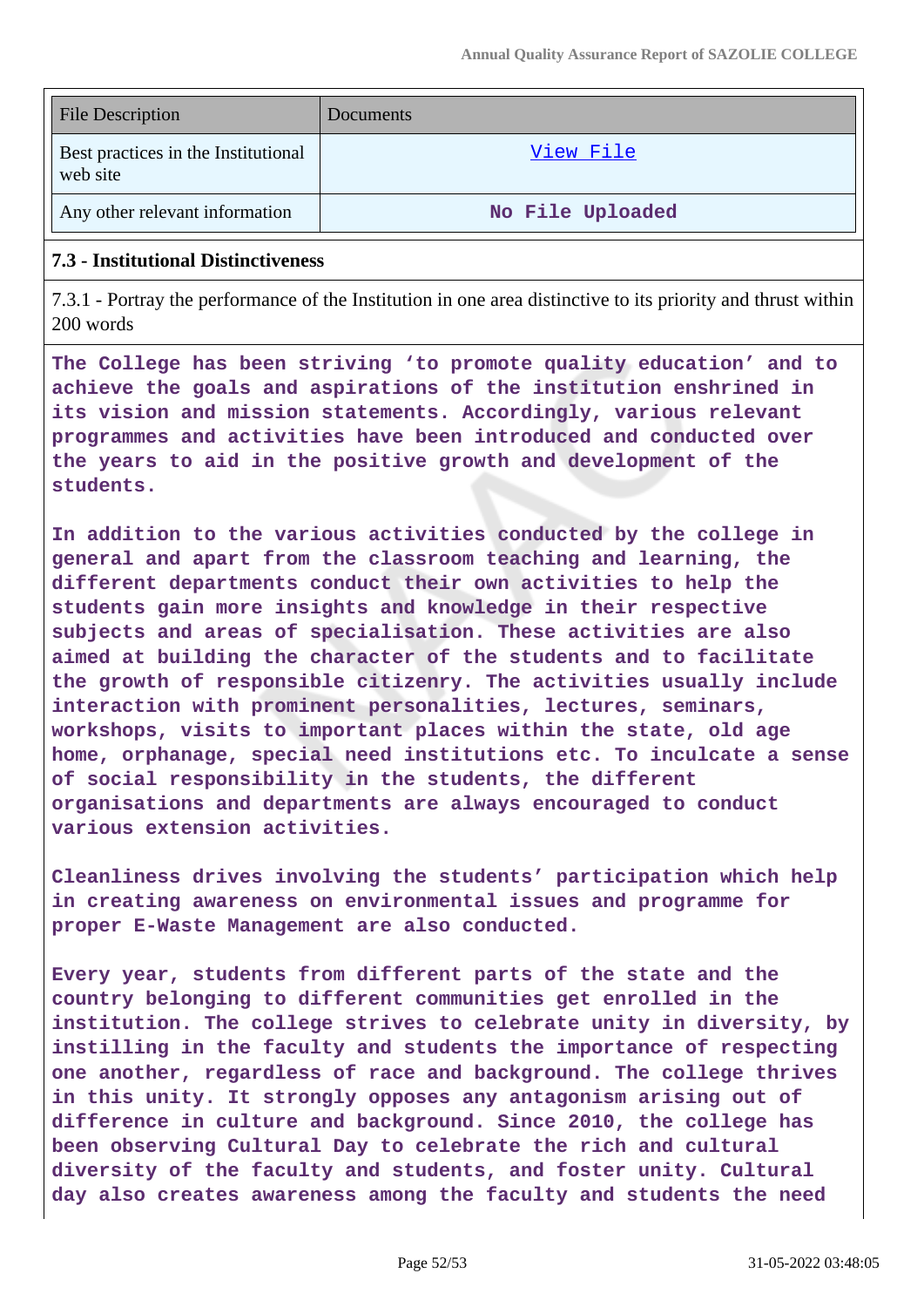| <b>File Description</b>                         | Documents        |
|-------------------------------------------------|------------------|
| Best practices in the Institutional<br>web site | View File        |
| Any other relevant information                  | No File Uploaded |

#### **7.3 - Institutional Distinctiveness**

7.3.1 - Portray the performance of the Institution in one area distinctive to its priority and thrust within 200 words

**The College has been striving 'to promote quality education' and to achieve the goals and aspirations of the institution enshrined in its vision and mission statements. Accordingly, various relevant programmes and activities have been introduced and conducted over the years to aid in the positive growth and development of the students.**

**In addition to the various activities conducted by the college in general and apart from the classroom teaching and learning, the different departments conduct their own activities to help the students gain more insights and knowledge in their respective subjects and areas of specialisation. These activities are also aimed at building the character of the students and to facilitate the growth of responsible citizenry. The activities usually include interaction with prominent personalities, lectures, seminars, workshops, visits to important places within the state, old age home, orphanage, special need institutions etc. To inculcate a sense of social responsibility in the students, the different organisations and departments are always encouraged to conduct various extension activities.**

**Cleanliness drives involving the students' participation which help in creating awareness on environmental issues and programme for proper E-Waste Management are also conducted.**

**Every year, students from different parts of the state and the country belonging to different communities get enrolled in the institution. The college strives to celebrate unity in diversity, by instilling in the faculty and students the importance of respecting one another, regardless of race and background. The college thrives in this unity. It strongly opposes any antagonism arising out of difference in culture and background. Since 2010, the college has been observing Cultural Day to celebrate the rich and cultural diversity of the faculty and students, and foster unity. Cultural day also creates awareness among the faculty and students the need**